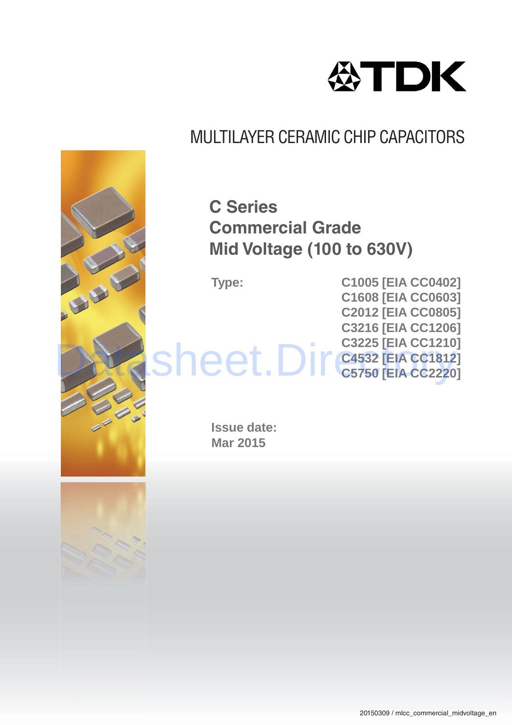

### **C Series Commercial Grade Mid Voltage (100 to 630V)**

**Type: C1005 [EIA CC0402] C1608 [EIA CC0603] C2012 [EIA CC0805] C3216 [EIA CC1206] C3225 [EIA CC1210] C4532 [EIA CC1812] C3225 [EIA CC1210]**<br>
Sheet.Directs121<br>
C5750 [EIA CC2220]

> **Issue date: Mar 2015**



山田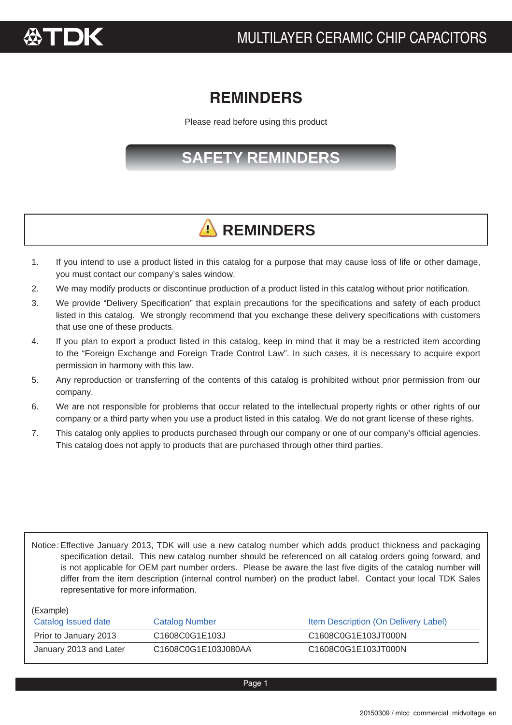

### **REMINDERS REMINDERS**

Please read before using this product

### **SAFETY REMINDERS**

## **A** REMINDERS

- 1. If you intend to use a product listed in this catalog for a purpose that may cause loss of life or other damage, you must contact our company's sales window.
- 2. We may modify products or discontinue production of a product listed in this catalog without prior notification.
- 3. We provide "Delivery Specification" that explain precautions for the specifications and safety of each product listed in this catalog. We strongly recommend that you exchange these delivery specifications with customers that use one of these products.
- 4. If you plan to export a product listed in this catalog, keep in mind that it may be a restricted item according to the "Foreign Exchange and Foreign Trade Control Law". In such cases, it is necessary to acquire export permission in harmony with this law.
- 5. Any reproduction or transferring of the contents of this catalog is prohibited without prior permission from our company.
- 6. We are not responsible for problems that occur related to the intellectual property rights or other rights of our company or a third party when you use a product listed in this catalog. We do not grant license of these rights.
- 7. This catalog only applies to products purchased through our company or one of our company's official agencies. This catalog does not apply to products that are purchased through other third parties.

Notice: Effective January 2013, TDK will use a new catalog number which adds product thickness and packaging specification detail. This new catalog number should be referenced on all catalog orders going forward, and is not applicable for OEM part number orders. Please be aware the last five digits of the catalog number will differ from the item description (internal control number) on the product label. Contact your local TDK Sales representative for more information.

(Example)

| Catalog Issued date    | <b>Catalog Number</b> | Item Description (On Delivery Label) |
|------------------------|-----------------------|--------------------------------------|
| Prior to January 2013  | C1608C0G1E103J        | C1608C0G1E103JT000N                  |
| January 2013 and Later | C1608C0G1E103J080AA   | C1608C0G1E103JT000N                  |

Page 1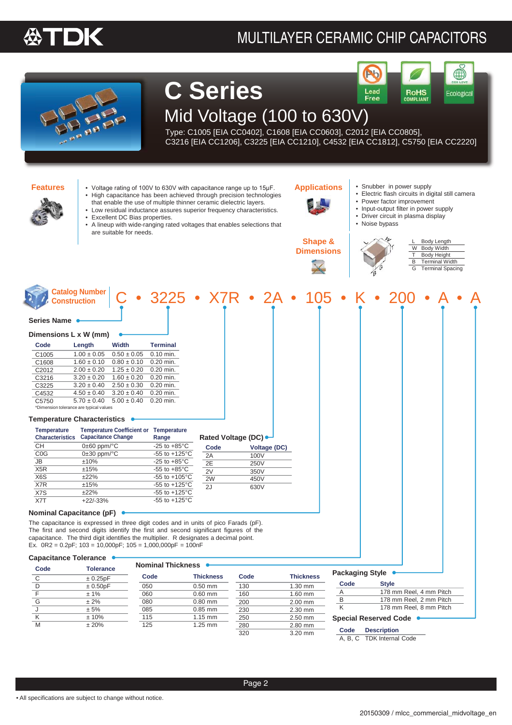### MULTILAYER CERAMIC CHIP CAPACITORS

 $\mathbf{b}$ 



**C Series** Lead<br>Free Mid Voltage (100 to 630V)

Type: C1005 [EIA CC0402], C1608 [EIA CC0603], C2012 [EIA CC0805], C3216 [EIA CC1206], C3225 [EIA CC1210], C4532 [EIA CC1812], C5750 [EIA CC2220]



**Features** • Voltage rating of 100V to 630V with capacitance range up to 15µF. **Applications** • High capacitance has been achieved through precision technologies that enable the use of multiple thinner ceramic dielectric layers. Low residual inductance assures superior frequency characteristics. Excellent DC Bias properties. • A lineup with wide-ranging rated voltages that enables selections that are suitable for needs.



**Shape & Dimensions**

- Snubber in power supply
- Electric flash circuits in digital still camera

RoHS<br>COMPLIANT

Ecological

- Power factor improvement
- Input-output filter in power supply
- Driver circuit in plasma display
- Noise bypass
- 

|   | Body Length             |
|---|-------------------------|
| W | <b>Body Width</b>       |
| т | Body Height             |
| в | <b>Terminal Width</b>   |
| G | <b>Terminal Spacing</b> |

| Series Name<br>Dimensions L x W (mm)<br>Code<br>Width<br><b>Terminal</b><br>Length<br>C1005<br>0.10 min.<br>$1.00 \pm 0.05$<br>$0.50 \pm 0.05$<br>C1608<br>0.20 min.<br>$1.60 \pm 0.10$<br>$0.80 \pm 0.10$<br>C2012<br>$2.00 \pm 0.20$<br>$1.25 \pm 0.20$<br>$0.20$ min.<br>C3216<br>0.20 min.<br>$3.20 \pm 0.20$<br>$1.60 \pm 0.20$<br>C3225<br>0.20 min.<br>$3.20 \pm 0.40$<br>$2.50 \pm 0.30$<br>C4532<br>$3.20 \pm 0.40$<br>$0.20$ min.<br>$4.50 \pm 0.40$<br>$0.20$ min.<br>C5750<br>$5.00 \pm 0.40$<br>$5.70 \pm 0.40$<br>*Dimension tolerance are typical values<br><b>Temperature Characteristics</b><br><b>Temperature Coefficient or Temperature</b><br><b>Temperature</b><br><b>Characteristics Capacitance Change</b><br>Rated Voltage (DC)<br>Range<br><b>CH</b><br>$0\pm 60$ ppm/ $\degree$ C<br>-25 to $+85^{\circ}$ C<br>Code<br>Voltage (DC)<br>COG<br>$0\pm30$ ppm/ $\degree$ C<br>$-55$ to $+125^{\circ}$ C<br>2A<br>100V<br>JB<br>±10%<br>-25 to $+85^{\circ}$ C<br>2E<br>250V<br>X <sub>5</sub> R<br>±15%<br>-55 to $+85^{\circ}$ C<br>2V<br>350V<br>X6S<br>±22%<br>$-55$ to $+105^{\circ}$ C<br>2W<br>450V<br>X7R<br>±15%<br>$-55$ to $+125^{\circ}$ C<br>2J<br>630V<br>X7S<br>±22%<br>$-55$ to $+125^{\circ}$ C<br>X7T<br>$+22/-33%$<br>$-55$ to $+125^{\circ}$ C<br><b>Nominal Capacitance (pF)</b><br>The capacitance is expressed in three digit codes and in units of pico Farads (pF).<br>The first and second digits identify the first and second significant figures of the<br>capacitance. The third digit identifies the multiplier. R designates a decimal point.<br>Ex. $0R2 = 0.2pF$ ; $103 = 10,000pF$ ; $105 = 1,000,000pF = 100nF$<br><b>Capacitance Tolerance</b><br>Nominal Thickness<br>Code<br><b>Tolerance</b><br><b>Packaging Style</b><br><b>Thickness</b><br>Code<br><b>Thickness</b><br>Code<br>± 0.25pF<br>C<br>Code<br>Style<br>D<br>± 0.50pF<br>1.30 mm<br>050<br>$0.50$ mm<br>130<br>178 mm Reel, 4 mm Pitch<br>Α<br>$\mathsf F$<br>± 1%<br>060<br>$0.60$ mm<br>160<br>1.60 mm<br>178 mm Reel, 2 mm Pitch<br>В<br>G<br>± 2%<br>080<br>$0.80$ mm<br>200<br>2.00 mm<br>K<br>178 mm Reel, 8 mm Pitch<br>J<br>± 5%<br>085<br>$0.85$ mm<br>230<br>2.30 mm | <b>Catalog Number</b><br><b>Construction</b> |  |  | $3225 \cdot X7R \cdot 2A \cdot 105$ |  |  |  |
|----------------------------------------------------------------------------------------------------------------------------------------------------------------------------------------------------------------------------------------------------------------------------------------------------------------------------------------------------------------------------------------------------------------------------------------------------------------------------------------------------------------------------------------------------------------------------------------------------------------------------------------------------------------------------------------------------------------------------------------------------------------------------------------------------------------------------------------------------------------------------------------------------------------------------------------------------------------------------------------------------------------------------------------------------------------------------------------------------------------------------------------------------------------------------------------------------------------------------------------------------------------------------------------------------------------------------------------------------------------------------------------------------------------------------------------------------------------------------------------------------------------------------------------------------------------------------------------------------------------------------------------------------------------------------------------------------------------------------------------------------------------------------------------------------------------------------------------------------------------------------------------------------------------------------------------------------------------------------------------------------------------------------------------------------------------------------------------------------------------------------------------------------------------------------------------------------------|----------------------------------------------|--|--|-------------------------------------|--|--|--|
|                                                                                                                                                                                                                                                                                                                                                                                                                                                                                                                                                                                                                                                                                                                                                                                                                                                                                                                                                                                                                                                                                                                                                                                                                                                                                                                                                                                                                                                                                                                                                                                                                                                                                                                                                                                                                                                                                                                                                                                                                                                                                                                                                                                                          |                                              |  |  |                                     |  |  |  |
|                                                                                                                                                                                                                                                                                                                                                                                                                                                                                                                                                                                                                                                                                                                                                                                                                                                                                                                                                                                                                                                                                                                                                                                                                                                                                                                                                                                                                                                                                                                                                                                                                                                                                                                                                                                                                                                                                                                                                                                                                                                                                                                                                                                                          |                                              |  |  |                                     |  |  |  |
|                                                                                                                                                                                                                                                                                                                                                                                                                                                                                                                                                                                                                                                                                                                                                                                                                                                                                                                                                                                                                                                                                                                                                                                                                                                                                                                                                                                                                                                                                                                                                                                                                                                                                                                                                                                                                                                                                                                                                                                                                                                                                                                                                                                                          |                                              |  |  |                                     |  |  |  |
|                                                                                                                                                                                                                                                                                                                                                                                                                                                                                                                                                                                                                                                                                                                                                                                                                                                                                                                                                                                                                                                                                                                                                                                                                                                                                                                                                                                                                                                                                                                                                                                                                                                                                                                                                                                                                                                                                                                                                                                                                                                                                                                                                                                                          |                                              |  |  |                                     |  |  |  |
|                                                                                                                                                                                                                                                                                                                                                                                                                                                                                                                                                                                                                                                                                                                                                                                                                                                                                                                                                                                                                                                                                                                                                                                                                                                                                                                                                                                                                                                                                                                                                                                                                                                                                                                                                                                                                                                                                                                                                                                                                                                                                                                                                                                                          |                                              |  |  |                                     |  |  |  |
|                                                                                                                                                                                                                                                                                                                                                                                                                                                                                                                                                                                                                                                                                                                                                                                                                                                                                                                                                                                                                                                                                                                                                                                                                                                                                                                                                                                                                                                                                                                                                                                                                                                                                                                                                                                                                                                                                                                                                                                                                                                                                                                                                                                                          |                                              |  |  |                                     |  |  |  |
|                                                                                                                                                                                                                                                                                                                                                                                                                                                                                                                                                                                                                                                                                                                                                                                                                                                                                                                                                                                                                                                                                                                                                                                                                                                                                                                                                                                                                                                                                                                                                                                                                                                                                                                                                                                                                                                                                                                                                                                                                                                                                                                                                                                                          |                                              |  |  |                                     |  |  |  |
|                                                                                                                                                                                                                                                                                                                                                                                                                                                                                                                                                                                                                                                                                                                                                                                                                                                                                                                                                                                                                                                                                                                                                                                                                                                                                                                                                                                                                                                                                                                                                                                                                                                                                                                                                                                                                                                                                                                                                                                                                                                                                                                                                                                                          |                                              |  |  |                                     |  |  |  |
|                                                                                                                                                                                                                                                                                                                                                                                                                                                                                                                                                                                                                                                                                                                                                                                                                                                                                                                                                                                                                                                                                                                                                                                                                                                                                                                                                                                                                                                                                                                                                                                                                                                                                                                                                                                                                                                                                                                                                                                                                                                                                                                                                                                                          |                                              |  |  |                                     |  |  |  |
|                                                                                                                                                                                                                                                                                                                                                                                                                                                                                                                                                                                                                                                                                                                                                                                                                                                                                                                                                                                                                                                                                                                                                                                                                                                                                                                                                                                                                                                                                                                                                                                                                                                                                                                                                                                                                                                                                                                                                                                                                                                                                                                                                                                                          |                                              |  |  |                                     |  |  |  |
|                                                                                                                                                                                                                                                                                                                                                                                                                                                                                                                                                                                                                                                                                                                                                                                                                                                                                                                                                                                                                                                                                                                                                                                                                                                                                                                                                                                                                                                                                                                                                                                                                                                                                                                                                                                                                                                                                                                                                                                                                                                                                                                                                                                                          |                                              |  |  |                                     |  |  |  |
|                                                                                                                                                                                                                                                                                                                                                                                                                                                                                                                                                                                                                                                                                                                                                                                                                                                                                                                                                                                                                                                                                                                                                                                                                                                                                                                                                                                                                                                                                                                                                                                                                                                                                                                                                                                                                                                                                                                                                                                                                                                                                                                                                                                                          |                                              |  |  |                                     |  |  |  |
|                                                                                                                                                                                                                                                                                                                                                                                                                                                                                                                                                                                                                                                                                                                                                                                                                                                                                                                                                                                                                                                                                                                                                                                                                                                                                                                                                                                                                                                                                                                                                                                                                                                                                                                                                                                                                                                                                                                                                                                                                                                                                                                                                                                                          |                                              |  |  |                                     |  |  |  |
|                                                                                                                                                                                                                                                                                                                                                                                                                                                                                                                                                                                                                                                                                                                                                                                                                                                                                                                                                                                                                                                                                                                                                                                                                                                                                                                                                                                                                                                                                                                                                                                                                                                                                                                                                                                                                                                                                                                                                                                                                                                                                                                                                                                                          |                                              |  |  |                                     |  |  |  |
|                                                                                                                                                                                                                                                                                                                                                                                                                                                                                                                                                                                                                                                                                                                                                                                                                                                                                                                                                                                                                                                                                                                                                                                                                                                                                                                                                                                                                                                                                                                                                                                                                                                                                                                                                                                                                                                                                                                                                                                                                                                                                                                                                                                                          |                                              |  |  |                                     |  |  |  |
|                                                                                                                                                                                                                                                                                                                                                                                                                                                                                                                                                                                                                                                                                                                                                                                                                                                                                                                                                                                                                                                                                                                                                                                                                                                                                                                                                                                                                                                                                                                                                                                                                                                                                                                                                                                                                                                                                                                                                                                                                                                                                                                                                                                                          |                                              |  |  |                                     |  |  |  |
|                                                                                                                                                                                                                                                                                                                                                                                                                                                                                                                                                                                                                                                                                                                                                                                                                                                                                                                                                                                                                                                                                                                                                                                                                                                                                                                                                                                                                                                                                                                                                                                                                                                                                                                                                                                                                                                                                                                                                                                                                                                                                                                                                                                                          |                                              |  |  |                                     |  |  |  |
|                                                                                                                                                                                                                                                                                                                                                                                                                                                                                                                                                                                                                                                                                                                                                                                                                                                                                                                                                                                                                                                                                                                                                                                                                                                                                                                                                                                                                                                                                                                                                                                                                                                                                                                                                                                                                                                                                                                                                                                                                                                                                                                                                                                                          |                                              |  |  |                                     |  |  |  |
|                                                                                                                                                                                                                                                                                                                                                                                                                                                                                                                                                                                                                                                                                                                                                                                                                                                                                                                                                                                                                                                                                                                                                                                                                                                                                                                                                                                                                                                                                                                                                                                                                                                                                                                                                                                                                                                                                                                                                                                                                                                                                                                                                                                                          |                                              |  |  |                                     |  |  |  |
|                                                                                                                                                                                                                                                                                                                                                                                                                                                                                                                                                                                                                                                                                                                                                                                                                                                                                                                                                                                                                                                                                                                                                                                                                                                                                                                                                                                                                                                                                                                                                                                                                                                                                                                                                                                                                                                                                                                                                                                                                                                                                                                                                                                                          |                                              |  |  |                                     |  |  |  |
|                                                                                                                                                                                                                                                                                                                                                                                                                                                                                                                                                                                                                                                                                                                                                                                                                                                                                                                                                                                                                                                                                                                                                                                                                                                                                                                                                                                                                                                                                                                                                                                                                                                                                                                                                                                                                                                                                                                                                                                                                                                                                                                                                                                                          |                                              |  |  |                                     |  |  |  |
|                                                                                                                                                                                                                                                                                                                                                                                                                                                                                                                                                                                                                                                                                                                                                                                                                                                                                                                                                                                                                                                                                                                                                                                                                                                                                                                                                                                                                                                                                                                                                                                                                                                                                                                                                                                                                                                                                                                                                                                                                                                                                                                                                                                                          |                                              |  |  |                                     |  |  |  |
|                                                                                                                                                                                                                                                                                                                                                                                                                                                                                                                                                                                                                                                                                                                                                                                                                                                                                                                                                                                                                                                                                                                                                                                                                                                                                                                                                                                                                                                                                                                                                                                                                                                                                                                                                                                                                                                                                                                                                                                                                                                                                                                                                                                                          |                                              |  |  |                                     |  |  |  |
|                                                                                                                                                                                                                                                                                                                                                                                                                                                                                                                                                                                                                                                                                                                                                                                                                                                                                                                                                                                                                                                                                                                                                                                                                                                                                                                                                                                                                                                                                                                                                                                                                                                                                                                                                                                                                                                                                                                                                                                                                                                                                                                                                                                                          |                                              |  |  |                                     |  |  |  |
|                                                                                                                                                                                                                                                                                                                                                                                                                                                                                                                                                                                                                                                                                                                                                                                                                                                                                                                                                                                                                                                                                                                                                                                                                                                                                                                                                                                                                                                                                                                                                                                                                                                                                                                                                                                                                                                                                                                                                                                                                                                                                                                                                                                                          |                                              |  |  |                                     |  |  |  |
|                                                                                                                                                                                                                                                                                                                                                                                                                                                                                                                                                                                                                                                                                                                                                                                                                                                                                                                                                                                                                                                                                                                                                                                                                                                                                                                                                                                                                                                                                                                                                                                                                                                                                                                                                                                                                                                                                                                                                                                                                                                                                                                                                                                                          |                                              |  |  |                                     |  |  |  |
|                                                                                                                                                                                                                                                                                                                                                                                                                                                                                                                                                                                                                                                                                                                                                                                                                                                                                                                                                                                                                                                                                                                                                                                                                                                                                                                                                                                                                                                                                                                                                                                                                                                                                                                                                                                                                                                                                                                                                                                                                                                                                                                                                                                                          |                                              |  |  |                                     |  |  |  |
|                                                                                                                                                                                                                                                                                                                                                                                                                                                                                                                                                                                                                                                                                                                                                                                                                                                                                                                                                                                                                                                                                                                                                                                                                                                                                                                                                                                                                                                                                                                                                                                                                                                                                                                                                                                                                                                                                                                                                                                                                                                                                                                                                                                                          |                                              |  |  |                                     |  |  |  |
|                                                                                                                                                                                                                                                                                                                                                                                                                                                                                                                                                                                                                                                                                                                                                                                                                                                                                                                                                                                                                                                                                                                                                                                                                                                                                                                                                                                                                                                                                                                                                                                                                                                                                                                                                                                                                                                                                                                                                                                                                                                                                                                                                                                                          |                                              |  |  |                                     |  |  |  |
|                                                                                                                                                                                                                                                                                                                                                                                                                                                                                                                                                                                                                                                                                                                                                                                                                                                                                                                                                                                                                                                                                                                                                                                                                                                                                                                                                                                                                                                                                                                                                                                                                                                                                                                                                                                                                                                                                                                                                                                                                                                                                                                                                                                                          |                                              |  |  |                                     |  |  |  |
|                                                                                                                                                                                                                                                                                                                                                                                                                                                                                                                                                                                                                                                                                                                                                                                                                                                                                                                                                                                                                                                                                                                                                                                                                                                                                                                                                                                                                                                                                                                                                                                                                                                                                                                                                                                                                                                                                                                                                                                                                                                                                                                                                                                                          |                                              |  |  |                                     |  |  |  |
|                                                                                                                                                                                                                                                                                                                                                                                                                                                                                                                                                                                                                                                                                                                                                                                                                                                                                                                                                                                                                                                                                                                                                                                                                                                                                                                                                                                                                                                                                                                                                                                                                                                                                                                                                                                                                                                                                                                                                                                                                                                                                                                                                                                                          | ±10%                                         |  |  |                                     |  |  |  |
| Κ<br>115<br>250<br>$1.15$ mm<br>2.50 mm<br><b>Special Reserved Code</b><br>M<br>± 20%<br>125<br>1.25 mm<br>280<br>2.80 mm                                                                                                                                                                                                                                                                                                                                                                                                                                                                                                                                                                                                                                                                                                                                                                                                                                                                                                                                                                                                                                                                                                                                                                                                                                                                                                                                                                                                                                                                                                                                                                                                                                                                                                                                                                                                                                                                                                                                                                                                                                                                                |                                              |  |  |                                     |  |  |  |

#### **Code Description**

A, B, C TDK Internal Code

• All specifications are subject to change without notice.

320 3.20 mm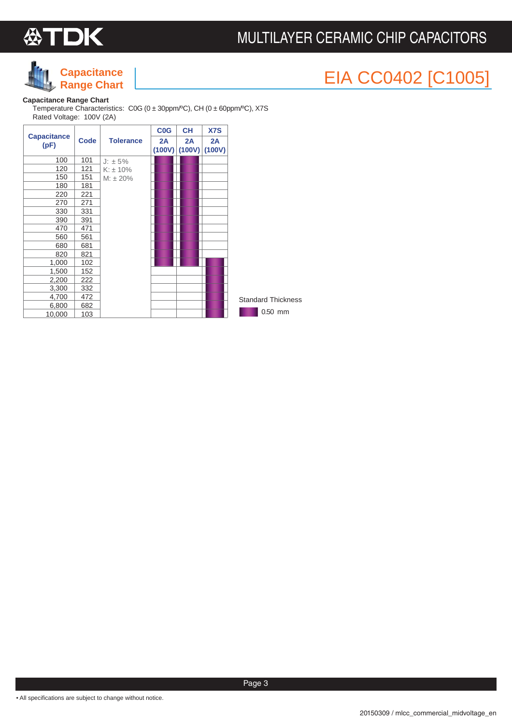



## EIA CC0402 [C1005] **Capacitance**

### **Capacitance Range Chart**

Temperature Characteristics: C0G (0 ± 30ppm/ºC), CH (0 ± 60ppm/ºC), X7S Rated Voltage: 100V (2A)

|                            |             |                  | <b>C<sub>0</sub>G</b> | <b>CH</b>    | <b>X7S</b>   |                           |
|----------------------------|-------------|------------------|-----------------------|--------------|--------------|---------------------------|
| <b>Capacitance</b><br>(pF) | <b>Code</b> | <b>Tolerance</b> | 2A<br>(100V)          | 2A<br>(100V) | 2A<br>(100V) |                           |
| 100                        | 101         | $J: \pm 5\%$     |                       |              |              |                           |
| 120                        | 121         | $K: \pm 10\%$    |                       |              |              |                           |
| 150                        | 151         | $M: \pm 20\%$    |                       |              |              |                           |
| 180                        | 181         |                  |                       |              |              |                           |
| 220                        | 221         |                  |                       |              |              |                           |
| 270                        | 271         |                  |                       |              |              |                           |
| 330                        | 331         |                  |                       |              |              |                           |
| 390                        | 391         |                  |                       |              |              |                           |
| 470                        | 471         |                  |                       |              |              |                           |
| 560                        | 561         |                  |                       |              |              |                           |
| 680                        | 681         |                  |                       |              |              |                           |
| 820                        | 821         |                  |                       |              |              |                           |
| 1,000                      | 102         |                  |                       |              |              |                           |
| 1,500                      | 152         |                  |                       |              |              |                           |
| 2,200                      | 222         |                  |                       |              |              |                           |
| 3,300                      | 332         |                  |                       |              |              |                           |
| 4,700                      | 472         |                  |                       |              |              | <b>Standard Thickness</b> |
| 6,800                      | 682         |                  |                       |              |              |                           |
| 10,000                     | 103         |                  |                       |              |              | 0.50 mm                   |

• All specifications are subject to change without notice.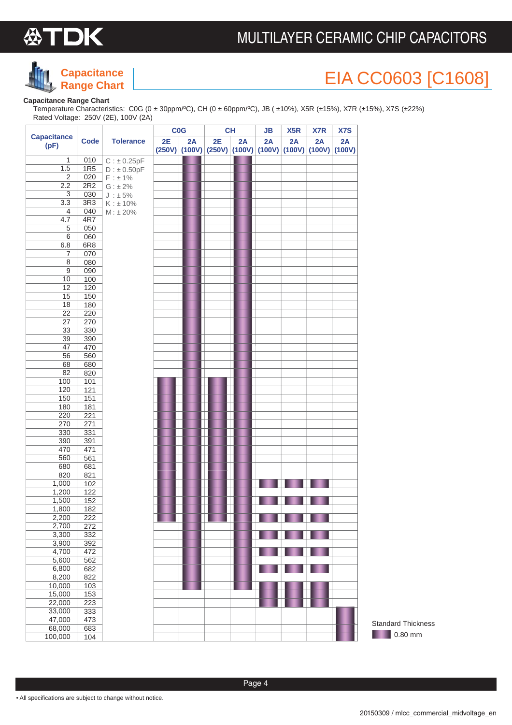



## EIA CC0603 [C1608]

#### **Capacitance Range Chart**

Temperature Characteristics: C0G (0 ± 30ppm/ºC), CH (0 ± 60ppm/ºC), JB ( ±10%), X5R (±15%), X7R (±15%), X7S (±22%) Rated Voltage: 250V (2E), 100V (2A)

|                            |                 |                  | CO <sub>G</sub> |    |                                                             | <b>CH</b> | JB | X <sub>5</sub> R | X7R | <b>X7S</b> |
|----------------------------|-----------------|------------------|-----------------|----|-------------------------------------------------------------|-----------|----|------------------|-----|------------|
| <b>Capacitance</b><br>(pF) | <b>Code</b>     | <b>Tolerance</b> | 2E              | 2A | 2E                                                          | 2A        | 2A | 2A               | 2A  | 2A         |
|                            |                 |                  |                 |    | $(250V)$ (100V) $(250V)$ (100V) (100V) (100V) (100V) (100V) |           |    |                  |     |            |
| 1                          | 010             | $C: \pm 0.25pF$  |                 |    |                                                             |           |    |                  |     |            |
| 1.5                        | 1R5             | $D : \pm 0.50pF$ |                 |    |                                                             |           |    |                  |     |            |
| $\overline{2}$             | 020             | F : ± 1%         |                 |    |                                                             |           |    |                  |     |            |
| 2.2                        | 2R2             | $G: \pm 2\%$     |                 |    |                                                             |           |    |                  |     |            |
| 3                          | 030             | $J : \pm 5\%$    |                 |    |                                                             |           |    |                  |     |            |
| 3.3                        | 3R <sub>3</sub> | K : ±10%         |                 |    |                                                             |           |    |                  |     |            |
| 4                          | 040             | $M: \pm 20\%$    |                 |    |                                                             |           |    |                  |     |            |
| 4.7<br>5                   | 4R7<br>050      |                  |                 |    |                                                             |           |    |                  |     |            |
| 6                          | 060             |                  |                 |    |                                                             |           |    |                  |     |            |
| 6.8                        | 6R8             |                  |                 |    |                                                             |           |    |                  |     |            |
| 7                          | 070             |                  |                 |    |                                                             |           |    |                  |     |            |
| 8                          | 080             |                  |                 |    |                                                             |           |    |                  |     |            |
| $\boldsymbol{9}$           | 090             |                  |                 |    |                                                             |           |    |                  |     |            |
| 10                         | 100             |                  |                 |    |                                                             |           |    |                  |     |            |
| 12                         | 120             |                  |                 |    |                                                             |           |    |                  |     |            |
| 15                         | 150             |                  |                 |    |                                                             |           |    |                  |     |            |
| 18                         | 180             |                  |                 |    |                                                             |           |    |                  |     |            |
| $\overline{22}$            | 220             |                  |                 |    |                                                             |           |    |                  |     |            |
| 27                         | 270             |                  |                 |    |                                                             |           |    |                  |     |            |
| 33                         | 330             |                  |                 |    |                                                             |           |    |                  |     |            |
| 39                         | 390             |                  |                 |    |                                                             |           |    |                  |     |            |
| 47                         | 470             |                  |                 |    |                                                             |           |    |                  |     |            |
| 56                         | 560             |                  |                 |    |                                                             |           |    |                  |     |            |
| 68                         | 680             |                  |                 |    |                                                             |           |    |                  |     |            |
| 82                         | 820             |                  |                 |    |                                                             |           |    |                  |     |            |
| 100                        | 101             |                  |                 |    |                                                             |           |    |                  |     |            |
| 120                        | 121             |                  |                 |    |                                                             |           |    |                  |     |            |
| 150                        | 151             |                  |                 |    |                                                             |           |    |                  |     |            |
| 180                        | 181             |                  |                 |    |                                                             |           |    |                  |     |            |
| 220                        | 221             |                  |                 |    |                                                             |           |    |                  |     |            |
| 270                        | 271             |                  |                 |    |                                                             |           |    |                  |     |            |
| 330                        | 331             |                  |                 |    |                                                             |           |    |                  |     |            |
| 390                        | 391             |                  |                 |    |                                                             |           |    |                  |     |            |
| 470                        | 471             |                  |                 |    |                                                             |           |    |                  |     |            |
| 560                        | 561             |                  |                 |    |                                                             |           |    |                  |     |            |
| 680                        | 681             |                  |                 |    |                                                             |           |    |                  |     |            |
| 820                        | 821             |                  |                 |    |                                                             |           |    |                  |     |            |
| 1,000                      | 102             |                  |                 |    |                                                             |           |    |                  |     |            |
| 1,200                      | 122             |                  |                 |    |                                                             |           |    |                  |     |            |
| 1,500                      | 152             |                  |                 |    |                                                             |           |    |                  |     |            |
| 1,800                      | 182             |                  |                 |    |                                                             |           |    |                  |     |            |
| 2,200                      | 222             |                  |                 |    |                                                             |           |    |                  |     |            |
| 2,700                      | 272             |                  |                 |    |                                                             |           |    |                  |     |            |
| 3,300                      | 332             |                  |                 |    |                                                             |           |    |                  |     |            |
| 3,900                      | 392             |                  |                 |    |                                                             |           |    |                  |     |            |
| 4,700                      | 472             |                  |                 |    |                                                             |           |    |                  |     |            |
| 5,600                      | 562             |                  |                 |    |                                                             |           |    |                  |     |            |
| 6,800                      | 682             |                  |                 |    |                                                             |           |    |                  |     |            |
| 8,200                      | 822             |                  |                 |    |                                                             |           |    |                  |     |            |
| 10,000                     | 103             |                  |                 |    |                                                             |           |    |                  |     |            |
| 15,000                     | 153             |                  |                 |    |                                                             |           |    |                  |     |            |
| 22,000                     | 223             |                  |                 |    |                                                             |           |    |                  |     |            |
| 33,000                     | 333             |                  |                 |    |                                                             |           |    |                  |     |            |
| 47,000                     | 473             |                  |                 |    |                                                             |           |    |                  |     |            |
| 68,000                     | 683             |                  |                 |    |                                                             |           |    |                  |     |            |
| 100,000                    | 104             |                  |                 |    |                                                             |           |    |                  |     |            |

**10.80 mm** Standard Thickness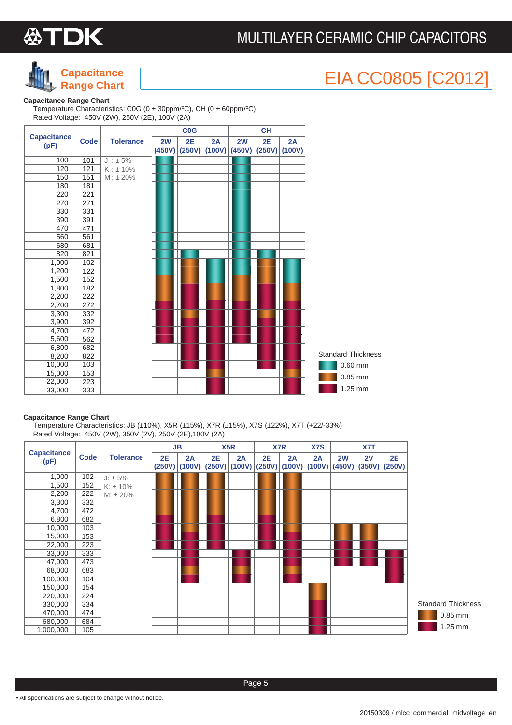



## EIA CC0805 [C2012]

#### **Capacitance Range Chart**

Temperature Characteristics: C0G (0 ± 30ppm/ºC), CH (0 ± 60ppm/ºC) Rated Voltage: 450V (2W), 250V (2E), 100V (2A)

|                            |             |                  | <b>C<sub>0</sub>G</b> |              |              |              | <b>CH</b>    |              |                           |
|----------------------------|-------------|------------------|-----------------------|--------------|--------------|--------------|--------------|--------------|---------------------------|
| <b>Capacitance</b><br>(pF) | <b>Code</b> | <b>Tolerance</b> | 2W<br>(450V)          | 2E<br>(250V) | 2A<br>(100V) | 2W<br>(450V) | 2E<br>(250V) | 2A<br>(100V) |                           |
| 100                        | 101         | $J : \pm 5\%$    |                       |              |              |              |              |              |                           |
| 120                        | 121         | K : ±10%         |                       |              |              |              |              |              |                           |
| 150                        | 151         | $M: \pm 20\%$    |                       |              |              |              |              |              |                           |
| 180                        | 181         |                  |                       |              |              |              |              |              |                           |
| 220                        | 221         |                  |                       |              |              |              |              |              |                           |
| 270                        | 271         |                  |                       |              |              |              |              |              |                           |
| 330                        | 331         |                  |                       |              |              |              |              |              |                           |
| 390                        | 391         |                  |                       |              |              |              |              |              |                           |
| 470                        | 471         |                  |                       |              |              |              |              |              |                           |
| 560                        | 561         |                  |                       |              |              |              |              |              |                           |
| 680                        | 681         |                  |                       |              |              |              |              |              |                           |
| 820                        | 821         |                  |                       |              |              |              |              |              |                           |
| 1,000                      | 102         |                  |                       |              |              |              |              |              |                           |
| 1,200                      | 122         |                  |                       |              |              |              |              |              |                           |
| 1,500                      | 152         |                  |                       |              |              |              |              |              |                           |
| 1,800                      | 182         |                  |                       |              |              |              |              |              |                           |
| 2,200                      | 222         |                  |                       |              |              |              |              |              |                           |
| 2,700                      | 272         |                  |                       |              |              |              |              |              |                           |
| 3,300                      | 332         |                  |                       |              |              |              |              |              |                           |
| 3,900                      | 392         |                  |                       |              |              |              |              |              |                           |
| 4,700                      | 472         |                  |                       |              |              |              |              |              |                           |
| 5,600                      | 562         |                  |                       |              |              |              |              |              |                           |
| 6,800                      | 682         |                  |                       |              |              |              |              |              |                           |
| 8,200                      | 822         |                  |                       |              |              |              |              |              | <b>Standard Thickness</b> |
| 10,000                     | 103         |                  |                       |              |              |              |              |              | $0.60$ mm                 |
| 15,000                     | 153         |                  |                       |              |              |              |              |              | $0.85$ mm                 |
| 22,000                     | 223         |                  |                       |              |              |              |              |              |                           |
| 33,000                     | 333         |                  |                       |              |              |              |              |              | 1.25 mm                   |

#### **Capacitance Range Chart**

Temperature Characteristics: JB (±10%), X5R (±15%), X7R (±15%), X7S (±22%), X7T (+22/-33%) Rated Voltage: 450V (2W), 350V (2V), 250V (2E),100V (2A)

|                            |             |                  |    | JВ |    | X <sub>5</sub> R                                                |    | X7R | <b>X7S</b> |    | X7T |                       |
|----------------------------|-------------|------------------|----|----|----|-----------------------------------------------------------------|----|-----|------------|----|-----|-----------------------|
| <b>Capacitance</b><br>(pF) | <b>Code</b> | <b>Tolerance</b> | 2E | 2A | 2E | 2A<br>$(250V)$ (100V) (250V) (100V) (250V) (100V) (100V) (450V) | 2E | 2A  | 2A         | 2W | 2V  | 2E<br>$(350V)$ (250V) |
| 1,000                      | 102         | $J: \pm 5\%$     |    |    |    |                                                                 |    |     |            |    |     |                       |
| 1,500                      | 152         | $K: \pm 10\%$    |    |    |    |                                                                 |    |     |            |    |     |                       |
| 2,200                      | 222         | $M: \pm 20\%$    |    |    |    |                                                                 |    |     |            |    |     |                       |
| 3,300                      | 332         |                  |    |    |    |                                                                 |    |     |            |    |     |                       |
| 4,700                      | 472         |                  |    |    |    |                                                                 |    |     |            |    |     |                       |
| 6,800                      | 682         |                  |    |    |    |                                                                 |    |     |            |    |     |                       |
| 10,000                     | 103         |                  |    |    |    |                                                                 |    |     |            |    |     |                       |
| 15,000                     | 153         |                  |    |    |    |                                                                 |    |     |            |    |     |                       |
| 22,000                     | 223         |                  |    |    |    |                                                                 |    |     |            |    |     |                       |
| 33,000                     | 333         |                  |    |    |    |                                                                 |    |     |            |    |     |                       |
| 47,000                     | 473         |                  |    |    |    |                                                                 |    |     |            |    |     |                       |
| 68,000                     | 683         |                  |    |    |    |                                                                 |    |     |            |    |     |                       |
| 100,000                    | 104         |                  |    |    |    |                                                                 |    |     |            |    |     |                       |
| 150,000                    | 154         |                  |    |    |    |                                                                 |    |     |            |    |     |                       |
| 220,000                    | 224         |                  |    |    |    |                                                                 |    |     |            |    |     |                       |
| 330,000                    | 334         |                  |    |    |    |                                                                 |    |     |            |    |     |                       |
| 470,000                    | 474         |                  |    |    |    |                                                                 |    |     |            |    |     |                       |
| 680,000                    | 684         |                  |    |    |    |                                                                 |    |     |            |    |     |                       |
| 1,000,000                  | 105         |                  |    |    |    |                                                                 |    |     |            |    |     |                       |

0.85 mm  $1.25$  mm ndard Thickness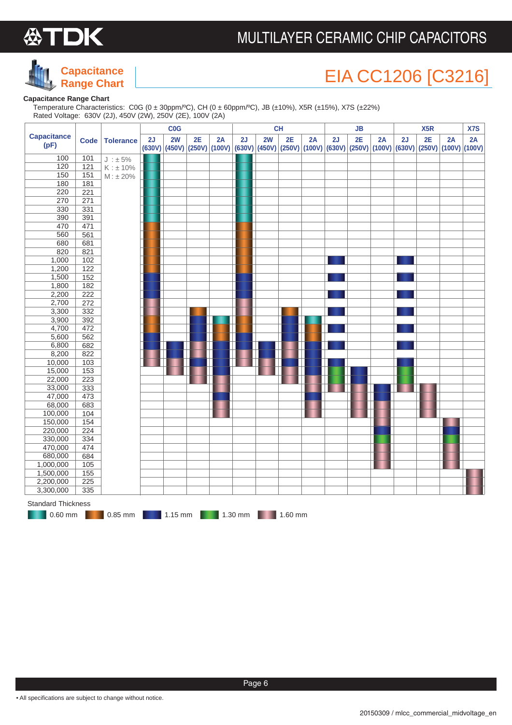



## EIA CC1206 [C3216]

### **Capacitance Range Chart**

 Temperature Characteristics: C0G (0 ± 30ppm/ºC), CH (0 ± 60ppm/ºC), JB (±10%), X5R (±15%), X7S (±22%) Rated Voltage: 630V (2J), 450V (2W), 250V (2E), 100V (2A)

| <b>Capacitance</b><br>2E<br>2E<br>2W<br>2E<br>2W<br>2E<br>2J<br>2A<br>2J<br>2A<br>2J<br>2A<br>2J<br>2A<br><b>Tolerance</b><br><b>Code</b><br>(pF)<br>(630V) (450V) (250V) (100V) (630V) (450V) (250V) (100V) (630V) (250V) (100V) (630V) (250V) (100V) (100V) (100V)<br>100<br>101<br>$J : \pm 5\%$<br>120<br>121<br>$K : \pm 10\%$<br>150<br>151<br>M : ±20%<br>180<br>181<br>220<br>221<br>271<br>270<br>330<br>331<br>390<br>391<br>470<br>471<br>560<br>561<br>681<br>680<br>820<br>821<br>1,000<br>102<br>1,200<br>$\overline{122}$<br>1,500<br>152<br>1,800<br>182<br>222<br>2,200<br>272<br>2,700<br>3,300<br>332<br>3,900<br>392<br>4,700<br>472<br>5,600<br>562<br>682<br>6,800<br>8,200<br>822<br>103<br>10,000<br>15,000<br>153<br>22,000<br>223<br>33,000<br>333<br>47,000<br>473<br>683<br>68,000<br>100,000<br>104<br>150,000<br>154<br>220,000<br>224<br>330,000<br>334<br>470,000<br>474<br>680,000<br>684<br>1,000,000<br>105<br>1,500,000<br>155<br>2,200,000<br>225<br>$\frac{1}{335}$<br>3,300,000 |  |  | COG |  |  | <b>CH</b> | JB |  |  | X <sub>5</sub> R |  |  | X7S |
|------------------------------------------------------------------------------------------------------------------------------------------------------------------------------------------------------------------------------------------------------------------------------------------------------------------------------------------------------------------------------------------------------------------------------------------------------------------------------------------------------------------------------------------------------------------------------------------------------------------------------------------------------------------------------------------------------------------------------------------------------------------------------------------------------------------------------------------------------------------------------------------------------------------------------------------------------------------------------------------------------------------------|--|--|-----|--|--|-----------|----|--|--|------------------|--|--|-----|
|                                                                                                                                                                                                                                                                                                                                                                                                                                                                                                                                                                                                                                                                                                                                                                                                                                                                                                                                                                                                                        |  |  |     |  |  |           |    |  |  |                  |  |  | 2A  |
|                                                                                                                                                                                                                                                                                                                                                                                                                                                                                                                                                                                                                                                                                                                                                                                                                                                                                                                                                                                                                        |  |  |     |  |  |           |    |  |  |                  |  |  |     |
|                                                                                                                                                                                                                                                                                                                                                                                                                                                                                                                                                                                                                                                                                                                                                                                                                                                                                                                                                                                                                        |  |  |     |  |  |           |    |  |  |                  |  |  |     |
|                                                                                                                                                                                                                                                                                                                                                                                                                                                                                                                                                                                                                                                                                                                                                                                                                                                                                                                                                                                                                        |  |  |     |  |  |           |    |  |  |                  |  |  |     |
|                                                                                                                                                                                                                                                                                                                                                                                                                                                                                                                                                                                                                                                                                                                                                                                                                                                                                                                                                                                                                        |  |  |     |  |  |           |    |  |  |                  |  |  |     |
|                                                                                                                                                                                                                                                                                                                                                                                                                                                                                                                                                                                                                                                                                                                                                                                                                                                                                                                                                                                                                        |  |  |     |  |  |           |    |  |  |                  |  |  |     |
|                                                                                                                                                                                                                                                                                                                                                                                                                                                                                                                                                                                                                                                                                                                                                                                                                                                                                                                                                                                                                        |  |  |     |  |  |           |    |  |  |                  |  |  |     |
|                                                                                                                                                                                                                                                                                                                                                                                                                                                                                                                                                                                                                                                                                                                                                                                                                                                                                                                                                                                                                        |  |  |     |  |  |           |    |  |  |                  |  |  |     |
|                                                                                                                                                                                                                                                                                                                                                                                                                                                                                                                                                                                                                                                                                                                                                                                                                                                                                                                                                                                                                        |  |  |     |  |  |           |    |  |  |                  |  |  |     |
|                                                                                                                                                                                                                                                                                                                                                                                                                                                                                                                                                                                                                                                                                                                                                                                                                                                                                                                                                                                                                        |  |  |     |  |  |           |    |  |  |                  |  |  |     |
|                                                                                                                                                                                                                                                                                                                                                                                                                                                                                                                                                                                                                                                                                                                                                                                                                                                                                                                                                                                                                        |  |  |     |  |  |           |    |  |  |                  |  |  |     |
|                                                                                                                                                                                                                                                                                                                                                                                                                                                                                                                                                                                                                                                                                                                                                                                                                                                                                                                                                                                                                        |  |  |     |  |  |           |    |  |  |                  |  |  |     |
|                                                                                                                                                                                                                                                                                                                                                                                                                                                                                                                                                                                                                                                                                                                                                                                                                                                                                                                                                                                                                        |  |  |     |  |  |           |    |  |  |                  |  |  |     |
|                                                                                                                                                                                                                                                                                                                                                                                                                                                                                                                                                                                                                                                                                                                                                                                                                                                                                                                                                                                                                        |  |  |     |  |  |           |    |  |  |                  |  |  |     |
|                                                                                                                                                                                                                                                                                                                                                                                                                                                                                                                                                                                                                                                                                                                                                                                                                                                                                                                                                                                                                        |  |  |     |  |  |           |    |  |  |                  |  |  |     |
|                                                                                                                                                                                                                                                                                                                                                                                                                                                                                                                                                                                                                                                                                                                                                                                                                                                                                                                                                                                                                        |  |  |     |  |  |           |    |  |  |                  |  |  |     |
|                                                                                                                                                                                                                                                                                                                                                                                                                                                                                                                                                                                                                                                                                                                                                                                                                                                                                                                                                                                                                        |  |  |     |  |  |           |    |  |  |                  |  |  |     |
|                                                                                                                                                                                                                                                                                                                                                                                                                                                                                                                                                                                                                                                                                                                                                                                                                                                                                                                                                                                                                        |  |  |     |  |  |           |    |  |  |                  |  |  |     |
|                                                                                                                                                                                                                                                                                                                                                                                                                                                                                                                                                                                                                                                                                                                                                                                                                                                                                                                                                                                                                        |  |  |     |  |  |           |    |  |  |                  |  |  |     |
|                                                                                                                                                                                                                                                                                                                                                                                                                                                                                                                                                                                                                                                                                                                                                                                                                                                                                                                                                                                                                        |  |  |     |  |  |           |    |  |  |                  |  |  |     |
|                                                                                                                                                                                                                                                                                                                                                                                                                                                                                                                                                                                                                                                                                                                                                                                                                                                                                                                                                                                                                        |  |  |     |  |  |           |    |  |  |                  |  |  |     |
|                                                                                                                                                                                                                                                                                                                                                                                                                                                                                                                                                                                                                                                                                                                                                                                                                                                                                                                                                                                                                        |  |  |     |  |  |           |    |  |  |                  |  |  |     |
|                                                                                                                                                                                                                                                                                                                                                                                                                                                                                                                                                                                                                                                                                                                                                                                                                                                                                                                                                                                                                        |  |  |     |  |  |           |    |  |  |                  |  |  |     |
|                                                                                                                                                                                                                                                                                                                                                                                                                                                                                                                                                                                                                                                                                                                                                                                                                                                                                                                                                                                                                        |  |  |     |  |  |           |    |  |  |                  |  |  |     |
|                                                                                                                                                                                                                                                                                                                                                                                                                                                                                                                                                                                                                                                                                                                                                                                                                                                                                                                                                                                                                        |  |  |     |  |  |           |    |  |  |                  |  |  |     |
|                                                                                                                                                                                                                                                                                                                                                                                                                                                                                                                                                                                                                                                                                                                                                                                                                                                                                                                                                                                                                        |  |  |     |  |  |           |    |  |  |                  |  |  |     |
|                                                                                                                                                                                                                                                                                                                                                                                                                                                                                                                                                                                                                                                                                                                                                                                                                                                                                                                                                                                                                        |  |  |     |  |  |           |    |  |  |                  |  |  |     |
|                                                                                                                                                                                                                                                                                                                                                                                                                                                                                                                                                                                                                                                                                                                                                                                                                                                                                                                                                                                                                        |  |  |     |  |  |           |    |  |  |                  |  |  |     |
|                                                                                                                                                                                                                                                                                                                                                                                                                                                                                                                                                                                                                                                                                                                                                                                                                                                                                                                                                                                                                        |  |  |     |  |  |           |    |  |  |                  |  |  |     |
|                                                                                                                                                                                                                                                                                                                                                                                                                                                                                                                                                                                                                                                                                                                                                                                                                                                                                                                                                                                                                        |  |  |     |  |  |           |    |  |  |                  |  |  |     |
|                                                                                                                                                                                                                                                                                                                                                                                                                                                                                                                                                                                                                                                                                                                                                                                                                                                                                                                                                                                                                        |  |  |     |  |  |           |    |  |  |                  |  |  |     |
|                                                                                                                                                                                                                                                                                                                                                                                                                                                                                                                                                                                                                                                                                                                                                                                                                                                                                                                                                                                                                        |  |  |     |  |  |           |    |  |  |                  |  |  |     |
|                                                                                                                                                                                                                                                                                                                                                                                                                                                                                                                                                                                                                                                                                                                                                                                                                                                                                                                                                                                                                        |  |  |     |  |  |           |    |  |  |                  |  |  |     |
|                                                                                                                                                                                                                                                                                                                                                                                                                                                                                                                                                                                                                                                                                                                                                                                                                                                                                                                                                                                                                        |  |  |     |  |  |           |    |  |  |                  |  |  |     |
|                                                                                                                                                                                                                                                                                                                                                                                                                                                                                                                                                                                                                                                                                                                                                                                                                                                                                                                                                                                                                        |  |  |     |  |  |           |    |  |  |                  |  |  |     |
|                                                                                                                                                                                                                                                                                                                                                                                                                                                                                                                                                                                                                                                                                                                                                                                                                                                                                                                                                                                                                        |  |  |     |  |  |           |    |  |  |                  |  |  |     |
|                                                                                                                                                                                                                                                                                                                                                                                                                                                                                                                                                                                                                                                                                                                                                                                                                                                                                                                                                                                                                        |  |  |     |  |  |           |    |  |  |                  |  |  |     |
|                                                                                                                                                                                                                                                                                                                                                                                                                                                                                                                                                                                                                                                                                                                                                                                                                                                                                                                                                                                                                        |  |  |     |  |  |           |    |  |  |                  |  |  |     |
|                                                                                                                                                                                                                                                                                                                                                                                                                                                                                                                                                                                                                                                                                                                                                                                                                                                                                                                                                                                                                        |  |  |     |  |  |           |    |  |  |                  |  |  |     |
|                                                                                                                                                                                                                                                                                                                                                                                                                                                                                                                                                                                                                                                                                                                                                                                                                                                                                                                                                                                                                        |  |  |     |  |  |           |    |  |  |                  |  |  |     |
|                                                                                                                                                                                                                                                                                                                                                                                                                                                                                                                                                                                                                                                                                                                                                                                                                                                                                                                                                                                                                        |  |  |     |  |  |           |    |  |  |                  |  |  |     |
| <b>Standard Thickness</b><br>$0.60$ mm<br>$0.85$ mm $\blacksquare$<br>1.15 mm 1.30 mm 1.60 mm                                                                                                                                                                                                                                                                                                                                                                                                                                                                                                                                                                                                                                                                                                                                                                                                                                                                                                                          |  |  |     |  |  |           |    |  |  |                  |  |  |     |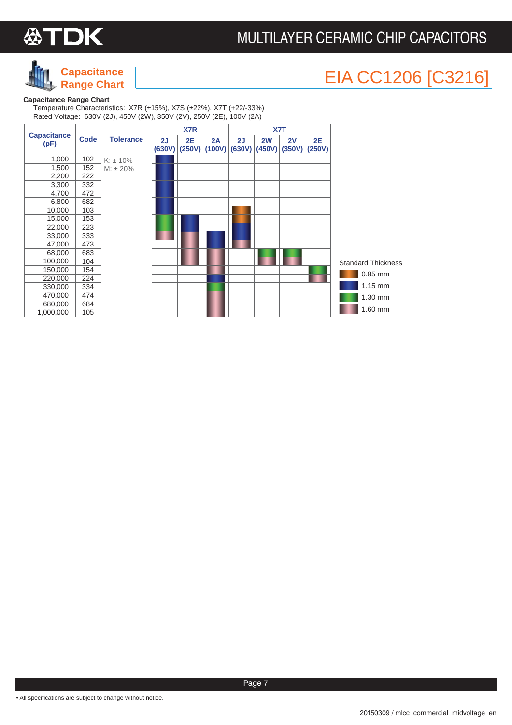



## EIA CC1206 [C3216]

### **Capacitance Range Chart**

 Temperature Characteristics: X7R (±15%), X7S (±22%), X7T (+22/-33%) Rated Voltage: 630V (2J), 450V (2W), 350V (2V), 250V (2E), 100V (2A)

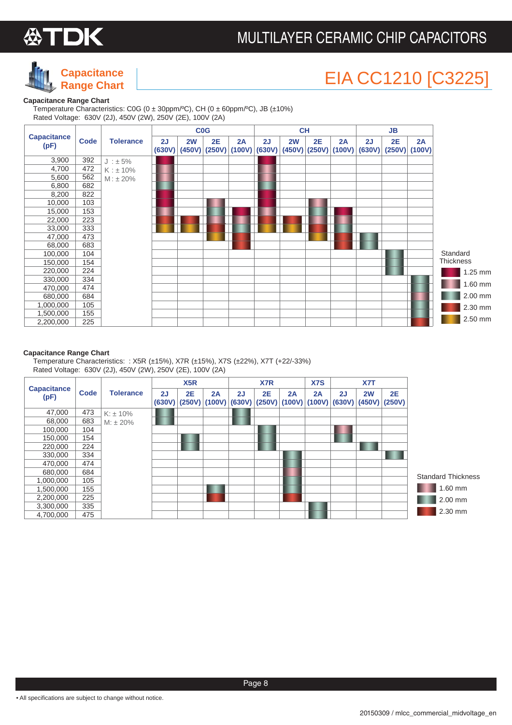



## EIA CC1210 [C3225]

#### **Capacitance Range Chart**

Temperature Characteristics: C0G (0 ± 30ppm/ºC), CH (0 ± 60ppm/ºC), JB (±10%) Rated Voltage: 630V (2J), 450V (2W), 250V (2E), 100V (2A)



#### **Capacitance Range Chart**

Temperature Characteristics: : X5R (±15%), X7R (±15%), X7S (±22%), X7T (+22/-33%) Rated Voltage: 630V (2J), 450V (2W), 250V (2E), 100V (2A)

|                            |      |                  |              | X5R          |                       |    | X7 <sub>R</sub> |              | X7S          |              | X7T          |                     |                           |
|----------------------------|------|------------------|--------------|--------------|-----------------------|----|-----------------|--------------|--------------|--------------|--------------|---------------------|---------------------------|
| <b>Capacitance</b><br>(pF) | Code | <b>Tolerance</b> | 2J<br>(630V) | 2E<br>(250V) | 2A<br>$(100V)$ (630V) | 2J | 2E<br>(250V)    | 2A<br>(100V) | 2A<br>(100V) | 2J<br>(630V) | 2W<br>(450V) | <b>2E</b><br>(250V) |                           |
| 47,000                     | 473  | $K: \pm 10\%$    |              |              |                       |    |                 |              |              |              |              |                     |                           |
| 68,000                     | 683  | $M: \pm 20\%$    |              |              |                       |    |                 |              |              |              |              |                     |                           |
| 100,000                    | 104  |                  |              |              |                       |    |                 |              |              |              |              |                     |                           |
| 150,000                    | 154  |                  |              |              |                       |    |                 |              |              |              |              |                     |                           |
| 220,000                    | 224  |                  |              |              |                       |    |                 |              |              |              |              |                     |                           |
| 330,000                    | 334  |                  |              |              |                       |    |                 |              |              |              |              |                     |                           |
| 470,000                    | 474  |                  |              |              |                       |    |                 |              |              |              |              |                     |                           |
| 680,000                    | 684  |                  |              |              |                       |    |                 |              |              |              |              |                     | <b>Standard Thickness</b> |
| 1,000,000                  | 105  |                  |              |              |                       |    |                 |              |              |              |              |                     |                           |
| 1,500,000                  | 155  |                  |              |              |                       |    |                 |              |              |              |              |                     | 1.60 mm                   |
| 2,200,000                  | 225  |                  |              |              |                       |    |                 |              |              |              |              |                     | 2.00 mm                   |
| 3,300,000                  | 335  |                  |              |              |                       |    |                 |              |              |              |              |                     |                           |
| 4,700,000                  | 475  |                  |              |              |                       |    |                 |              |              |              |              |                     | 2.30 mm                   |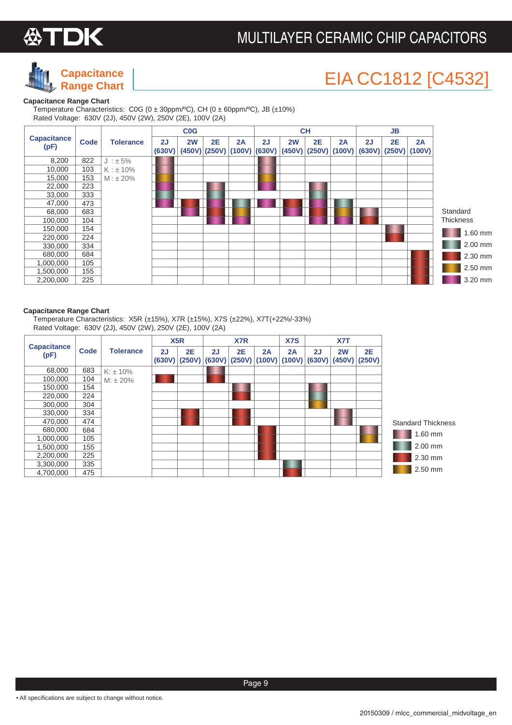



## EIA CC1812 [C4532]

#### **Capacitance Range Chart**

 Temperature Characteristics: C0G (0 ± 30ppm/ºC), CH (0 ± 60ppm/ºC), JB (±10%) Rated Voltage: 630V (2J), 450V (2W), 250V (2E), 100V (2A)



#### **Capacitance Range Chart**

 Temperature Characteristics: X5R (±15%), X7R (±15%), X7S (±22%), X7T(+22%/-33%) Rated Voltage: 630V (2J), 450V (2W), 250V (2E), 100V (2A)

|                            |      |                  |              | X <sub>5</sub> R    |              | X7 <sub>R</sub> |              | X7S |                       | X7T          |                     |                           |
|----------------------------|------|------------------|--------------|---------------------|--------------|-----------------|--------------|-----|-----------------------|--------------|---------------------|---------------------------|
| <b>Capacitance</b><br>(pF) | Code | <b>Tolerance</b> | 2J<br>(630V) | <b>2E</b><br>(250V) | 2J<br>(630V) | 2E<br>(250V)    | 2A<br>(100V) | 2A  | 2J<br>$(100V)$ (630V) | 2W<br>(450V) | <b>2E</b><br>(250V) |                           |
| 68,000                     | 683  | $K: \pm 10\%$    |              |                     |              |                 |              |     |                       |              |                     |                           |
| 100,000                    | 104  | $M: \pm 20\%$    |              |                     |              |                 |              |     |                       |              |                     |                           |
| 150,000                    | 154  |                  |              |                     |              |                 |              |     |                       |              |                     |                           |
| 220,000                    | 224  |                  |              |                     |              |                 |              |     |                       |              |                     |                           |
| 300,000                    | 304  |                  |              |                     |              |                 |              |     |                       |              |                     |                           |
| 330,000                    | 334  |                  |              |                     |              |                 |              |     |                       |              |                     |                           |
| 470.000                    | 474  |                  |              |                     |              |                 |              |     |                       |              |                     | <b>Standard Thickness</b> |
| 680.000                    | 684  |                  |              |                     |              |                 |              |     |                       |              |                     | 1.60 mm                   |
| 1,000,000                  | 105  |                  |              |                     |              |                 |              |     |                       |              |                     |                           |
| 1,500,000                  | 155  |                  |              |                     |              |                 |              |     |                       |              |                     | 2.00 mm                   |
| 2,200,000                  | 225  |                  |              |                     |              |                 |              |     |                       |              |                     | 2.30 mm                   |
| 3,300,000                  | 335  |                  |              |                     |              |                 |              |     |                       |              |                     |                           |
| 4,700,000                  | 475  |                  |              |                     |              |                 |              |     |                       |              |                     | 2.50 mm                   |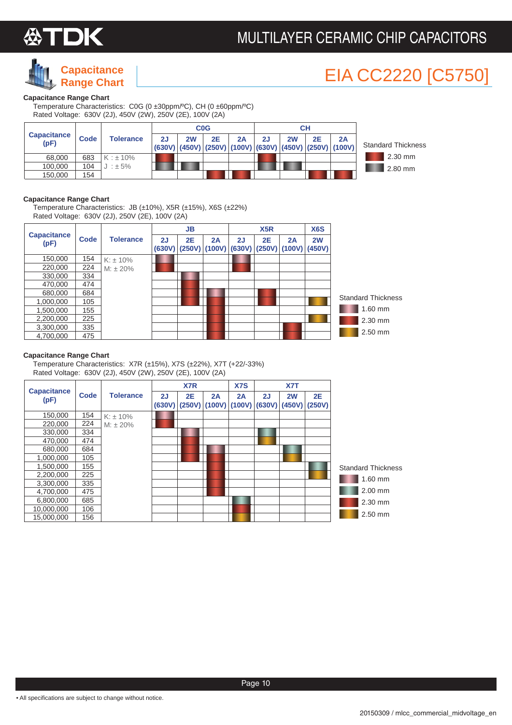

### **Capacitance Range Chart**

## **EIA CC2220 [C5750**

#### **Capacitance Range Chart**

Temperature Characteristics: C0G (0 ±30ppm/ºC), CH (0 ±60ppm/ºC) Rated Voltage: 630V (2J), 450V (2W), 250V (2E), 100V (2A)

|                            |      |                  |    |    | <b>C<sub>0</sub>G</b> |                                                               |    |    | CН        |    |                           |
|----------------------------|------|------------------|----|----|-----------------------|---------------------------------------------------------------|----|----|-----------|----|---------------------------|
| <b>Capacitance</b><br>(pF) | Code | <b>Tolerance</b> | 2J | 2W | 2E                    | 2A<br>(630V) (450V) (250V) (100V) (630V) (450V) (250V) (100V) | 2J | 2W | <b>2E</b> | 2A | <b>Standard Thickness</b> |
| 68,000                     | 683  | $K : \pm 10\%$   |    |    |                       |                                                               |    |    |           |    | $2.30$ mm                 |
| 100.000                    | 104  | $J : \pm 5\%$    |    |    |                       |                                                               |    |    |           |    | $2.80$ mm                 |
| 150.000                    | 154  |                  |    |    |                       |                                                               |    |    |           |    |                           |

#### **Capacitance Range Chart**

Temperature Characteristics: JB (±10%), X5R (±15%), X6S (±22%) Rated Voltage: 630V (2J), 250V (2E), 100V (2A)

|                            |      |                  |              | <b>JB</b> |                       |              | X <sub>5</sub> R             |    | X <sub>6</sub> S |                           |
|----------------------------|------|------------------|--------------|-----------|-----------------------|--------------|------------------------------|----|------------------|---------------------------|
| <b>Capacitance</b><br>(pF) | Code | <b>Tolerance</b> | 2J<br>(630V) | 2E        | 2A<br>$(250V)$ (100V) | 2J<br>(630V) | <b>2E</b><br>$(250V)$ (100V) | 2A | 2W<br>(450V)     |                           |
| 150,000                    | 154  | $K: \pm 10\%$    |              |           |                       |              |                              |    |                  |                           |
| 220,000                    | 224  | $M: \pm 20\%$    |              |           |                       |              |                              |    |                  |                           |
| 330,000                    | 334  |                  |              |           |                       |              |                              |    |                  |                           |
| 470.000                    | 474  |                  |              |           |                       |              |                              |    |                  |                           |
| 680,000                    | 684  |                  |              |           |                       |              |                              |    |                  |                           |
| 1.000.000                  | 105  |                  |              |           |                       |              |                              |    |                  | <b>Standard Thickness</b> |
| 1.500.000                  | 155  |                  |              |           |                       |              |                              |    |                  | 1.60 mm                   |
| 2,200,000                  | 225  |                  |              |           |                       |              |                              |    |                  | 2.30 mm                   |
| 3.300.000                  | 335  |                  |              |           |                       |              |                              |    |                  |                           |
| 4.700.000                  | 475  |                  |              |           |                       |              |                              |    |                  | $2.50$ mm                 |

#### **Capacitance Range Chart**

Temperature Characteristics: X7R (±15%), X7S (±22%), X7T (+22/-33%) Rated Voltage: 630V (2J), 450V (2W), 250V (2E), 100V (2A)

|                            |             |                  |              | X7 <sub>R</sub> |                       | X7S          |              | X7T          |                     |                           |
|----------------------------|-------------|------------------|--------------|-----------------|-----------------------|--------------|--------------|--------------|---------------------|---------------------------|
| <b>Capacitance</b><br>(pF) | <b>Code</b> | <b>Tolerance</b> | 2J<br>(630V) | <b>2E</b>       | 2A<br>$(250V)$ (100V) | 2A<br>(100V) | 2J<br>(630V) | 2W<br>(450V) | <b>2E</b><br>(250V) |                           |
| 150,000                    | 154         | $K: \pm 10\%$    |              |                 |                       |              |              |              |                     |                           |
| 220,000                    | 224         | $M: \pm 20\%$    |              |                 |                       |              |              |              |                     |                           |
| 330,000                    | 334         |                  |              |                 |                       |              |              |              |                     |                           |
| 470,000                    | 474         |                  |              |                 |                       |              |              |              |                     |                           |
| 680,000                    | 684         |                  |              |                 |                       |              |              |              |                     |                           |
| 1,000,000                  | 105         |                  |              |                 |                       |              |              |              |                     |                           |
| 1,500,000                  | 155         |                  |              |                 |                       |              |              |              |                     | <b>Standard Thickness</b> |
| 2,200,000                  | 225         |                  |              |                 |                       |              |              |              |                     | 1.60 mm                   |
| 3,300,000                  | 335         |                  |              |                 |                       |              |              |              |                     |                           |
| 4,700,000                  | 475         |                  |              |                 |                       |              |              |              |                     | 2.00 mm                   |
| 6,800,000                  | 685         |                  |              |                 |                       |              |              |              |                     | 2.30 mm                   |
| 10,000,000                 | 106         |                  |              |                 |                       |              |              |              |                     |                           |
| 15,000,000                 | 156         |                  |              |                 |                       |              |              |              |                     | 2.50 mm                   |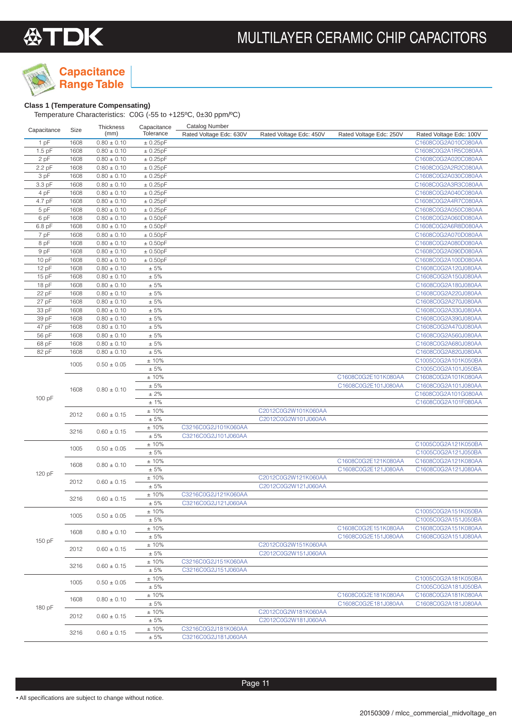

### **Class 1 (Temperature Compensating)**

| Capacitance | Size | Thickness       | Capacitance | <b>Catalog Number</b>   |                         |                         |                         |
|-------------|------|-----------------|-------------|-------------------------|-------------------------|-------------------------|-------------------------|
|             |      | (mm)            | Tolerance   | Rated Voltage Edc: 630V | Rated Voltage Edc: 450V | Rated Voltage Edc: 250V | Rated Voltage Edc: 100V |
| 1pF         | 1608 | $0.80 \pm 0.10$ | ± 0.25pF    |                         |                         |                         | C1608C0G2A010C080AA     |
| $1.5$ pF    | 1608 | $0.80 \pm 0.10$ | ± 0.25pF    |                         |                         |                         | C1608C0G2A1R5C080AA     |
| 2 pF        | 1608 | $0.80 \pm 0.10$ | ± 0.25pF    |                         |                         |                         | C1608C0G2A020C080AA     |
| 2.2 pF      | 1608 | $0.80 \pm 0.10$ | ± 0.25pF    |                         |                         |                         | C1608C0G2A2R2C080AA     |
| 3 pF        | 1608 | $0.80 \pm 0.10$ | ± 0.25pF    |                         |                         |                         | C1608C0G2A030C080AA     |
| 3.3 pF      | 1608 | $0.80 \pm 0.10$ | ± 0.25pF    |                         |                         |                         | C1608C0G2A3R3C080AA     |
| 4 pF        | 1608 | $0.80 \pm 0.10$ | ± 0.25pF    |                         |                         |                         | C1608C0G2A040C080AA     |
| 4.7 pF      | 1608 | $0.80 \pm 0.10$ | ± 0.25pF    |                         |                         |                         | C1608C0G2A4R7C080AA     |
| 5 pF        | 1608 | $0.80 \pm 0.10$ | ± 0.25pF    |                         |                         |                         | C1608C0G2A050C080AA     |
| 6 pF        | 1608 | $0.80 \pm 0.10$ | ± 0.50pF    |                         |                         |                         | C1608C0G2A060D080AA     |
| 6.8 pF      | 1608 | $0.80 \pm 0.10$ | ± 0.50pF    |                         |                         |                         | C1608C0G2A6R8D080AA     |
| 7 pF        | 1608 | $0.80 \pm 0.10$ | ± 0.50pF    |                         |                         |                         | C1608C0G2A070D080AA     |
| 8 pF        | 1608 | $0.80 \pm 0.10$ | ± 0.50pF    |                         |                         |                         | C1608C0G2A080D080AA     |
| 9 pF        | 1608 | $0.80 \pm 0.10$ | ± 0.50pF    |                         |                         |                         | C1608C0G2A090D080AA     |
| 10 pF       | 1608 | $0.80 \pm 0.10$ | ± 0.50pF    |                         |                         |                         | C1608C0G2A100D080AA     |
| 12 pF       | 1608 | $0.80 \pm 0.10$ | $\pm 5\%$   |                         |                         |                         | C1608C0G2A120J080AA     |
| 15 pF       | 1608 | $0.80 \pm 0.10$ | $\pm 5\%$   |                         |                         |                         | C1608C0G2A150J080AA     |
| 18 pF       | 1608 | $0.80 \pm 0.10$ | $\pm$ 5%    |                         |                         |                         | C1608C0G2A180J080AA     |
| 22 pF       | 1608 | $0.80 \pm 0.10$ | $\pm$ 5%    |                         |                         |                         | C1608C0G2A220J080AA     |
| 27 pF       | 1608 | $0.80 \pm 0.10$ | $\pm$ 5%    |                         |                         |                         | C1608C0G2A270J080AA     |
| 33 pF       | 1608 | $0.80 \pm 0.10$ | $\pm 5\%$   |                         |                         |                         | C1608C0G2A330J080AA     |
| 39 pF       | 1608 | $0.80 \pm 0.10$ | ± 5%        |                         |                         |                         | C1608C0G2A390J080AA     |
| 47 pF       | 1608 | $0.80 \pm 0.10$ | $\pm 5\%$   |                         |                         |                         | C1608C0G2A470J080AA     |
| 56 pF       | 1608 | $0.80 \pm 0.10$ | ± 5%        |                         |                         |                         | C1608C0G2A560J080AA     |
| 68 pF       | 1608 | $0.80 \pm 0.10$ | $\pm 5\%$   |                         |                         |                         | C1608C0G2A680J080AA     |
| 82 pF       | 1608 | $0.80 \pm 0.10$ | ± 5%        |                         |                         |                         | C1608C0G2A820J080AA     |
|             | 1005 | $0.50 \pm 0.05$ | ±10%        |                         |                         |                         | C1005C0G2A101K050BA     |
|             |      |                 | $\pm 5\%$   |                         |                         |                         | C1005C0G2A101J050BA     |
|             |      |                 | ±10%        |                         |                         | C1608C0G2E101K080AA     | C1608C0G2A101K080AA     |
|             | 1608 | $0.80 \pm 0.10$ | ± 5%        |                         |                         | C1608C0G2E101J080AA     | C1608C0G2A101J080AA     |
| 100 pF      |      |                 | ± 2%        |                         |                         |                         | C1608C0G2A101G080AA     |
|             |      |                 | ±1%         |                         |                         |                         | C1608C0G2A101F080AA     |
|             | 2012 | $0.60 \pm 0.15$ | ±10%        |                         | C2012C0G2W101K060AA     |                         |                         |
|             |      |                 | $\pm 5\%$   |                         | C2012C0G2W101J060AA     |                         |                         |
|             | 3216 | $0.60 \pm 0.15$ | ±10%        | C3216C0G2J101K060AA     |                         |                         |                         |
|             |      |                 | $\pm 5\%$   | C3216C0G2J101J060AA     |                         |                         |                         |
|             | 1005 | $0.50 \pm 0.05$ | ±10%        |                         |                         |                         | C1005C0G2A121K050BA     |
|             |      |                 | ± 5%        |                         |                         |                         | C1005C0G2A121J050BA     |
|             | 1608 | $0.80 \pm 0.10$ | ±10%        |                         |                         | C1608C0G2E121K080AA     | C1608C0G2A121K080AA     |
| 120 pF      |      |                 | ± 5%        |                         |                         | C1608C0G2E121J080AA     | C1608C0G2A121J080AA     |
|             | 2012 | $0.60 \pm 0.15$ | ±10%        |                         | C2012C0G2W121K060AA     |                         |                         |
|             |      |                 | $\pm 5\%$   |                         | C2012C0G2W121J060AA     |                         |                         |
|             | 3216 | $0.60 \pm 0.15$ | ±10%        | C3216C0G2J121K060AA     |                         |                         |                         |
|             |      |                 | ± 5%        | C3216C0G2J121J060AA     |                         |                         |                         |
|             | 1005 | $0.50 \pm 0.05$ | ±10%        |                         |                         |                         | C1005C0G2A151K050BA     |
|             |      |                 | ± 5%        |                         |                         |                         | C1005C0G2A151J050BA     |
|             | 1608 | $0.80 \pm 0.10$ | ±10%        |                         |                         | C1608C0G2E151K080AA     | C1608C0G2A151K080AA     |
| 150 pF      |      |                 | ± 5%        |                         |                         | C1608C0G2E151J080AA     | C1608C0G2A151J080AA     |
|             | 2012 | $0.60 \pm 0.15$ | ±10%        |                         | C2012C0G2W151K060AA     |                         |                         |
|             |      |                 | $\pm$ 5%    |                         | C2012C0G2W151J060AA     |                         |                         |
|             | 3216 | $0.60 \pm 0.15$ | ±10%        | C3216C0G2J151K060AA     |                         |                         |                         |
|             |      |                 | $\pm 5\%$   | C3216C0G2J151J060AA     |                         |                         |                         |
|             | 1005 | $0.50 \pm 0.05$ | ±10%        |                         |                         |                         | C1005C0G2A181K050BA     |
|             |      |                 | $\pm$ 5%    |                         |                         |                         | C1005C0G2A181J050BA     |
|             | 1608 | $0.80 \pm 0.10$ | $\pm$ 10%   |                         |                         | C1608C0G2E181K080AA     | C1608C0G2A181K080AA     |
| 180 pF      |      |                 | $\pm$ 5%    |                         |                         | C1608C0G2E181J080AA     | C1608C0G2A181J080AA     |
|             | 2012 | $0.60 \pm 0.15$ | ±10%        |                         | C2012C0G2W181K060AA     |                         |                         |
|             |      |                 | $\pm$ 5%    |                         | C2012C0G2W181J060AA     |                         |                         |
|             | 3216 | $0.60 \pm 0.15$ | $\pm$ 10%   | C3216C0G2J181K060AA     |                         |                         |                         |
|             |      |                 | $\pm$ 5%    | C3216C0G2J181J060AA     |                         |                         |                         |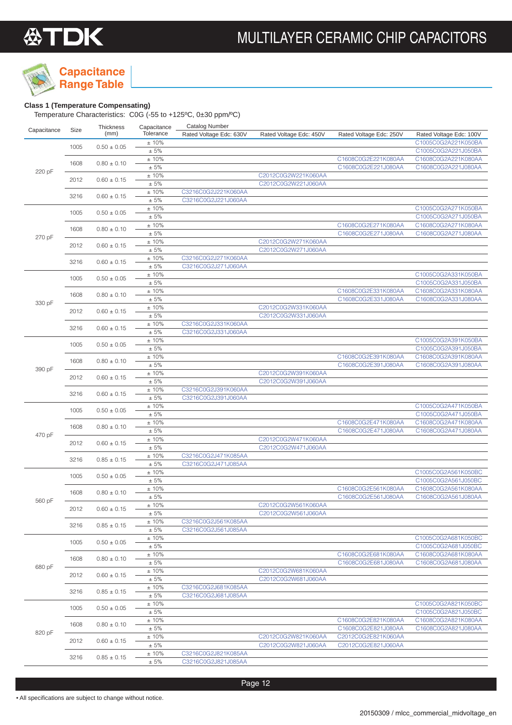

## **Capacitance**

### **Range Table Class 1 (Temperature Compensating)**

Temperature Characteristics: C0G (-55 to +125ºC, 0±30 ppm/ºC)

| Capacitance | Size | Thickness<br>(mm) | Capacitance<br>Tolerance | <b>Catalog Number</b><br>Rated Voltage Edc: 630V | Rated Voltage Edc: 450V                    | Rated Voltage Edc: 250V                    | Rated Voltage Edc: 100V                    |
|-------------|------|-------------------|--------------------------|--------------------------------------------------|--------------------------------------------|--------------------------------------------|--------------------------------------------|
|             | 1005 | $0.50 \pm 0.05$   | ±10%                     |                                                  |                                            |                                            | C1005C0G2A221K050BA                        |
|             |      |                   | ± 5%                     |                                                  |                                            |                                            | C1005C0G2A221J050BA                        |
|             | 1608 | $0.80 \pm 0.10$   | ± 10%<br>$\pm$ 5%        |                                                  |                                            | C1608C0G2E221K080AA<br>C1608C0G2E221J080AA | C1608C0G2A221K080AA<br>C1608C0G2A221J080AA |
| 220 pF      |      |                   | ±10%                     |                                                  | C2012C0G2W221K060AA                        |                                            |                                            |
|             | 2012 | $0.60 \pm 0.15$   | ± 5%                     |                                                  | C2012C0G2W221J060AA                        |                                            |                                            |
|             | 3216 | $0.60 \pm 0.15$   | $\pm$ 10%                | C3216C0G2J221K060AA                              |                                            |                                            |                                            |
|             |      |                   | $\pm$ 5%<br>±10%         | C3216C0G2J221J060AA                              |                                            |                                            | C1005C0G2A271K050BA                        |
|             | 1005 | $0.50 \pm 0.05$   | $\pm$ 5%                 |                                                  |                                            |                                            | C1005C0G2A271J050BA                        |
|             |      |                   | ±10%                     |                                                  |                                            | C1608C0G2E271K080AA                        | C1608C0G2A271K080AA                        |
| 270 pF      | 1608 | $0.80 \pm 0.10$   | ± 5%                     |                                                  |                                            | C1608C0G2E271J080AA                        | C1608C0G2A271J080AA                        |
|             | 2012 | $0.60 \pm 0.15$   | ± 10%                    |                                                  | C2012C0G2W271K060AA                        |                                            |                                            |
|             |      |                   | ± 5%<br>±10%             | C3216C0G2J271K060AA                              | C2012C0G2W271J060AA                        |                                            |                                            |
|             | 3216 | $0.60 \pm 0.15$   | ± 5%                     | C3216C0G2J271J060AA                              |                                            |                                            |                                            |
|             |      |                   | ±10%                     |                                                  |                                            |                                            | C1005C0G2A331K050BA                        |
|             | 1005 | $0.50 \pm 0.05$   | $\pm$ 5%                 |                                                  |                                            |                                            | C1005C0G2A331J050BA                        |
|             | 1608 | $0.80 \pm 0.10$   | ±10%                     |                                                  |                                            | C1608C0G2E331K080AA<br>C1608C0G2E331J080AA | C1608C0G2A331K080AA                        |
| 330 pF      |      |                   | $\pm$ 5%<br>±10%         |                                                  | C2012C0G2W331K060AA                        |                                            | C1608C0G2A331J080AA                        |
|             | 2012 | $0.60 \pm 0.15$   | $\pm 5\%$                |                                                  | C2012C0G2W331J060AA                        |                                            |                                            |
|             | 3216 | $0.60 \pm 0.15$   | $\pm$ 10%                | C3216C0G2J331K060AA                              |                                            |                                            |                                            |
|             |      |                   | ± 5%                     | C3216C0G2J331J060AA                              |                                            |                                            |                                            |
|             | 1005 | $0.50 \pm 0.05$   | ±10%<br>± 5%             |                                                  |                                            |                                            | C1005C0G2A391K050BA<br>C1005C0G2A391J050BA |
|             |      |                   | ±10%                     |                                                  |                                            | C1608C0G2E391K080AA                        | C1608C0G2A391K080AA                        |
|             | 1608 | $0.80 \pm 0.10$   | ± 5%                     |                                                  |                                            | C1608C0G2E391J080AA                        | C1608C0G2A391J080AA                        |
| 390 pF      | 2012 | $0.60 \pm 0.15$   | ±10%                     |                                                  | C2012C0G2W391K060AA                        |                                            |                                            |
|             |      |                   | $\pm$ 5%                 |                                                  | C2012C0G2W391J060AA                        |                                            |                                            |
|             | 3216 | $0.60 \pm 0.15$   | $\pm$ 10%<br>$\pm$ 5%    | C3216C0G2J391K060AA<br>C3216C0G2J391J060AA       |                                            |                                            |                                            |
|             |      |                   | ±10%                     |                                                  |                                            |                                            | C1005C0G2A471K050BA                        |
|             | 1005 | $0.50 \pm 0.05$   | $\pm$ 5%                 |                                                  |                                            |                                            | C1005C0G2A471J050BA                        |
|             | 1608 | $0.80 \pm 0.10$   | ±10%                     |                                                  |                                            | C1608C0G2E471K080AA                        | C1608C0G2A471K080AA                        |
| 470 pF      |      |                   | $\pm$ 5%                 |                                                  | C2012C0G2W471K060AA                        | C1608C0G2E471J080AA                        | C1608C0G2A471J080AA                        |
|             | 2012 | $0.60 \pm 0.15$   | ±10%<br>$\pm$ 5%         |                                                  | C2012C0G2W471J060AA                        |                                            |                                            |
|             |      |                   | $\pm$ 10%                | C3216C0G2J471K085AA                              |                                            |                                            |                                            |
|             | 3216 | $0.85 \pm 0.15$   | $\pm$ 5%                 | C3216C0G2J471J085AA                              |                                            |                                            |                                            |
|             | 1005 | $0.50 \pm 0.05$   | ±10%                     |                                                  |                                            |                                            | C1005C0G2A561K050BC                        |
|             |      |                   | $\pm$ 5%<br>± 10%        |                                                  |                                            | C1608C0G2E561K080AA                        | C1005C0G2A561J050BC<br>C1608C0G2A561K080AA |
|             | 1608 | $0.80 \pm 0.10$   | $\pm$ 5%                 |                                                  |                                            | C1608C0G2E561J080AA                        | C1608C0G2A561J080AA                        |
| 560 pF      | 2012 | $0.60 \pm 0.15$   | ±10%                     |                                                  | C2012C0G2W561K060AA                        |                                            |                                            |
|             |      |                   | ± 5%                     |                                                  | C2012C0G2W561J060AA                        |                                            |                                            |
|             | 3216 | $0.85\pm0.15$     | ±10%<br>$\pm 5\%$        | C3216C0G2J561K085AA<br>C3216C0G2J561J085AA       |                                            |                                            |                                            |
|             |      |                   | ±10%                     |                                                  |                                            |                                            | C1005C0G2A681K050BC                        |
|             | 1005 | $0.50 \pm 0.05$   | $\pm 5\%$                |                                                  |                                            |                                            | C1005C0G2A681J050BC                        |
|             | 1608 | $0.80 \pm 0.10$   | ±10%                     |                                                  |                                            | C1608C0G2E681K080AA                        | C1608C0G2A681K080AA                        |
| 680 pF      |      |                   | $\pm 5\%$                |                                                  |                                            | C1608C0G2E681J080AA                        | C1608C0G2A681J080AA                        |
|             | 2012 | $0.60 \pm 0.15$   | ±10%<br>$\pm 5\%$        |                                                  | C2012C0G2W681K060AA<br>C2012C0G2W681J060AA |                                            |                                            |
|             |      |                   | ± 10%                    | C3216C0G2J681K085AA                              |                                            |                                            |                                            |
|             | 3216 | $0.85 \pm 0.15$   | $\pm 5\%$                | C3216C0G2J681J085AA                              |                                            |                                            |                                            |
|             | 1005 | $0.50 \pm 0.05$   | ±10%                     |                                                  |                                            |                                            | C1005C0G2A821K050BC                        |
|             |      |                   | $\pm$ 5%<br>±10%         |                                                  |                                            | C1608C0G2E821K080AA                        | C1005C0G2A821J050BC<br>C1608C0G2A821K080AA |
|             | 1608 | $0.80 \pm 0.10$   | $\pm$ 5%                 |                                                  |                                            | C1608C0G2E821J080AA                        | C1608C0G2A821J080AA                        |
| 820 pF      |      |                   | $\pm$ 10%                |                                                  | C2012C0G2W821K060AA                        | C2012C0G2E821K060AA                        |                                            |
|             | 2012 | $0.60 \pm 0.15$   | $\pm 5\%$                |                                                  | C2012C0G2W821J060AA                        | C2012C0G2E821J060AA                        |                                            |
|             | 3216 | $0.85 \pm 0.15$   | ±10%                     | C3216C0G2J821K085AA                              |                                            |                                            |                                            |
|             |      |                   | $\pm 5\%$                | C3216C0G2J821J085AA                              |                                            |                                            |                                            |

Page 12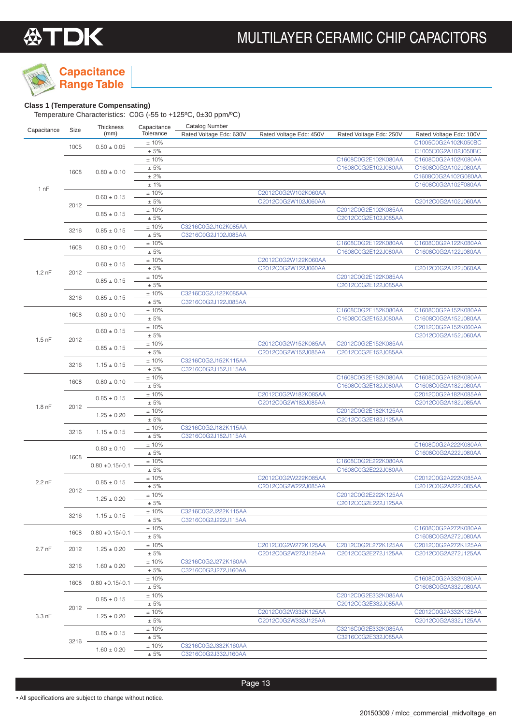

## **Capacitance**

### **Class 1 (Temperature Compensating)**

| Capacitance       | Size     | Thickness          | Capacitance         | <b>Catalog Number</b>   |                         |                                            |                         |
|-------------------|----------|--------------------|---------------------|-------------------------|-------------------------|--------------------------------------------|-------------------------|
|                   |          | (mm)               | Tolerance           | Rated Voltage Edc: 630V | Rated Voltage Edc: 450V | Rated Voltage Edc: 250V                    | Rated Voltage Edc: 100V |
|                   | 1005     | $0.50 \pm 0.05$    | ±10%                |                         |                         |                                            | C1005C0G2A102K050BC     |
|                   |          |                    | $\pm$ 5%            |                         |                         |                                            | C1005C0G2A102J050BC     |
|                   |          |                    | ±10%                |                         |                         | C1608C0G2E102K080AA                        | C1608C0G2A102K080AA     |
|                   | 1608     | $0.80 \pm 0.10$    | $\pm$ 5%            |                         |                         | C1608C0G2E102J080AA                        | C1608C0G2A102J080AA     |
|                   |          |                    | $\pm$ 2%            |                         |                         |                                            | C1608C0G2A102G080AA     |
| 1 nF              |          |                    | ± 1%                |                         |                         |                                            | C1608C0G2A102F080AA     |
|                   |          | $0.60 \pm 0.15$    | ±10%<br>$\pm$ 5%    |                         | C2012C0G2W102K060AA     |                                            |                         |
|                   | $2012 -$ |                    | ±10%                |                         | C2012C0G2W102J060AA     | C2012C0G2E102K085AA                        | C2012C0G2A102J060AA     |
|                   |          | $0.85 \pm 0.15$    | $\pm$ 5%            |                         |                         | C2012C0G2E102J085AA                        |                         |
|                   |          |                    | ±10%                | C3216C0G2J102K085AA     |                         |                                            |                         |
|                   | 3216     | $0.85 \pm 0.15$    | ± 5%                | C3216C0G2J102J085AA     |                         |                                            |                         |
|                   |          |                    | ±10%                |                         |                         | C1608C0G2E122K080AA                        | C1608C0G2A122K080AA     |
|                   | 1608     | $0.80 \pm 0.10$    | $\pm$ 5%            |                         |                         | C1608C0G2E122J080AA                        | C1608C0G2A122J080AA     |
|                   |          |                    | ±10%                |                         | C2012C0G2W122K060AA     |                                            |                         |
|                   |          | $0.60 \pm 0.15$    | $\pm$ 5%            |                         | C2012C0G2W122J060AA     |                                            | C2012C0G2A122J060AA     |
| $1.2$ nF          | $2012 -$ |                    | ±10%                |                         |                         | C2012C0G2E122K085AA                        |                         |
|                   |          | $0.85 \pm 0.15$    | $\pm$ 5%            |                         |                         | C2012C0G2E122J085AA                        |                         |
|                   |          |                    | ±10%                | C3216C0G2J122K085AA     |                         |                                            |                         |
|                   | 3216     | $0.85 \pm 0.15$    | $\pm$ 5%            | C3216C0G2J122J085AA     |                         |                                            |                         |
|                   |          |                    | ±10%                |                         |                         | C1608C0G2E152K080AA                        | C1608C0G2A152K080AA     |
|                   | 1608     | $0.80 \pm 0.10$    | $\pm$ 5%            |                         |                         | C1608C0G2E152J080AA                        | C1608C0G2A152J080AA     |
|                   |          | $0.60 \pm 0.15$    | ±10%                |                         |                         |                                            | C2012C0G2A152K060AA     |
| $1.5$ nF          | $2012 -$ |                    | $\pm$ 5%            |                         |                         |                                            | C2012C0G2A152J060AA     |
|                   |          | $0.85 \pm 0.15$    | $\pm$ 10%           |                         | C2012C0G2W152K085AA     | C2012C0G2E152K085AA                        |                         |
|                   |          |                    | $\pm 5\%$           |                         | C2012C0G2W152J085AA     | C2012C0G2E152J085AA                        |                         |
|                   | 3216     | $1.15 \pm 0.15$    | ±10%                | C3216C0G2J152K115AA     |                         |                                            |                         |
|                   |          |                    | $\pm$ 5%            | C3216C0G2J152J115AA     |                         |                                            |                         |
|                   | 1608     | $0.80 \pm 0.10$    | ±10%                |                         |                         | C1608C0G2E182K080AA                        | C1608C0G2A182K080AA     |
|                   |          |                    | $\pm$ 5%            |                         |                         | C1608C0G2E182J080AA                        | C1608C0G2A182J080AA     |
|                   | $2012 -$ | $0.85 \pm 0.15$    | ±10%                |                         | C2012C0G2W182K085AA     |                                            | C2012C0G2A182K085AA     |
| 1.8 <sub>nF</sub> |          |                    | ± 5%                |                         | C2012C0G2W182J085AA     |                                            | C2012C0G2A182J085AA     |
|                   |          | $1.25 \pm 0.20$    | ±10%                |                         |                         | C2012C0G2E182K125AA                        |                         |
|                   |          |                    | $\pm$ 5%            |                         |                         | C2012C0G2E182J125AA                        |                         |
|                   | 3216     | $1.15 \pm 0.15$    | ±10%                | C3216C0G2J182K115AA     |                         |                                            |                         |
|                   |          |                    | $\pm$ 5%<br>±10%    | C3216C0G2J182J115AA     |                         |                                            | C1608C0G2A222K080AA     |
|                   |          | $0.80 \pm 0.10$    | ± 5%                |                         |                         |                                            | C1608C0G2A222J080AA     |
|                   | 1608     |                    | ±10%                |                         |                         | C1608C0G2E222K080AA                        |                         |
|                   |          | $0.80 + 0.15/-0.1$ | $\pm$ 5%            |                         |                         | C1608C0G2E222J080AA                        |                         |
|                   |          |                    | ±10%                |                         | C2012C0G2W222K085AA     |                                            | C2012C0G2A222K085AA     |
| $2.2$ nF          |          | $0.85 \pm 0.15$    | $\pm$ 5%            |                         | C2012C0G2W222J085AA     |                                            | C2012C0G2A222J085AA     |
|                   | 2012 -   |                    | ±10%                |                         |                         | C2012C0G2E222K125AA                        |                         |
|                   |          | $1.25 \pm 0.20$    | $\pm$ 5%            |                         |                         | C2012C0G2E222J125AA                        |                         |
|                   |          |                    | ± 10%               | C3216C0G2J222K115AA     |                         |                                            |                         |
|                   | 3216     | $1.15 \pm 0.15$    | ± 5%                | C3216C0G2J222J115AA     |                         |                                            |                         |
|                   | 1608     | $0.80 + 0.15/-0.1$ | ±10%                |                         |                         |                                            | C1608C0G2A272K080AA     |
|                   |          |                    | ± 5%                |                         |                         |                                            | C1608C0G2A272J080AA     |
| 2.7 <sub>nf</sub> | 2012     | $1.25 \pm 0.20$    | $±10\%$             |                         | C2012C0G2W272K125AA     | C2012C0G2E272K125AA                        | C2012C0G2A272K125AA     |
|                   |          |                    | $\pm$ 5%            |                         | C2012C0G2W272J125AA     | C2012C0G2E272J125AA                        | C2012C0G2A272J125AA     |
|                   | 3216     | $1.60 \pm 0.20$    | $±10\%$             | C3216C0G2J272K160AA     |                         |                                            |                         |
|                   |          |                    | $\pm$ 5%            | C3216C0G2J272J160AA     |                         |                                            |                         |
|                   | 1608     | $0.80 + 0.15/-0.1$ | ±10%                |                         |                         |                                            | C1608C0G2A332K080AA     |
|                   |          |                    | $\pm$ 5%            |                         |                         |                                            | C1608C0G2A332J080AA     |
|                   |          | $0.85 \pm 0.15$    | ±10%                |                         |                         | C2012C0G2E332K085AA                        |                         |
|                   | $2012 -$ |                    | ± 5%                |                         |                         | C2012C0G2E332J085AA                        |                         |
| $3.3$ nF          |          | $1.25 \pm 0.20$    | ±10%                |                         | C2012C0G2W332K125AA     |                                            | C2012C0G2A332K125AA     |
|                   |          |                    | $\pm$ 5%            |                         | C2012C0G2W332J125AA     |                                            | C2012C0G2A332J125AA     |
|                   |          | $0.85 \pm 0.15$    | $±10\%$<br>$\pm$ 5% |                         |                         | C3216C0G2E332K085AA<br>C3216C0G2E332J085AA |                         |
|                   | $3216 -$ |                    | ±10%                | C3216C0G2J332K160AA     |                         |                                            |                         |
|                   |          | $1.60 \pm 0.20$    | ± 5%                | C3216C0G2J332J160AA     |                         |                                            |                         |
|                   |          |                    |                     |                         |                         |                                            |                         |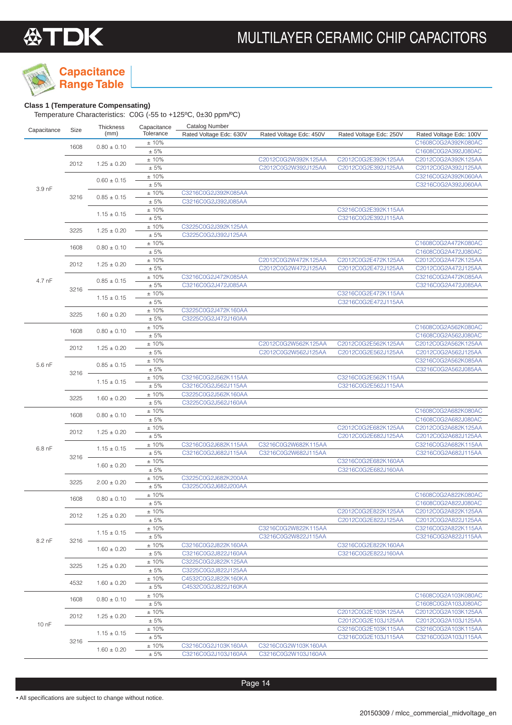**Capacitance Range Table**

### **Class 1 (Temperature Compensating)**

| Capacitance | Size     | Thickness       | Capacitance | <b>Catalog Number</b>   |                         |                         |                         |
|-------------|----------|-----------------|-------------|-------------------------|-------------------------|-------------------------|-------------------------|
|             |          | (mm)            | Tolerance   | Rated Voltage Edc: 630V | Rated Voltage Edc: 450V | Rated Voltage Edc: 250V | Rated Voltage Edc: 100V |
|             | 1608     | $0.80 \pm 0.10$ | ±10%        |                         |                         |                         | C1608C0G2A392K080AC     |
|             |          |                 | $\pm 5\%$   |                         |                         |                         | C1608C0G2A392J080AC     |
|             | 2012     | $1.25 \pm 0.20$ | ±10%        |                         | C2012C0G2W392K125AA     | C2012C0G2E392K125AA     | C2012C0G2A392K125AA     |
|             |          |                 | $\pm 5\%$   |                         | C2012C0G2W392J125AA     | C2012C0G2E392J125AA     | C2012C0G2A392J125AA     |
|             |          | $0.60 \pm 0.15$ | $\pm$ 10%   |                         |                         |                         | C3216C0G2A392K060AA     |
| 3.9 nF      |          |                 | $\pm$ 5%    |                         |                         |                         | C3216C0G2A392J060AA     |
|             | 3216     | $0.85 \pm 0.15$ | ±10%        | C3216C0G2J392K085AA     |                         |                         |                         |
|             |          |                 | $\pm 5\%$   | C3216C0G2J392J085AA     |                         |                         |                         |
|             |          | $1.15 \pm 0.15$ | ±10%        |                         |                         | C3216C0G2E392K115AA     |                         |
|             |          |                 | $\pm$ 5%    |                         |                         | C3216C0G2E392J115AA     |                         |
|             | 3225     | $1.25 \pm 0.20$ | ±10%        | C3225C0G2J392K125AA     |                         |                         |                         |
|             |          |                 | ± 5%        | C3225C0G2J392J125AA     |                         |                         |                         |
|             | 1608     | $0.80 \pm 0.10$ | ±10%        |                         |                         |                         | C1608C0G2A472K080AC     |
|             |          |                 | ± 5%        |                         |                         |                         | C1608C0G2A472J080AC     |
|             | 2012     | $1.25 \pm 0.20$ | ±10%        |                         | C2012C0G2W472K125AA     | C2012C0G2E472K125AA     | C2012C0G2A472K125AA     |
|             |          |                 | ± 5%        |                         | C2012C0G2W472J125AA     | C2012C0G2E472J125AA     | C2012C0G2A472J125AA     |
| 4.7 nF      |          | $0.85 \pm 0.15$ | ±10%        | C3216C0G2J472K085AA     |                         |                         | C3216C0G2A472K085AA     |
|             | 3216     |                 | $\pm 5\%$   | C3216C0G2J472J085AA     |                         |                         | C3216C0G2A472J085AA     |
|             |          | $1.15 \pm 0.15$ | ±10%        |                         |                         | C3216C0G2E472K115AA     |                         |
|             |          |                 | ± 5%        |                         |                         | C3216C0G2E472J115AA     |                         |
|             | 3225     | $1.60 \pm 0.20$ | ±10%        | C3225C0G2J472K160AA     |                         |                         |                         |
|             |          |                 | $\pm 5\%$   | C3225C0G2J472J160AA     |                         |                         |                         |
|             | 1608     | $0.80 \pm 0.10$ | ±10%        |                         |                         |                         | C1608C0G2A562K080AC     |
|             |          |                 | $\pm 5\%$   |                         |                         |                         | C1608C0G2A562J080AC     |
|             | 2012     | $1.25 \pm 0.20$ | ±10%        |                         | C2012C0G2W562K125AA     | C2012C0G2E562K125AA     | C2012C0G2A562K125AA     |
|             |          |                 | $\pm 5\%$   |                         | C2012C0G2W562J125AA     | C2012C0G2E562J125AA     | C2012C0G2A562J125AA     |
| 5.6 nF      |          | $0.85 \pm 0.15$ | ±10%        |                         |                         |                         | C3216C0G2A562K085AA     |
|             | 3216     |                 | ± 5%        |                         |                         |                         | C3216C0G2A562J085AA     |
|             |          | $1.15 \pm 0.15$ | ±10%        | C3216C0G2J562K115AA     |                         | C3216C0G2E562K115AA     |                         |
|             |          |                 | $\pm 5\%$   | C3216C0G2J562J115AA     |                         | C3216C0G2E562J115AA     |                         |
|             | 3225     | $1.60 \pm 0.20$ | ±10%        | C3225C0G2J562K160AA     |                         |                         |                         |
|             |          |                 | ± 5%        | C3225C0G2J562J160AA     |                         |                         |                         |
|             | 1608     | $0.80 \pm 0.10$ | ±10%        |                         |                         |                         | C1608C0G2A682K080AC     |
|             |          |                 | $\pm 5\%$   |                         |                         |                         | C1608C0G2A682J080AC     |
|             | 2012     | $1.25 \pm 0.20$ | ±10%        |                         |                         | C2012C0G2E682K125AA     | C2012C0G2A682K125AA     |
|             |          |                 | ± 5%        |                         |                         | C2012C0G2E682J125AA     | C2012C0G2A682J125AA     |
| $6.8$ nF    |          | $1.15 \pm 0.15$ | ±10%        | C3216C0G2J682K115AA     | C3216C0G2W682K115AA     |                         | C3216C0G2A682K115AA     |
|             | $3216 -$ | $1.60 \pm 0.20$ | $\pm 5\%$   | C3216C0G2J682J115AA     | C3216C0G2W682J115AA     |                         | C3216C0G2A682J115AA     |
|             |          |                 | ±10%        |                         |                         | C3216C0G2E682K160AA     |                         |
|             |          |                 | $\pm 5\%$   |                         |                         | C3216C0G2E682J160AA     |                         |
|             | 3225     | $2.00 \pm 0.20$ | ±10%        | C3225C0G2J682K200AA     |                         |                         |                         |
|             |          |                 | $\pm 5\%$   | C3225C0G2J682J200AA     |                         |                         |                         |
|             | 1608     | $0.80 \pm 0.10$ | ±10%        |                         |                         |                         | C1608C0G2A822K080AC     |
|             |          |                 | $\pm 5\%$   |                         |                         |                         | C1608C0G2A822J080AC     |
|             | 2012     | $1.25 \pm 0.20$ | ±10%        |                         |                         | C2012C0G2E822K125AA     | C2012C0G2A822K125AA     |
|             |          |                 | ± 5%        |                         |                         | C2012C0G2E822J125AA     | C2012C0G2A822J125AA     |
|             |          | $1.15 \pm 0.15$ | ±10%        |                         | C3216C0G2W822K115AA     |                         | C3216C0G2A822K115AA     |
| 8.2 nF      | 3216     |                 | $\pm$ 5%    |                         | C3216C0G2W822J115AA     |                         | C3216C0G2A822J115AA     |
|             |          | $1.60 \pm 0.20$ | ±10%        | C3216C0G2J822K160AA     |                         | C3216C0G2E822K160AA     |                         |
|             |          |                 | $\pm$ 5%    | C3216C0G2J822J160AA     |                         | C3216C0G2E822J160AA     |                         |
|             | 3225     | $1.25 \pm 0.20$ | ±10%        | C3225C0G2J822K125AA     |                         |                         |                         |
|             |          |                 | ± 5%        | C3225C0G2J822J125AA     |                         |                         |                         |
|             | 4532     | $1.60 \pm 0.20$ | ±10%        | C4532C0G2J822K160KA     |                         |                         |                         |
|             |          |                 | ± 5%        | C4532C0G2J822J160KA     |                         |                         |                         |
|             | 1608     | $0.80 \pm 0.10$ | ±10%        |                         |                         |                         | C1608C0G2A103K080AC     |
|             |          |                 | ± 5%        |                         |                         |                         | C1608C0G2A103J080AC     |
|             | 2012     | $1.25 \pm 0.20$ | ±10%        |                         |                         | C2012C0G2E103K125AA     | C2012C0G2A103K125AA     |
| 10 nF       |          |                 | $\pm$ 5%    |                         |                         | C2012C0G2E103J125AA     | C2012C0G2A103J125AA     |
|             |          | $1.15 \pm 0.15$ | ±10%        |                         |                         | C3216C0G2E103K115AA     | C3216C0G2A103K115AA     |
|             | 3216     |                 | ± 5%        |                         |                         | C3216C0G2E103J115AA     | C3216C0G2A103J115AA     |
|             |          | $1.60 \pm 0.20$ | ±10%        | C3216C0G2J103K160AA     | C3216C0G2W103K160AA     |                         |                         |
|             |          |                 | ± 5%        | C3216C0G2J103J160AA     | C3216C0G2W103J160AA     |                         |                         |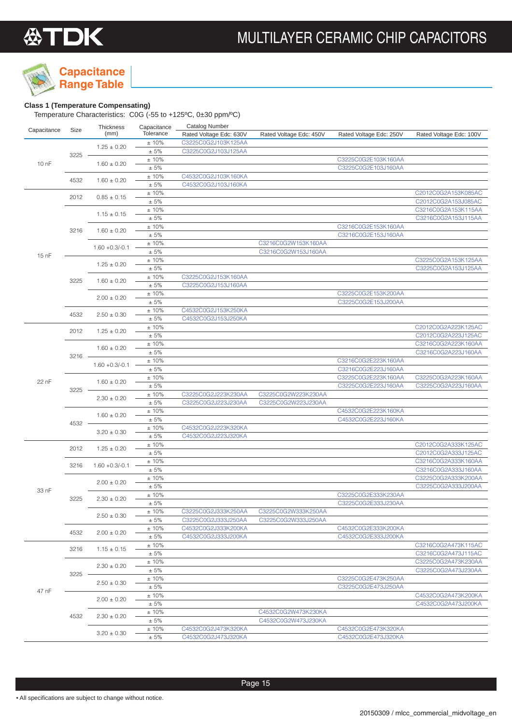**Capacitance Range Table**

### **Class 1 (Temperature Compensating)**

|             |          | Thickness         | Capacitance       | <b>Catalog Number</b>   |                                            |                         |                                            |
|-------------|----------|-------------------|-------------------|-------------------------|--------------------------------------------|-------------------------|--------------------------------------------|
| Capacitance | Size     | (mm)              | Tolerance         | Rated Voltage Edc: 630V | Rated Voltage Edc: 450V                    | Rated Voltage Edc: 250V | Rated Voltage Edc: 100V                    |
|             |          | $1.25 \pm 0.20$   | $\pm$ 10%         | C3225C0G2J103K125AA     |                                            |                         |                                            |
|             | 3225     |                   | $\pm 5\%$         | C3225C0G2J103J125AA     |                                            |                         |                                            |
| 10 nF       |          | $1.60 \pm 0.20$   | ±10%              |                         |                                            | C3225C0G2E103K160AA     |                                            |
|             |          |                   | $\pm 5\%$         |                         |                                            | C3225C0G2E103J160AA     |                                            |
|             | 4532     | $1.60 \pm 0.20$   | ±10%              | C4532C0G2J103K160KA     |                                            |                         |                                            |
|             |          |                   | ± 5%              | C4532C0G2J103J160KA     |                                            |                         |                                            |
|             | 2012     | $0.85 \pm 0.15$   | ±10%              |                         |                                            |                         | C2012C0G2A153K085AC                        |
|             |          |                   | $\pm$ 5%          |                         |                                            |                         | C2012C0G2A153J085AC                        |
|             |          | $1.15 \pm 0.15$   | ±10%              |                         |                                            |                         | C3216C0G2A153K115AA                        |
|             |          |                   | $\pm 5\%$         |                         |                                            |                         | C3216C0G2A153J115AA                        |
|             | 3216     | $1.60 \pm 0.20$   | ±10%              |                         |                                            | C3216C0G2E153K160AA     |                                            |
|             |          |                   | $\pm 5\%$         |                         |                                            | C3216C0G2E153J160AA     |                                            |
|             |          | $1.60 + 0.3/-0.1$ | ±10%<br>$\pm 5\%$ |                         | C3216C0G2W153K160AA<br>C3216C0G2W153J160AA |                         |                                            |
| 15 nF       |          |                   | ±10%              |                         |                                            |                         |                                            |
|             |          | $1.25 \pm 0.20$   | $\pm$ 5%          |                         |                                            |                         | C3225C0G2A153K125AA<br>C3225C0G2A153J125AA |
|             |          |                   | ±10%              | C3225C0G2J153K160AA     |                                            |                         |                                            |
|             | 3225     | $1.60 \pm 0.20$   | $\pm 5\%$         | C3225C0G2J153J160AA     |                                            |                         |                                            |
|             |          |                   | ±10%              |                         |                                            | C3225C0G2E153K200AA     |                                            |
|             |          | $2.00 \pm 0.20$   | $\pm 5\%$         |                         |                                            | C3225C0G2E153J200AA     |                                            |
|             |          |                   | ±10%              | C4532C0G2J153K250KA     |                                            |                         |                                            |
|             | 4532     | $2.50 \pm 0.30$   | $\pm 5\%$         | C4532C0G2J153J250KA     |                                            |                         |                                            |
|             |          |                   | ±10%              |                         |                                            |                         | C2012C0G2A223K125AC                        |
|             | 2012     | $1.25 \pm 0.20$   | $\pm 5\%$         |                         |                                            |                         | C2012C0G2A223J125AC                        |
|             |          |                   | ±10%              |                         |                                            |                         | C3216C0G2A223K160AA                        |
|             |          | $1.60 \pm 0.20$   | $\pm 5\%$         |                         |                                            |                         | C3216C0G2A223J160AA                        |
|             | $3216 -$ |                   | ±10%              |                         |                                            | C3216C0G2E223K160AA     |                                            |
|             |          | $1.60 + 0.3/-0.1$ | $\pm 5\%$         |                         |                                            | C3216C0G2E223J160AA     |                                            |
|             |          |                   | ±10%              |                         |                                            | C3225C0G2E223K160AA     | C3225C0G2A223K160AA                        |
| 22 nF       | $3225 -$ | $1.60 \pm 0.20$   | $\pm 5\%$         |                         |                                            | C3225C0G2E223J160AA     | C3225C0G2A223J160AA                        |
|             |          |                   | ±10%              | C3225C0G2J223K230AA     | C3225C0G2W223K230AA                        |                         |                                            |
|             |          | $2.30 \pm 0.20$   | $\pm 5\%$         | C3225C0G2J223J230AA     | C3225C0G2W223J230AA                        |                         |                                            |
|             |          |                   | ±10%              |                         |                                            | C4532C0G2E223K160KA     |                                            |
|             |          | $1.60 \pm 0.20$   | $\pm 5\%$         |                         |                                            | C4532C0G2E223J160KA     |                                            |
|             | 4532     |                   | ±10%              | C4532C0G2J223K320KA     |                                            |                         |                                            |
|             |          | $3.20 \pm 0.30$   | $\pm 5\%$         | C4532C0G2J223J320KA     |                                            |                         |                                            |
|             | 2012     | $1.25 \pm 0.20$   | ±10%              |                         |                                            |                         | C2012C0G2A333K125AC                        |
|             |          |                   | $\pm 5\%$         |                         |                                            |                         | C2012C0G2A333J125AC                        |
|             | 3216     | $1.60 + 0.3/-0.1$ | ±10%              |                         |                                            |                         | C3216C0G2A333K160AA                        |
|             |          |                   | $\pm$ 5%          |                         |                                            |                         | C3216C0G2A333J160AA                        |
|             |          | $2.00 \pm 0.20$   | ±10%              |                         |                                            |                         | C3225C0G2A333K200AA                        |
| 33 nF       |          |                   | ± 5%              |                         |                                            |                         | C3225C0G2A333J200AA                        |
|             | 3225     | $2.30 \pm 0.20$   | ±10%              |                         |                                            | C3225C0G2E333K230AA     |                                            |
|             |          |                   | ± 5%              |                         |                                            | C3225C0G2E333J230AA     |                                            |
|             |          | $2.50 \pm 0.30$   | ± 10%             | C3225C0G2J333K250AA     | C3225C0G2W333K250AA                        |                         |                                            |
|             |          |                   | ± 5%              | C3225C0G2J333J250AA     | C3225C0G2W333J250AA                        |                         |                                            |
|             | 4532     | $2.00 \pm 0.20$   | ±10%              | C4532C0G2J333K200KA     |                                            | C4532C0G2E333K200KA     |                                            |
|             |          |                   | ± 5%              | C4532C0G2J333J200KA     |                                            | C4532C0G2E333J200KA     |                                            |
|             | 3216     | $1.15 \pm 0.15$   | ±10%              |                         |                                            |                         | C3216C0G2A473K115AC                        |
|             |          |                   | $\pm 5\%$         |                         |                                            |                         | C3216C0G2A473J115AC                        |
|             |          | $2.30 \pm 0.20$   | $±10\%$           |                         |                                            |                         | C3225C0G2A473K230AA                        |
|             | 3225     |                   | ± 5%              |                         |                                            |                         | C3225C0G2A473J230AA                        |
|             |          | $2.50 \pm 0.30$   | ±10%              |                         |                                            | C3225C0G2E473K250AA     |                                            |
| 47 nF       |          |                   | ± 5%              |                         |                                            | C3225C0G2E473J250AA     |                                            |
|             |          | $2.00 \pm 0.20$   | ±10%              |                         |                                            |                         | C4532C0G2A473K200KA                        |
|             |          |                   | ± 5%              |                         |                                            |                         | C4532C0G2A473J200KA                        |
|             | 4532     | $2.30 \pm 0.20$   | ±10%              |                         | C4532C0G2W473K230KA                        |                         |                                            |
|             |          |                   | ± 5%              |                         | C4532C0G2W473J230KA                        |                         |                                            |
|             |          |                   | $3.20 \pm 0.30$   | ±10%                    | C4532C0G2J473K320KA                        |                         | C4532C0G2E473K320KA                        |
|             |          |                   | ± 5%              | C4532C0G2J473J320KA     |                                            | C4532C0G2E473J320KA     |                                            |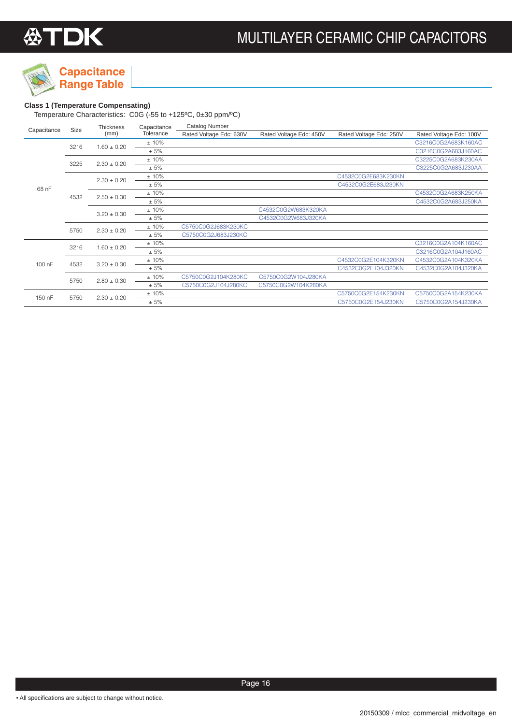

### **Class 1 (Temperature Compensating)**

| Capacitance |      | <b>Thickness</b> | Capacitance | Catalog Number          |                         |                         |                         |
|-------------|------|------------------|-------------|-------------------------|-------------------------|-------------------------|-------------------------|
|             | Size | (mm)             | Tolerance   | Rated Voltage Edc: 630V | Rated Voltage Edc: 450V | Rated Voltage Edc: 250V | Rated Voltage Edc: 100V |
|             | 3216 | $1.60 \pm 0.20$  | ±10%        |                         |                         |                         | C3216C0G2A683K160AC     |
|             |      |                  | ± 5%        |                         |                         |                         | C3216C0G2A683J160AC     |
|             | 3225 | $2.30 \pm 0.20$  | ±10%        |                         |                         |                         | C3225C0G2A683K230AA     |
|             |      |                  | ± 5%        |                         |                         |                         | C3225C0G2A683J230AA     |
|             | 4532 | $2.30 \pm 0.20$  | ±10%        |                         |                         | C4532C0G2E683K230KN     |                         |
| 68 nF       |      |                  | ± 5%        |                         |                         | C4532C0G2E683J230KN     |                         |
|             |      | $2.50 \pm 0.30$  | ±10%        |                         |                         |                         | C4532C0G2A683K250KA     |
|             |      |                  | ± 5%        |                         |                         |                         | C4532C0G2A683J250KA     |
|             |      | $3.20 \pm 0.30$  | ±10%        |                         | C4532C0G2W683K320KA     |                         |                         |
|             |      |                  | ± 5%        |                         | C4532C0G2W683J320KA     |                         |                         |
|             | 5750 | $2.30 \pm 0.20$  | ±10%        | C5750C0G2J683K230KC     |                         |                         |                         |
|             |      |                  | ± 5%        | C5750C0G2J683J230KC     |                         |                         |                         |
|             | 3216 | $1.60 \pm 0.20$  | ±10%        |                         |                         |                         | C3216C0G2A104K160AC     |
|             |      |                  | ± 5%        |                         |                         |                         | C3216C0G2A104J160AC     |
| 100 nF      | 4532 | $3.20 \pm 0.30$  | ±10%        |                         |                         | C4532C0G2E104K320KN     | C4532C0G2A104K320KA     |
|             |      |                  | ± 5%        |                         |                         | C4532C0G2E104J320KN     | C4532C0G2A104J320KA     |
|             | 5750 | $2.80 \pm 0.30$  | ±10%        | C5750C0G2J104K280KC     | C5750C0G2W104J280KA     |                         |                         |
|             |      |                  | ± 5%        | C5750C0G2J104J280KC     | C5750C0G2W104K280KA     |                         |                         |
| 150 nF      |      | $2.30 \pm 0.20$  | ±10%        |                         |                         | C5750C0G2E154K230KN     | C5750C0G2A154K230KA     |
|             | 5750 |                  | ± 5%        |                         |                         | C5750C0G2E154J230KN     | C5750C0G2A154J230KA     |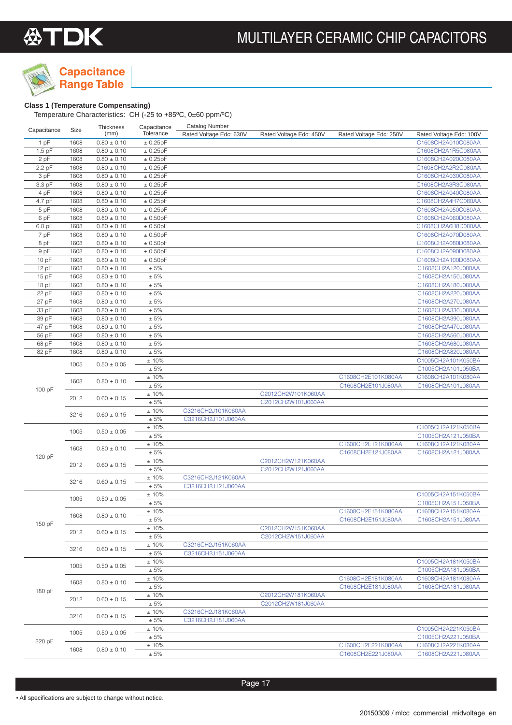



### **Class 1 (Temperature Compensating)**

| Capacitance | Size | <b>Thickness</b> | Capacitance       | <b>Catalog Number</b>   |                         |                                          |                         |
|-------------|------|------------------|-------------------|-------------------------|-------------------------|------------------------------------------|-------------------------|
|             |      | (mm)             | Tolerance         | Rated Voltage Edc: 630V | Rated Voltage Edc: 450V | Rated Voltage Edc: 250V                  | Rated Voltage Edc: 100V |
| 1 pF        | 1608 | $0.80 \pm 0.10$  | ± 0.25pF          |                         |                         |                                          | C1608CH2A010C080AA      |
| $1.5$ pF    | 1608 | $0.80 \pm 0.10$  | ± 0.25pF          |                         |                         |                                          | C1608CH2A1R5C080AA      |
| 2 pF        | 1608 | $0.80 \pm 0.10$  | ± 0.25pF          |                         |                         |                                          | C1608CH2A020C080AA      |
| 2.2 pF      | 1608 | $0.80 \pm 0.10$  | ± 0.25pF          |                         |                         |                                          | C1608CH2A2R2C080AA      |
| 3 pF        | 1608 | $0.80 \pm 0.10$  | ± 0.25pF          |                         |                         |                                          | C1608CH2A030C080AA      |
| 3.3 pF      | 1608 | $0.80 \pm 0.10$  | $\pm$ 0.25pF      |                         |                         |                                          | C1608CH2A3R3C080AA      |
| 4 pF        | 1608 | $0.80 \pm 0.10$  | ± 0.25pF          |                         |                         |                                          | C1608CH2A040C080AA      |
| 4.7 pF      | 1608 | $0.80 \pm 0.10$  | ± 0.25pF          |                         |                         |                                          | C1608CH2A4R7C080AA      |
| 5 pF        | 1608 | $0.80 \pm 0.10$  | ± 0.25pF          |                         |                         |                                          | C1608CH2A050C080AA      |
| 6 pF        | 1608 | $0.80 \pm 0.10$  | ± 0.50pF          |                         |                         |                                          | C1608CH2A060D080AA      |
| 6.8 pF      | 1608 | $0.80 \pm 0.10$  | ± 0.50pF          |                         |                         |                                          | C1608CH2A6R8D080AA      |
| 7 pF        | 1608 | $0.80 \pm 0.10$  | ± 0.50pF          |                         |                         |                                          | C1608CH2A070D080AA      |
| 8 pF        | 1608 | $0.80 \pm 0.10$  | ± 0.50pF          |                         |                         |                                          | C1608CH2A080D080AA      |
| 9 pF        | 1608 | $0.80 \pm 0.10$  | ± 0.50pF          |                         |                         |                                          | C1608CH2A090D080AA      |
| 10pF        | 1608 | $0.80 \pm 0.10$  | ± 0.50pF          |                         |                         |                                          | C1608CH2A100D080AA      |
| 12 pF       | 1608 | $0.80 \pm 0.10$  | ± 5%              |                         |                         |                                          | C1608CH2A120J080AA      |
| 15 pF       | 1608 | $0.80 \pm 0.10$  | $\pm 5\%$         |                         |                         |                                          | C1608CH2A150J080AA      |
| 18 pF       | 1608 | $0.80 \pm 0.10$  | $\pm 5\%$         |                         |                         |                                          | C1608CH2A180J080AA      |
| 22 pF       | 1608 | $0.80 \pm 0.10$  | $\pm 5\%$         |                         |                         |                                          | C1608CH2A220J080AA      |
| 27 pF       | 1608 | $0.80 \pm 0.10$  | $\pm 5\%$         |                         |                         |                                          | C1608CH2A270J080AA      |
| 33 pF       | 1608 | $0.80 \pm 0.10$  | $\pm 5\%$         |                         |                         |                                          | C1608CH2A330J080AA      |
| 39 pF       | 1608 | $0.80 \pm 0.10$  | $\pm 5\%$         |                         |                         |                                          | C1608CH2A390J080AA      |
| 47 pF       | 1608 | $0.80 \pm 0.10$  | $\pm 5\%$         |                         |                         |                                          | C1608CH2A470J080AA      |
| 56 pF       | 1608 | $0.80 \pm 0.10$  | $\pm 5\%$         |                         |                         |                                          | C1608CH2A560J080AA      |
| 68 pF       | 1608 | $0.80 \pm 0.10$  | $\pm 5\%$         |                         |                         |                                          | C1608CH2A680J080AA      |
| 82 pF       | 1608 | $0.80 \pm 0.10$  | $\pm$ 5%          |                         |                         |                                          | C1608CH2A820J080AA      |
|             | 1005 | $0.50 \pm 0.05$  | ±10%              |                         |                         |                                          | C1005CH2A101K050BA      |
|             |      |                  | $\pm$ 5%          |                         |                         |                                          | C1005CH2A101J050BA      |
|             | 1608 | $0.80 \pm 0.10$  | ±10%              |                         |                         | C1608CH2E101K080AA                       | C1608CH2A101K080AA      |
| 100 pF      |      |                  | $\pm$ 5%          |                         |                         | C1608CH2E101J080AA                       | C1608CH2A101J080AA      |
|             | 2012 | $0.60 \pm 0.15$  | ±10%              |                         | C2012CH2W101K060AA      |                                          |                         |
|             |      |                  | $\pm 5\%$         |                         | C2012CH2W101J060AA      |                                          |                         |
|             | 3216 | $0.60 \pm 0.15$  | ±10%              | C3216CH2J101K060AA      |                         |                                          |                         |
|             |      |                  | $\pm 5\%$         | C3216CH2J101J060AA      |                         |                                          |                         |
|             | 1005 | $0.50 \pm 0.05$  | ±10%              |                         |                         |                                          | C1005CH2A121K050BA      |
|             |      |                  | $\pm 5\%$         |                         |                         |                                          | C1005CH2A121J050BA      |
|             | 1608 | $0.80 \pm 0.10$  | ±10%              |                         |                         | C1608CH2E121K080AA                       | C1608CH2A121K080AA      |
| 120 pF      |      |                  | ± 5%<br>±10%      |                         | C2012CH2W121K060AA      | C1608CH2E121J080AA                       | C1608CH2A121J080AA      |
|             | 2012 | $0.60 \pm 0.15$  | $\pm$ 5%          |                         | C2012CH2W121J060AA      |                                          |                         |
|             |      |                  |                   | C3216CH2J121K060AA      |                         |                                          |                         |
|             | 3216 | $0.60 \pm 0.15$  | ±10%<br>$\pm 5\%$ | C3216CH2J121J060AA      |                         |                                          |                         |
|             |      |                  | ±10%              |                         |                         |                                          | C1005CH2A151K050BA      |
|             | 1005 | $0.50 \pm 0.05$  | ± 5%              |                         |                         |                                          | C1005CH2A151J050BA      |
|             |      |                  |                   |                         |                         |                                          | C1608CH2A151K080AA      |
|             | 1608 | $0.80 \pm 0.10$  | ±10%<br>$\pm$ 5%  |                         |                         | C1608CH2E151K080AA<br>C1608CH2E151J080AA | C1608CH2A151J080AA      |
| 150 pF      |      |                  | $\pm$ 10%         |                         | C2012CH2W151K060AA      |                                          |                         |
|             | 2012 | $0.60 \pm 0.15$  | $\pm$ 5%          |                         | C2012CH2W151J060AA      |                                          |                         |
|             |      |                  | ±10%              | C3216CH2J151K060AA      |                         |                                          |                         |
|             | 3216 | $0.60 \pm 0.15$  | $\pm 5\%$         | C3216CH2J151J060AA      |                         |                                          |                         |
|             |      |                  | ±10%              |                         |                         |                                          | C1005CH2A181K050BA      |
|             | 1005 | $0.50 \pm 0.05$  | ± 5%              |                         |                         |                                          | C1005CH2A181J050BA      |
|             |      |                  | ±10%              |                         |                         | C1608CH2E181K080AA                       | C1608CH2A181K080AA      |
|             | 1608 | $0.80 \pm 0.10$  | $\pm 5\%$         |                         |                         | C1608CH2E181J080AA                       | C1608CH2A181J080AA      |
| 180 pF      |      |                  | ±10%              |                         | C2012CH2W181K060AA      |                                          |                         |
|             | 2012 | $0.60 \pm 0.15$  | ± 5%              |                         | C2012CH2W181J060AA      |                                          |                         |
|             |      |                  | ±10%              | C3216CH2J181K060AA      |                         |                                          |                         |
|             | 3216 | $0.60 \pm 0.15$  | $\pm 5\%$         | C3216CH2J181J060AA      |                         |                                          |                         |
|             |      |                  | ±10%              |                         |                         |                                          | C1005CH2A221K050BA      |
|             | 1005 | $0.50 \pm 0.05$  | $\pm 5\%$         |                         |                         |                                          | C1005CH2A221J050BA      |
| 220 pF      |      |                  | ±10%              |                         |                         | C1608CH2E221K080AA                       | C1608CH2A221K080AA      |
|             | 1608 | $0.80 \pm 0.10$  | $\pm$ 5%          |                         |                         | C1608CH2E221J080AA                       | C1608CH2A221J080AA      |
|             |      |                  |                   |                         |                         |                                          |                         |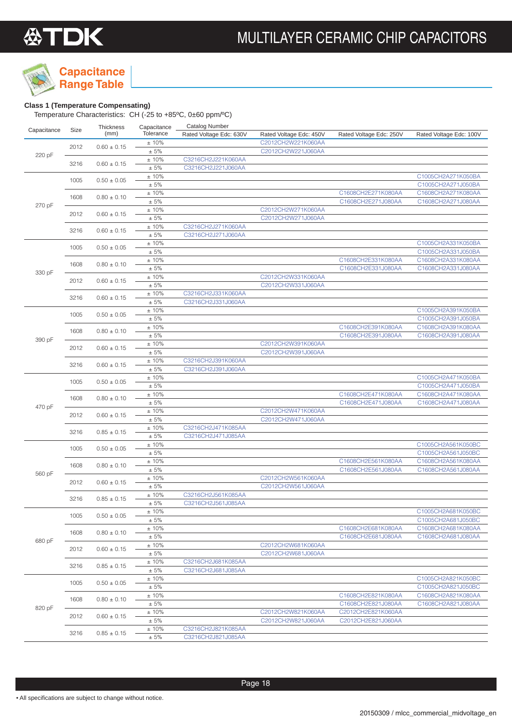

## **Capacitance**

### **Range Table Class 1 (Temperature Compensating)**

| Capacitance | Size                    | <b>Thickness</b> | Capacitance        | <b>Catalog Number</b>   |                                          |                         |                         |
|-------------|-------------------------|------------------|--------------------|-------------------------|------------------------------------------|-------------------------|-------------------------|
|             |                         | (mm)             | Tolerance          | Rated Voltage Edc: 630V | Rated Voltage Edc: 450V                  | Rated Voltage Edc: 250V | Rated Voltage Edc: 100V |
|             |                         |                  | ±10%               |                         | C2012CH2W221K060AA                       |                         |                         |
|             | 2012                    | $0.60 \pm 0.15$  | $\pm$ 5%           |                         | C2012CH2W221J060AA                       |                         |                         |
| 220 pF      |                         |                  | ±10%               | C3216CH2J221K060AA      |                                          |                         |                         |
|             | 3216                    | $0.60 \pm 0.15$  | $\pm 5\%$          | C3216CH2J221J060AA      |                                          |                         |                         |
|             |                         |                  | ±10%               |                         |                                          |                         | C1005CH2A271K050BA      |
|             | 1005                    | $0.50 \pm 0.05$  | $\pm$ 5%           |                         |                                          |                         | C1005CH2A271J050BA      |
|             |                         |                  | ±10%               |                         |                                          | C1608CH2E271K080AA      | C1608CH2A271K080AA      |
|             | 1608                    | $0.80 \pm 0.10$  | $\pm$ 5%           |                         |                                          | C1608CH2E271J080AA      | C1608CH2A271J080AA      |
| 270 pF      |                         |                  | ±10%               |                         | C2012CH2W271K060AA                       |                         |                         |
|             | 2012                    | $0.60 \pm 0.15$  | ± 5%               |                         | C2012CH2W271J060AA                       |                         |                         |
|             |                         |                  | ±10%               | C3216CH2J271K060AA      |                                          |                         |                         |
|             | 3216                    | $0.60 \pm 0.15$  | $\pm 5\%$          | C3216CH2J271J060AA      |                                          |                         |                         |
|             |                         |                  | ±10%               |                         |                                          |                         | C1005CH2A331K050BA      |
|             | 1005                    | $0.50 \pm 0.05$  | $\pm 5\%$          |                         |                                          |                         | C1005CH2A331J050BA      |
|             |                         |                  | ±10%               |                         |                                          | C1608CH2E331K080AA      | C1608CH2A331K080AA      |
|             | 1608                    | $0.80 \pm 0.10$  | $\pm 5\%$          |                         |                                          | C1608CH2E331J080AA      | C1608CH2A331J080AA      |
| 330 pF      |                         |                  |                    |                         |                                          |                         |                         |
|             | 2012                    | $0.60 \pm 0.15$  | ±10%<br>$\pm$ 5%   |                         | C2012CH2W331K060AA<br>C2012CH2W331J060AA |                         |                         |
|             |                         |                  |                    |                         |                                          |                         |                         |
|             | 3216                    | $0.60 \pm 0.15$  | ±10%               | C3216CH2J331K060AA      |                                          |                         |                         |
|             |                         |                  | ± 5%               | C3216CH2J331J060AA      |                                          |                         |                         |
|             | 1005                    | $0.50 \pm 0.05$  | ±10%               |                         |                                          |                         | C1005CH2A391K050BA      |
|             |                         |                  | $\pm 5\%$          |                         |                                          |                         | C1005CH2A391J050BA      |
|             | 1608                    | $0.80 \pm 0.10$  | ±10%               |                         |                                          | C1608CH2E391K080AA      | C1608CH2A391K080AA      |
| 390 pF      |                         |                  | $\pm$ 5%           |                         |                                          | C1608CH2E391J080AA      | C1608CH2A391J080AA      |
|             | 2012                    | $0.60 \pm 0.15$  | ±10%               |                         | C2012CH2W391K060AA                       |                         |                         |
|             |                         |                  | $\pm$ 5%           |                         | C2012CH2W391J060AA                       |                         |                         |
|             | 3216<br>$0.60 \pm 0.15$ | ±10%             | C3216CH2J391K060AA |                         |                                          |                         |                         |
|             |                         |                  | ± 5%               | C3216CH2J391J060AA      |                                          |                         |                         |
|             | 1005                    | $0.50 \pm 0.05$  | ±10%               |                         |                                          |                         | C1005CH2A471K050BA      |
|             |                         | $\pm$ 5%         |                    |                         |                                          | C1005CH2A471J050BA      |                         |
|             | 1608<br>$0.80 \pm 0.10$ | ±10%             |                    |                         | C1608CH2E471K080AA                       | C1608CH2A471K080AA      |                         |
| 470 pF      |                         |                  | $\pm$ 5%           |                         |                                          | C1608CH2E471J080AA      | C1608CH2A471J080AA      |
|             |                         |                  | ±10%               |                         | C2012CH2W471K060AA                       |                         |                         |
|             | 2012                    | $0.60 \pm 0.15$  | $\pm$ 5%           |                         | C2012CH2W471J060AA                       |                         |                         |
|             |                         |                  | ±10%               | C3216CH2J471K085AA      |                                          |                         |                         |
|             | 3216                    | $0.85 \pm 0.15$  | ± 5%               | C3216CH2J471J085AA      |                                          |                         |                         |
|             |                         |                  | ±10%               |                         |                                          |                         | C1005CH2A561K050BC      |
|             | 1005                    | $0.50\pm0.05$    | $\pm 5\%$          |                         |                                          |                         | C1005CH2A561J050BC      |
|             |                         |                  | ±10%               |                         |                                          | C1608CH2E561K080AA      | C1608CH2A561K080AA      |
|             | 1608                    | $0.80 \pm 0.10$  | $\pm 5\%$          |                         |                                          | C1608CH2E561J080AA      | C1608CH2A561J080AA      |
| 560 pF      |                         |                  | $\pm$ 10%          |                         | C2012CH2W561K060AA                       |                         |                         |
|             | 2012                    | $0.60 \pm 0.15$  | $\pm$ 5%           |                         | C2012CH2W561J060AA                       |                         |                         |
|             |                         |                  | ±10%               | C3216CH2J561K085AA      |                                          |                         |                         |
|             | 3216                    | $0.85 \pm 0.15$  | ± 5%               | C3216CH2J561J085AA      |                                          |                         |                         |
|             |                         |                  | ± 10%              |                         |                                          |                         | C1005CH2A681K050BC      |
|             | 1005                    | $0.50 \pm 0.05$  | ± 5%               |                         |                                          |                         | C1005CH2A681J050BC      |
|             |                         |                  | ±10%               |                         |                                          | C1608CH2E681K080AA      | C1608CH2A681K080AA      |
|             | 1608                    | $0.80 \pm 0.10$  | ± 5%               |                         |                                          | C1608CH2E681J080AA      | C1608CH2A681J080AA      |
| 680 pF      |                         |                  |                    |                         | C2012CH2W681K060AA                       |                         |                         |
|             | 2012                    | $0.60 \pm 0.15$  | ± 10%<br>$\pm$ 5%  |                         | C2012CH2W681J060AA                       |                         |                         |
|             |                         |                  |                    |                         |                                          |                         |                         |
|             | 3216                    | $0.85 \pm 0.15$  | ± 10%              | C3216CH2J681K085AA      |                                          |                         |                         |
|             |                         |                  | $\pm$ 5%           | C3216CH2J681J085AA      |                                          |                         |                         |
|             | 1005                    | $0.50 \pm 0.05$  | ± 10%              |                         |                                          |                         | C1005CH2A821K050BC      |
|             |                         |                  | ± 5%               |                         |                                          |                         | C1005CH2A821J050BC      |
|             | 1608                    | $0.80 \pm 0.10$  | ±10%               |                         |                                          | C1608CH2E821K080AA      | C1608CH2A821K080AA      |
| 820 pF      |                         |                  | ± 5%               |                         |                                          | C1608CH2E821J080AA      | C1608CH2A821J080AA      |
|             | 2012                    | $0.60 \pm 0.15$  | ± 10%              |                         | C2012CH2W821K060AA                       | C2012CH2E821K060AA      |                         |
|             |                         |                  | $\pm$ 5%           |                         | C2012CH2W821J060AA                       | C2012CH2E821J060AA      |                         |
|             | 3216                    | $0.85 \pm 0.15$  | ± 10%              | C3216CH2J821K085AA      |                                          |                         |                         |
|             |                         |                  | ± 5%               | C3216CH2J821J085AA      |                                          |                         |                         |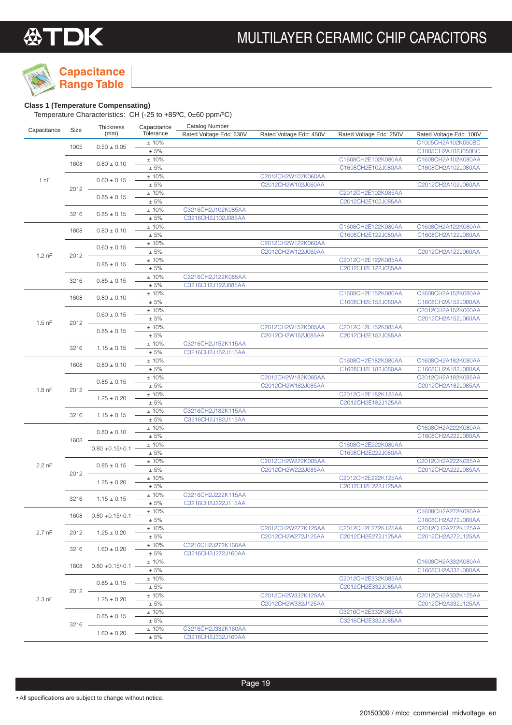

## **Capacitance**

### **Class 1 (Temperature Compensating)**

| (mm)<br>Tolerance<br>Rated Voltage Edc: 630V<br>Rated Voltage Edc: 450V<br>Rated Voltage Edc: 250V<br>C1005CH2A102K050BC<br>±10%<br>1005<br>$0.50 \pm 0.05$<br>$\pm$ 5%<br>C1005CH2A102J050BC<br>±10%<br>C1608CH2E102K080AA<br>C1608CH2A102K080AA<br>1608<br>$0.80 \pm 0.10$<br>± 5%<br>C1608CH2E102J080AA<br>C1608CH2A102J080AA<br>C2012CH2W102K060AA<br>± 10%<br>1 nF<br>$0.60 \pm 0.15$<br>± 5%<br>C2012CH2W102J060AA<br>C2012CH2A102J060AA<br>$2012 -$<br>±10%<br>C2012CH2E102K085AA<br>$0.85 \pm 0.15$<br>$\pm 5\%$<br>C2012CH2E102J085AA<br>±10%<br>C3216CH2J102K085AA<br>3216<br>$0.85 \pm 0.15$<br>C3216CH2J102J085AA<br>± 5%<br>C1608CH2E122K080AA<br>±10%<br>C1608CH2A122K080AA<br>1608<br>$0.80 \pm 0.10$<br>$\pm$ 5%<br>C1608CH2E122J080AA<br>C1608CH2A122J080AA<br>±10%<br>C2012CH2W122K060AA<br>$0.60 \pm 0.15$<br>± 5%<br>C2012CH2W122J060AA<br>C2012CH2A122J060AA<br>$1.2 \text{ nF}$<br>2012<br>C2012CH2E122K085AA<br>±10%<br>$0.85 \pm 0.15$<br>$\pm$ 5%<br>C2012CH2E122J085AA<br>±10%<br>C3216CH2J122K085AA<br>$0.85 \pm 0.15$<br>3216<br>± 5%<br>C3216CH2J122J085AA<br>±10%<br>C1608CH2E152K080AA<br>C1608CH2A152K080AA<br>1608<br>$0.80 \pm 0.10$<br>$\pm 5\%$<br>C1608CH2E152J080AA<br>C1608CH2A152J080AA<br>$\pm$ 10%<br>C2012CH2A152K060AA<br>$0.60 \pm 0.15$<br>$\pm$ 5%<br>C2012CH2A152J060AA<br>$1.5$ nF<br>$2012 -$<br>C2012CH2W152K085AA<br>C2012CH2E152K085AA<br>±10%<br>$0.85 \pm 0.15$<br>$\pm$ 5%<br>C2012CH2W152J085AA<br>C2012CH2E152J085AA<br>±10%<br>C3216CH2J152K115AA<br>$1.15 \pm 0.15$<br>3216<br>± 5%<br>C3216CH2J152J115AA<br>C1608CH2E182K080AA<br>±10%<br>C1608CH2A182K080AA<br>$0.80 \pm 0.10$<br>1608<br>$\pm 5\%$<br>C1608CH2E182J080AA<br>C1608CH2A182J080AA<br>$\pm$ 10%<br>C2012CH2W182K085AA<br>C2012CH2A182K085AA<br>$0.85 \pm 0.15$<br>$\pm$ 5%<br>C2012CH2W182J085AA<br>C2012CH2A182J085AA<br>$1.8$ nF<br>2012<br>C2012CH2E182K125AA<br>±10%<br>$1.25 \pm 0.20$<br>$\pm$ 5%<br>C2012CH2E182J125AA<br>±10%<br>C3216CH2J182K115AA<br>3216<br>$1.15 \pm 0.15$<br>± 5%<br>C3216CH2J182J115AA<br>±10%<br>C1608CH2A222K080AA<br>$0.80 \pm 0.10$<br>$\pm 5\%$<br>C1608CH2A222J080AA<br>1608 -<br>$\pm$ 10%<br>C1608CH2E222K080AA<br>$0.80 + 0.15/-0.1$<br>$\pm$ 5%<br>C1608CH2E222J080AA<br>C2012CH2W222K085AA<br>C2012CH2A222K085AA<br>±10%<br>2.2 nF<br>$0.85 \pm 0.15$<br>$\pm$ 5%<br>C2012CH2W222J085AA<br>C2012CH2A222J085AA<br>$2012 -$<br>$\pm$ 10%<br>C2012CH2E222K125AA<br>$1.25 \pm 0.20$<br>$\pm 5\%$<br>C2012CH2E222J125AA<br>C3216CH2J222K115AA<br>±10%<br>3216<br>$1.15 \pm 0.15$<br>$\pm 5\%$<br>C3216CH2J222J115AA<br>±10%<br>1608<br>$0.80 + 0.15/-0.1$<br>± 5%<br>±10%<br>C2012CH2W272K125AA<br>C2012CH2E272K125AA<br>$2.7$ nF<br>2012<br>$1.25 \pm 0.20$<br>$\pm$ 5%<br>C2012CH2W272J125AA<br>C2012CH2E272J125AA<br>C3216CH2J272K160AA<br>±10%<br>3216<br>$1.60 \pm 0.20$<br>± 5%<br>C3216CH2J272J160AA<br>±10%<br>1608<br>$0.80 + 0.15/-0.1$<br>± 5%<br>±10%<br>C2012CH2E332K085AA<br>$0.85 \pm 0.15$<br>± 5%<br>C2012CH2E332J085AA<br>2012<br>±10%<br>C2012CH2W332K125AA<br>$3.3$ nF<br>$1.25 \pm 0.20$<br>± 5%<br>C2012CH2W332J125AA<br>±10%<br>C3216CH2E332K085AA<br>$0.85 \pm 0.15$<br>± 5%<br>C3216CH2E332J085AA<br>$3216 -$<br>±10%<br>C3216CH2J332K160AA<br>$1.60 \pm 0.20$<br>± 5%<br>C3216CH2J332J160AA |             |      | Thickness | Capacitance | <b>Catalog Number</b> |  |                         |
|--------------------------------------------------------------------------------------------------------------------------------------------------------------------------------------------------------------------------------------------------------------------------------------------------------------------------------------------------------------------------------------------------------------------------------------------------------------------------------------------------------------------------------------------------------------------------------------------------------------------------------------------------------------------------------------------------------------------------------------------------------------------------------------------------------------------------------------------------------------------------------------------------------------------------------------------------------------------------------------------------------------------------------------------------------------------------------------------------------------------------------------------------------------------------------------------------------------------------------------------------------------------------------------------------------------------------------------------------------------------------------------------------------------------------------------------------------------------------------------------------------------------------------------------------------------------------------------------------------------------------------------------------------------------------------------------------------------------------------------------------------------------------------------------------------------------------------------------------------------------------------------------------------------------------------------------------------------------------------------------------------------------------------------------------------------------------------------------------------------------------------------------------------------------------------------------------------------------------------------------------------------------------------------------------------------------------------------------------------------------------------------------------------------------------------------------------------------------------------------------------------------------------------------------------------------------------------------------------------------------------------------------------------------------------------------------------------------------------------------------------------------------------------------------------------------------------------------------------------------------------------------------------------------------------------------------------------------------------------------------------------------------------------------------------------------------------------------------------------------------------------------------------------------------------------------------------------------------------------------------------------------------------------------|-------------|------|-----------|-------------|-----------------------|--|-------------------------|
|                                                                                                                                                                                                                                                                                                                                                                                                                                                                                                                                                                                                                                                                                                                                                                                                                                                                                                                                                                                                                                                                                                                                                                                                                                                                                                                                                                                                                                                                                                                                                                                                                                                                                                                                                                                                                                                                                                                                                                                                                                                                                                                                                                                                                                                                                                                                                                                                                                                                                                                                                                                                                                                                                                                                                                                                                                                                                                                                                                                                                                                                                                                                                                                                                                                                                      | Capacitance | Size |           |             |                       |  | Rated Voltage Edc: 100V |
|                                                                                                                                                                                                                                                                                                                                                                                                                                                                                                                                                                                                                                                                                                                                                                                                                                                                                                                                                                                                                                                                                                                                                                                                                                                                                                                                                                                                                                                                                                                                                                                                                                                                                                                                                                                                                                                                                                                                                                                                                                                                                                                                                                                                                                                                                                                                                                                                                                                                                                                                                                                                                                                                                                                                                                                                                                                                                                                                                                                                                                                                                                                                                                                                                                                                                      |             |      |           |             |                       |  |                         |
|                                                                                                                                                                                                                                                                                                                                                                                                                                                                                                                                                                                                                                                                                                                                                                                                                                                                                                                                                                                                                                                                                                                                                                                                                                                                                                                                                                                                                                                                                                                                                                                                                                                                                                                                                                                                                                                                                                                                                                                                                                                                                                                                                                                                                                                                                                                                                                                                                                                                                                                                                                                                                                                                                                                                                                                                                                                                                                                                                                                                                                                                                                                                                                                                                                                                                      |             |      |           |             |                       |  |                         |
|                                                                                                                                                                                                                                                                                                                                                                                                                                                                                                                                                                                                                                                                                                                                                                                                                                                                                                                                                                                                                                                                                                                                                                                                                                                                                                                                                                                                                                                                                                                                                                                                                                                                                                                                                                                                                                                                                                                                                                                                                                                                                                                                                                                                                                                                                                                                                                                                                                                                                                                                                                                                                                                                                                                                                                                                                                                                                                                                                                                                                                                                                                                                                                                                                                                                                      |             |      |           |             |                       |  |                         |
|                                                                                                                                                                                                                                                                                                                                                                                                                                                                                                                                                                                                                                                                                                                                                                                                                                                                                                                                                                                                                                                                                                                                                                                                                                                                                                                                                                                                                                                                                                                                                                                                                                                                                                                                                                                                                                                                                                                                                                                                                                                                                                                                                                                                                                                                                                                                                                                                                                                                                                                                                                                                                                                                                                                                                                                                                                                                                                                                                                                                                                                                                                                                                                                                                                                                                      |             |      |           |             |                       |  |                         |
|                                                                                                                                                                                                                                                                                                                                                                                                                                                                                                                                                                                                                                                                                                                                                                                                                                                                                                                                                                                                                                                                                                                                                                                                                                                                                                                                                                                                                                                                                                                                                                                                                                                                                                                                                                                                                                                                                                                                                                                                                                                                                                                                                                                                                                                                                                                                                                                                                                                                                                                                                                                                                                                                                                                                                                                                                                                                                                                                                                                                                                                                                                                                                                                                                                                                                      |             |      |           |             |                       |  |                         |
|                                                                                                                                                                                                                                                                                                                                                                                                                                                                                                                                                                                                                                                                                                                                                                                                                                                                                                                                                                                                                                                                                                                                                                                                                                                                                                                                                                                                                                                                                                                                                                                                                                                                                                                                                                                                                                                                                                                                                                                                                                                                                                                                                                                                                                                                                                                                                                                                                                                                                                                                                                                                                                                                                                                                                                                                                                                                                                                                                                                                                                                                                                                                                                                                                                                                                      |             |      |           |             |                       |  |                         |
|                                                                                                                                                                                                                                                                                                                                                                                                                                                                                                                                                                                                                                                                                                                                                                                                                                                                                                                                                                                                                                                                                                                                                                                                                                                                                                                                                                                                                                                                                                                                                                                                                                                                                                                                                                                                                                                                                                                                                                                                                                                                                                                                                                                                                                                                                                                                                                                                                                                                                                                                                                                                                                                                                                                                                                                                                                                                                                                                                                                                                                                                                                                                                                                                                                                                                      |             |      |           |             |                       |  |                         |
|                                                                                                                                                                                                                                                                                                                                                                                                                                                                                                                                                                                                                                                                                                                                                                                                                                                                                                                                                                                                                                                                                                                                                                                                                                                                                                                                                                                                                                                                                                                                                                                                                                                                                                                                                                                                                                                                                                                                                                                                                                                                                                                                                                                                                                                                                                                                                                                                                                                                                                                                                                                                                                                                                                                                                                                                                                                                                                                                                                                                                                                                                                                                                                                                                                                                                      |             |      |           |             |                       |  |                         |
|                                                                                                                                                                                                                                                                                                                                                                                                                                                                                                                                                                                                                                                                                                                                                                                                                                                                                                                                                                                                                                                                                                                                                                                                                                                                                                                                                                                                                                                                                                                                                                                                                                                                                                                                                                                                                                                                                                                                                                                                                                                                                                                                                                                                                                                                                                                                                                                                                                                                                                                                                                                                                                                                                                                                                                                                                                                                                                                                                                                                                                                                                                                                                                                                                                                                                      |             |      |           |             |                       |  |                         |
|                                                                                                                                                                                                                                                                                                                                                                                                                                                                                                                                                                                                                                                                                                                                                                                                                                                                                                                                                                                                                                                                                                                                                                                                                                                                                                                                                                                                                                                                                                                                                                                                                                                                                                                                                                                                                                                                                                                                                                                                                                                                                                                                                                                                                                                                                                                                                                                                                                                                                                                                                                                                                                                                                                                                                                                                                                                                                                                                                                                                                                                                                                                                                                                                                                                                                      |             |      |           |             |                       |  |                         |
|                                                                                                                                                                                                                                                                                                                                                                                                                                                                                                                                                                                                                                                                                                                                                                                                                                                                                                                                                                                                                                                                                                                                                                                                                                                                                                                                                                                                                                                                                                                                                                                                                                                                                                                                                                                                                                                                                                                                                                                                                                                                                                                                                                                                                                                                                                                                                                                                                                                                                                                                                                                                                                                                                                                                                                                                                                                                                                                                                                                                                                                                                                                                                                                                                                                                                      |             |      |           |             |                       |  |                         |
|                                                                                                                                                                                                                                                                                                                                                                                                                                                                                                                                                                                                                                                                                                                                                                                                                                                                                                                                                                                                                                                                                                                                                                                                                                                                                                                                                                                                                                                                                                                                                                                                                                                                                                                                                                                                                                                                                                                                                                                                                                                                                                                                                                                                                                                                                                                                                                                                                                                                                                                                                                                                                                                                                                                                                                                                                                                                                                                                                                                                                                                                                                                                                                                                                                                                                      |             |      |           |             |                       |  |                         |
|                                                                                                                                                                                                                                                                                                                                                                                                                                                                                                                                                                                                                                                                                                                                                                                                                                                                                                                                                                                                                                                                                                                                                                                                                                                                                                                                                                                                                                                                                                                                                                                                                                                                                                                                                                                                                                                                                                                                                                                                                                                                                                                                                                                                                                                                                                                                                                                                                                                                                                                                                                                                                                                                                                                                                                                                                                                                                                                                                                                                                                                                                                                                                                                                                                                                                      |             |      |           |             |                       |  |                         |
|                                                                                                                                                                                                                                                                                                                                                                                                                                                                                                                                                                                                                                                                                                                                                                                                                                                                                                                                                                                                                                                                                                                                                                                                                                                                                                                                                                                                                                                                                                                                                                                                                                                                                                                                                                                                                                                                                                                                                                                                                                                                                                                                                                                                                                                                                                                                                                                                                                                                                                                                                                                                                                                                                                                                                                                                                                                                                                                                                                                                                                                                                                                                                                                                                                                                                      |             |      |           |             |                       |  |                         |
|                                                                                                                                                                                                                                                                                                                                                                                                                                                                                                                                                                                                                                                                                                                                                                                                                                                                                                                                                                                                                                                                                                                                                                                                                                                                                                                                                                                                                                                                                                                                                                                                                                                                                                                                                                                                                                                                                                                                                                                                                                                                                                                                                                                                                                                                                                                                                                                                                                                                                                                                                                                                                                                                                                                                                                                                                                                                                                                                                                                                                                                                                                                                                                                                                                                                                      |             |      |           |             |                       |  |                         |
|                                                                                                                                                                                                                                                                                                                                                                                                                                                                                                                                                                                                                                                                                                                                                                                                                                                                                                                                                                                                                                                                                                                                                                                                                                                                                                                                                                                                                                                                                                                                                                                                                                                                                                                                                                                                                                                                                                                                                                                                                                                                                                                                                                                                                                                                                                                                                                                                                                                                                                                                                                                                                                                                                                                                                                                                                                                                                                                                                                                                                                                                                                                                                                                                                                                                                      |             |      |           |             |                       |  |                         |
|                                                                                                                                                                                                                                                                                                                                                                                                                                                                                                                                                                                                                                                                                                                                                                                                                                                                                                                                                                                                                                                                                                                                                                                                                                                                                                                                                                                                                                                                                                                                                                                                                                                                                                                                                                                                                                                                                                                                                                                                                                                                                                                                                                                                                                                                                                                                                                                                                                                                                                                                                                                                                                                                                                                                                                                                                                                                                                                                                                                                                                                                                                                                                                                                                                                                                      |             |      |           |             |                       |  |                         |
|                                                                                                                                                                                                                                                                                                                                                                                                                                                                                                                                                                                                                                                                                                                                                                                                                                                                                                                                                                                                                                                                                                                                                                                                                                                                                                                                                                                                                                                                                                                                                                                                                                                                                                                                                                                                                                                                                                                                                                                                                                                                                                                                                                                                                                                                                                                                                                                                                                                                                                                                                                                                                                                                                                                                                                                                                                                                                                                                                                                                                                                                                                                                                                                                                                                                                      |             |      |           |             |                       |  |                         |
|                                                                                                                                                                                                                                                                                                                                                                                                                                                                                                                                                                                                                                                                                                                                                                                                                                                                                                                                                                                                                                                                                                                                                                                                                                                                                                                                                                                                                                                                                                                                                                                                                                                                                                                                                                                                                                                                                                                                                                                                                                                                                                                                                                                                                                                                                                                                                                                                                                                                                                                                                                                                                                                                                                                                                                                                                                                                                                                                                                                                                                                                                                                                                                                                                                                                                      |             |      |           |             |                       |  |                         |
|                                                                                                                                                                                                                                                                                                                                                                                                                                                                                                                                                                                                                                                                                                                                                                                                                                                                                                                                                                                                                                                                                                                                                                                                                                                                                                                                                                                                                                                                                                                                                                                                                                                                                                                                                                                                                                                                                                                                                                                                                                                                                                                                                                                                                                                                                                                                                                                                                                                                                                                                                                                                                                                                                                                                                                                                                                                                                                                                                                                                                                                                                                                                                                                                                                                                                      |             |      |           |             |                       |  |                         |
|                                                                                                                                                                                                                                                                                                                                                                                                                                                                                                                                                                                                                                                                                                                                                                                                                                                                                                                                                                                                                                                                                                                                                                                                                                                                                                                                                                                                                                                                                                                                                                                                                                                                                                                                                                                                                                                                                                                                                                                                                                                                                                                                                                                                                                                                                                                                                                                                                                                                                                                                                                                                                                                                                                                                                                                                                                                                                                                                                                                                                                                                                                                                                                                                                                                                                      |             |      |           |             |                       |  |                         |
|                                                                                                                                                                                                                                                                                                                                                                                                                                                                                                                                                                                                                                                                                                                                                                                                                                                                                                                                                                                                                                                                                                                                                                                                                                                                                                                                                                                                                                                                                                                                                                                                                                                                                                                                                                                                                                                                                                                                                                                                                                                                                                                                                                                                                                                                                                                                                                                                                                                                                                                                                                                                                                                                                                                                                                                                                                                                                                                                                                                                                                                                                                                                                                                                                                                                                      |             |      |           |             |                       |  |                         |
|                                                                                                                                                                                                                                                                                                                                                                                                                                                                                                                                                                                                                                                                                                                                                                                                                                                                                                                                                                                                                                                                                                                                                                                                                                                                                                                                                                                                                                                                                                                                                                                                                                                                                                                                                                                                                                                                                                                                                                                                                                                                                                                                                                                                                                                                                                                                                                                                                                                                                                                                                                                                                                                                                                                                                                                                                                                                                                                                                                                                                                                                                                                                                                                                                                                                                      |             |      |           |             |                       |  |                         |
|                                                                                                                                                                                                                                                                                                                                                                                                                                                                                                                                                                                                                                                                                                                                                                                                                                                                                                                                                                                                                                                                                                                                                                                                                                                                                                                                                                                                                                                                                                                                                                                                                                                                                                                                                                                                                                                                                                                                                                                                                                                                                                                                                                                                                                                                                                                                                                                                                                                                                                                                                                                                                                                                                                                                                                                                                                                                                                                                                                                                                                                                                                                                                                                                                                                                                      |             |      |           |             |                       |  |                         |
|                                                                                                                                                                                                                                                                                                                                                                                                                                                                                                                                                                                                                                                                                                                                                                                                                                                                                                                                                                                                                                                                                                                                                                                                                                                                                                                                                                                                                                                                                                                                                                                                                                                                                                                                                                                                                                                                                                                                                                                                                                                                                                                                                                                                                                                                                                                                                                                                                                                                                                                                                                                                                                                                                                                                                                                                                                                                                                                                                                                                                                                                                                                                                                                                                                                                                      |             |      |           |             |                       |  |                         |
|                                                                                                                                                                                                                                                                                                                                                                                                                                                                                                                                                                                                                                                                                                                                                                                                                                                                                                                                                                                                                                                                                                                                                                                                                                                                                                                                                                                                                                                                                                                                                                                                                                                                                                                                                                                                                                                                                                                                                                                                                                                                                                                                                                                                                                                                                                                                                                                                                                                                                                                                                                                                                                                                                                                                                                                                                                                                                                                                                                                                                                                                                                                                                                                                                                                                                      |             |      |           |             |                       |  |                         |
|                                                                                                                                                                                                                                                                                                                                                                                                                                                                                                                                                                                                                                                                                                                                                                                                                                                                                                                                                                                                                                                                                                                                                                                                                                                                                                                                                                                                                                                                                                                                                                                                                                                                                                                                                                                                                                                                                                                                                                                                                                                                                                                                                                                                                                                                                                                                                                                                                                                                                                                                                                                                                                                                                                                                                                                                                                                                                                                                                                                                                                                                                                                                                                                                                                                                                      |             |      |           |             |                       |  |                         |
|                                                                                                                                                                                                                                                                                                                                                                                                                                                                                                                                                                                                                                                                                                                                                                                                                                                                                                                                                                                                                                                                                                                                                                                                                                                                                                                                                                                                                                                                                                                                                                                                                                                                                                                                                                                                                                                                                                                                                                                                                                                                                                                                                                                                                                                                                                                                                                                                                                                                                                                                                                                                                                                                                                                                                                                                                                                                                                                                                                                                                                                                                                                                                                                                                                                                                      |             |      |           |             |                       |  |                         |
|                                                                                                                                                                                                                                                                                                                                                                                                                                                                                                                                                                                                                                                                                                                                                                                                                                                                                                                                                                                                                                                                                                                                                                                                                                                                                                                                                                                                                                                                                                                                                                                                                                                                                                                                                                                                                                                                                                                                                                                                                                                                                                                                                                                                                                                                                                                                                                                                                                                                                                                                                                                                                                                                                                                                                                                                                                                                                                                                                                                                                                                                                                                                                                                                                                                                                      |             |      |           |             |                       |  |                         |
|                                                                                                                                                                                                                                                                                                                                                                                                                                                                                                                                                                                                                                                                                                                                                                                                                                                                                                                                                                                                                                                                                                                                                                                                                                                                                                                                                                                                                                                                                                                                                                                                                                                                                                                                                                                                                                                                                                                                                                                                                                                                                                                                                                                                                                                                                                                                                                                                                                                                                                                                                                                                                                                                                                                                                                                                                                                                                                                                                                                                                                                                                                                                                                                                                                                                                      |             |      |           |             |                       |  |                         |
|                                                                                                                                                                                                                                                                                                                                                                                                                                                                                                                                                                                                                                                                                                                                                                                                                                                                                                                                                                                                                                                                                                                                                                                                                                                                                                                                                                                                                                                                                                                                                                                                                                                                                                                                                                                                                                                                                                                                                                                                                                                                                                                                                                                                                                                                                                                                                                                                                                                                                                                                                                                                                                                                                                                                                                                                                                                                                                                                                                                                                                                                                                                                                                                                                                                                                      |             |      |           |             |                       |  |                         |
|                                                                                                                                                                                                                                                                                                                                                                                                                                                                                                                                                                                                                                                                                                                                                                                                                                                                                                                                                                                                                                                                                                                                                                                                                                                                                                                                                                                                                                                                                                                                                                                                                                                                                                                                                                                                                                                                                                                                                                                                                                                                                                                                                                                                                                                                                                                                                                                                                                                                                                                                                                                                                                                                                                                                                                                                                                                                                                                                                                                                                                                                                                                                                                                                                                                                                      |             |      |           |             |                       |  |                         |
|                                                                                                                                                                                                                                                                                                                                                                                                                                                                                                                                                                                                                                                                                                                                                                                                                                                                                                                                                                                                                                                                                                                                                                                                                                                                                                                                                                                                                                                                                                                                                                                                                                                                                                                                                                                                                                                                                                                                                                                                                                                                                                                                                                                                                                                                                                                                                                                                                                                                                                                                                                                                                                                                                                                                                                                                                                                                                                                                                                                                                                                                                                                                                                                                                                                                                      |             |      |           |             |                       |  |                         |
|                                                                                                                                                                                                                                                                                                                                                                                                                                                                                                                                                                                                                                                                                                                                                                                                                                                                                                                                                                                                                                                                                                                                                                                                                                                                                                                                                                                                                                                                                                                                                                                                                                                                                                                                                                                                                                                                                                                                                                                                                                                                                                                                                                                                                                                                                                                                                                                                                                                                                                                                                                                                                                                                                                                                                                                                                                                                                                                                                                                                                                                                                                                                                                                                                                                                                      |             |      |           |             |                       |  |                         |
|                                                                                                                                                                                                                                                                                                                                                                                                                                                                                                                                                                                                                                                                                                                                                                                                                                                                                                                                                                                                                                                                                                                                                                                                                                                                                                                                                                                                                                                                                                                                                                                                                                                                                                                                                                                                                                                                                                                                                                                                                                                                                                                                                                                                                                                                                                                                                                                                                                                                                                                                                                                                                                                                                                                                                                                                                                                                                                                                                                                                                                                                                                                                                                                                                                                                                      |             |      |           |             |                       |  |                         |
|                                                                                                                                                                                                                                                                                                                                                                                                                                                                                                                                                                                                                                                                                                                                                                                                                                                                                                                                                                                                                                                                                                                                                                                                                                                                                                                                                                                                                                                                                                                                                                                                                                                                                                                                                                                                                                                                                                                                                                                                                                                                                                                                                                                                                                                                                                                                                                                                                                                                                                                                                                                                                                                                                                                                                                                                                                                                                                                                                                                                                                                                                                                                                                                                                                                                                      |             |      |           |             |                       |  |                         |
|                                                                                                                                                                                                                                                                                                                                                                                                                                                                                                                                                                                                                                                                                                                                                                                                                                                                                                                                                                                                                                                                                                                                                                                                                                                                                                                                                                                                                                                                                                                                                                                                                                                                                                                                                                                                                                                                                                                                                                                                                                                                                                                                                                                                                                                                                                                                                                                                                                                                                                                                                                                                                                                                                                                                                                                                                                                                                                                                                                                                                                                                                                                                                                                                                                                                                      |             |      |           |             |                       |  |                         |
|                                                                                                                                                                                                                                                                                                                                                                                                                                                                                                                                                                                                                                                                                                                                                                                                                                                                                                                                                                                                                                                                                                                                                                                                                                                                                                                                                                                                                                                                                                                                                                                                                                                                                                                                                                                                                                                                                                                                                                                                                                                                                                                                                                                                                                                                                                                                                                                                                                                                                                                                                                                                                                                                                                                                                                                                                                                                                                                                                                                                                                                                                                                                                                                                                                                                                      |             |      |           |             |                       |  |                         |
|                                                                                                                                                                                                                                                                                                                                                                                                                                                                                                                                                                                                                                                                                                                                                                                                                                                                                                                                                                                                                                                                                                                                                                                                                                                                                                                                                                                                                                                                                                                                                                                                                                                                                                                                                                                                                                                                                                                                                                                                                                                                                                                                                                                                                                                                                                                                                                                                                                                                                                                                                                                                                                                                                                                                                                                                                                                                                                                                                                                                                                                                                                                                                                                                                                                                                      |             |      |           |             |                       |  |                         |
|                                                                                                                                                                                                                                                                                                                                                                                                                                                                                                                                                                                                                                                                                                                                                                                                                                                                                                                                                                                                                                                                                                                                                                                                                                                                                                                                                                                                                                                                                                                                                                                                                                                                                                                                                                                                                                                                                                                                                                                                                                                                                                                                                                                                                                                                                                                                                                                                                                                                                                                                                                                                                                                                                                                                                                                                                                                                                                                                                                                                                                                                                                                                                                                                                                                                                      |             |      |           |             |                       |  |                         |
|                                                                                                                                                                                                                                                                                                                                                                                                                                                                                                                                                                                                                                                                                                                                                                                                                                                                                                                                                                                                                                                                                                                                                                                                                                                                                                                                                                                                                                                                                                                                                                                                                                                                                                                                                                                                                                                                                                                                                                                                                                                                                                                                                                                                                                                                                                                                                                                                                                                                                                                                                                                                                                                                                                                                                                                                                                                                                                                                                                                                                                                                                                                                                                                                                                                                                      |             |      |           |             |                       |  |                         |
|                                                                                                                                                                                                                                                                                                                                                                                                                                                                                                                                                                                                                                                                                                                                                                                                                                                                                                                                                                                                                                                                                                                                                                                                                                                                                                                                                                                                                                                                                                                                                                                                                                                                                                                                                                                                                                                                                                                                                                                                                                                                                                                                                                                                                                                                                                                                                                                                                                                                                                                                                                                                                                                                                                                                                                                                                                                                                                                                                                                                                                                                                                                                                                                                                                                                                      |             |      |           |             |                       |  |                         |
|                                                                                                                                                                                                                                                                                                                                                                                                                                                                                                                                                                                                                                                                                                                                                                                                                                                                                                                                                                                                                                                                                                                                                                                                                                                                                                                                                                                                                                                                                                                                                                                                                                                                                                                                                                                                                                                                                                                                                                                                                                                                                                                                                                                                                                                                                                                                                                                                                                                                                                                                                                                                                                                                                                                                                                                                                                                                                                                                                                                                                                                                                                                                                                                                                                                                                      |             |      |           |             |                       |  |                         |
|                                                                                                                                                                                                                                                                                                                                                                                                                                                                                                                                                                                                                                                                                                                                                                                                                                                                                                                                                                                                                                                                                                                                                                                                                                                                                                                                                                                                                                                                                                                                                                                                                                                                                                                                                                                                                                                                                                                                                                                                                                                                                                                                                                                                                                                                                                                                                                                                                                                                                                                                                                                                                                                                                                                                                                                                                                                                                                                                                                                                                                                                                                                                                                                                                                                                                      |             |      |           |             |                       |  | C1608CH2A272K080AA      |
|                                                                                                                                                                                                                                                                                                                                                                                                                                                                                                                                                                                                                                                                                                                                                                                                                                                                                                                                                                                                                                                                                                                                                                                                                                                                                                                                                                                                                                                                                                                                                                                                                                                                                                                                                                                                                                                                                                                                                                                                                                                                                                                                                                                                                                                                                                                                                                                                                                                                                                                                                                                                                                                                                                                                                                                                                                                                                                                                                                                                                                                                                                                                                                                                                                                                                      |             |      |           |             |                       |  | C1608CH2A272J080AA      |
|                                                                                                                                                                                                                                                                                                                                                                                                                                                                                                                                                                                                                                                                                                                                                                                                                                                                                                                                                                                                                                                                                                                                                                                                                                                                                                                                                                                                                                                                                                                                                                                                                                                                                                                                                                                                                                                                                                                                                                                                                                                                                                                                                                                                                                                                                                                                                                                                                                                                                                                                                                                                                                                                                                                                                                                                                                                                                                                                                                                                                                                                                                                                                                                                                                                                                      |             |      |           |             |                       |  | C2012CH2A272K125AA      |
|                                                                                                                                                                                                                                                                                                                                                                                                                                                                                                                                                                                                                                                                                                                                                                                                                                                                                                                                                                                                                                                                                                                                                                                                                                                                                                                                                                                                                                                                                                                                                                                                                                                                                                                                                                                                                                                                                                                                                                                                                                                                                                                                                                                                                                                                                                                                                                                                                                                                                                                                                                                                                                                                                                                                                                                                                                                                                                                                                                                                                                                                                                                                                                                                                                                                                      |             |      |           |             |                       |  | C2012CH2A272J125AA      |
|                                                                                                                                                                                                                                                                                                                                                                                                                                                                                                                                                                                                                                                                                                                                                                                                                                                                                                                                                                                                                                                                                                                                                                                                                                                                                                                                                                                                                                                                                                                                                                                                                                                                                                                                                                                                                                                                                                                                                                                                                                                                                                                                                                                                                                                                                                                                                                                                                                                                                                                                                                                                                                                                                                                                                                                                                                                                                                                                                                                                                                                                                                                                                                                                                                                                                      |             |      |           |             |                       |  |                         |
|                                                                                                                                                                                                                                                                                                                                                                                                                                                                                                                                                                                                                                                                                                                                                                                                                                                                                                                                                                                                                                                                                                                                                                                                                                                                                                                                                                                                                                                                                                                                                                                                                                                                                                                                                                                                                                                                                                                                                                                                                                                                                                                                                                                                                                                                                                                                                                                                                                                                                                                                                                                                                                                                                                                                                                                                                                                                                                                                                                                                                                                                                                                                                                                                                                                                                      |             |      |           |             |                       |  |                         |
|                                                                                                                                                                                                                                                                                                                                                                                                                                                                                                                                                                                                                                                                                                                                                                                                                                                                                                                                                                                                                                                                                                                                                                                                                                                                                                                                                                                                                                                                                                                                                                                                                                                                                                                                                                                                                                                                                                                                                                                                                                                                                                                                                                                                                                                                                                                                                                                                                                                                                                                                                                                                                                                                                                                                                                                                                                                                                                                                                                                                                                                                                                                                                                                                                                                                                      |             |      |           |             |                       |  | C1608CH2A332K080AA      |
|                                                                                                                                                                                                                                                                                                                                                                                                                                                                                                                                                                                                                                                                                                                                                                                                                                                                                                                                                                                                                                                                                                                                                                                                                                                                                                                                                                                                                                                                                                                                                                                                                                                                                                                                                                                                                                                                                                                                                                                                                                                                                                                                                                                                                                                                                                                                                                                                                                                                                                                                                                                                                                                                                                                                                                                                                                                                                                                                                                                                                                                                                                                                                                                                                                                                                      |             |      |           |             |                       |  | C1608CH2A332J080AA      |
|                                                                                                                                                                                                                                                                                                                                                                                                                                                                                                                                                                                                                                                                                                                                                                                                                                                                                                                                                                                                                                                                                                                                                                                                                                                                                                                                                                                                                                                                                                                                                                                                                                                                                                                                                                                                                                                                                                                                                                                                                                                                                                                                                                                                                                                                                                                                                                                                                                                                                                                                                                                                                                                                                                                                                                                                                                                                                                                                                                                                                                                                                                                                                                                                                                                                                      |             |      |           |             |                       |  |                         |
|                                                                                                                                                                                                                                                                                                                                                                                                                                                                                                                                                                                                                                                                                                                                                                                                                                                                                                                                                                                                                                                                                                                                                                                                                                                                                                                                                                                                                                                                                                                                                                                                                                                                                                                                                                                                                                                                                                                                                                                                                                                                                                                                                                                                                                                                                                                                                                                                                                                                                                                                                                                                                                                                                                                                                                                                                                                                                                                                                                                                                                                                                                                                                                                                                                                                                      |             |      |           |             |                       |  |                         |
|                                                                                                                                                                                                                                                                                                                                                                                                                                                                                                                                                                                                                                                                                                                                                                                                                                                                                                                                                                                                                                                                                                                                                                                                                                                                                                                                                                                                                                                                                                                                                                                                                                                                                                                                                                                                                                                                                                                                                                                                                                                                                                                                                                                                                                                                                                                                                                                                                                                                                                                                                                                                                                                                                                                                                                                                                                                                                                                                                                                                                                                                                                                                                                                                                                                                                      |             |      |           |             |                       |  | C2012CH2A332K125AA      |
|                                                                                                                                                                                                                                                                                                                                                                                                                                                                                                                                                                                                                                                                                                                                                                                                                                                                                                                                                                                                                                                                                                                                                                                                                                                                                                                                                                                                                                                                                                                                                                                                                                                                                                                                                                                                                                                                                                                                                                                                                                                                                                                                                                                                                                                                                                                                                                                                                                                                                                                                                                                                                                                                                                                                                                                                                                                                                                                                                                                                                                                                                                                                                                                                                                                                                      |             |      |           |             |                       |  | C2012CH2A332J125AA      |
|                                                                                                                                                                                                                                                                                                                                                                                                                                                                                                                                                                                                                                                                                                                                                                                                                                                                                                                                                                                                                                                                                                                                                                                                                                                                                                                                                                                                                                                                                                                                                                                                                                                                                                                                                                                                                                                                                                                                                                                                                                                                                                                                                                                                                                                                                                                                                                                                                                                                                                                                                                                                                                                                                                                                                                                                                                                                                                                                                                                                                                                                                                                                                                                                                                                                                      |             |      |           |             |                       |  |                         |
|                                                                                                                                                                                                                                                                                                                                                                                                                                                                                                                                                                                                                                                                                                                                                                                                                                                                                                                                                                                                                                                                                                                                                                                                                                                                                                                                                                                                                                                                                                                                                                                                                                                                                                                                                                                                                                                                                                                                                                                                                                                                                                                                                                                                                                                                                                                                                                                                                                                                                                                                                                                                                                                                                                                                                                                                                                                                                                                                                                                                                                                                                                                                                                                                                                                                                      |             |      |           |             |                       |  |                         |
|                                                                                                                                                                                                                                                                                                                                                                                                                                                                                                                                                                                                                                                                                                                                                                                                                                                                                                                                                                                                                                                                                                                                                                                                                                                                                                                                                                                                                                                                                                                                                                                                                                                                                                                                                                                                                                                                                                                                                                                                                                                                                                                                                                                                                                                                                                                                                                                                                                                                                                                                                                                                                                                                                                                                                                                                                                                                                                                                                                                                                                                                                                                                                                                                                                                                                      |             |      |           |             |                       |  |                         |
|                                                                                                                                                                                                                                                                                                                                                                                                                                                                                                                                                                                                                                                                                                                                                                                                                                                                                                                                                                                                                                                                                                                                                                                                                                                                                                                                                                                                                                                                                                                                                                                                                                                                                                                                                                                                                                                                                                                                                                                                                                                                                                                                                                                                                                                                                                                                                                                                                                                                                                                                                                                                                                                                                                                                                                                                                                                                                                                                                                                                                                                                                                                                                                                                                                                                                      |             |      |           |             |                       |  |                         |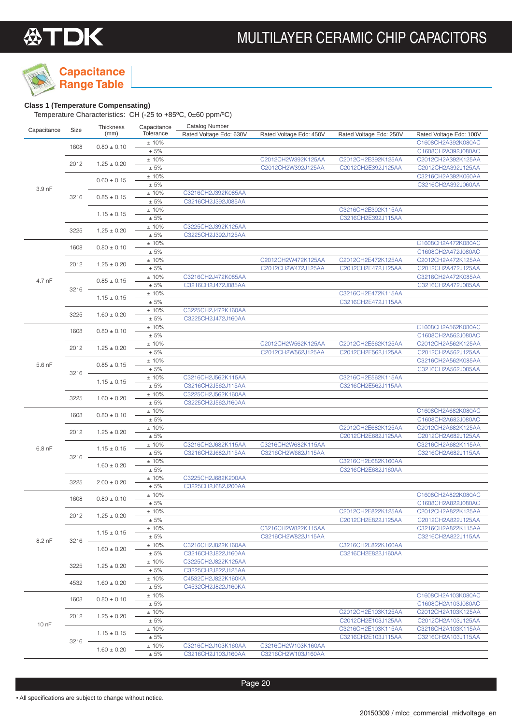

### **Range Table**

**Class 1 (Temperature Compensating)** Temperature Characteristics: CH (-25 to +85ºC, 0±60 ppm/ºC)

| Capacitance | Size     | Thickness       | Capacitance      | <b>Catalog Number</b>   |                         |                         |                                          |
|-------------|----------|-----------------|------------------|-------------------------|-------------------------|-------------------------|------------------------------------------|
|             |          | (mm)            | Tolerance        | Rated Voltage Edc: 630V | Rated Voltage Edc: 450V | Rated Voltage Edc: 250V | Rated Voltage Edc: 100V                  |
|             | 1608     | $0.80 \pm 0.10$ | ±10%             |                         |                         |                         | C1608CH2A392K080AC                       |
|             |          |                 | $\pm 5\%$        |                         |                         |                         | C1608CH2A392J080AC                       |
|             | 2012     | $1.25 \pm 0.20$ | ±10%             |                         | C2012CH2W392K125AA      | C2012CH2E392K125AA      | C2012CH2A392K125AA                       |
|             |          |                 | $\pm$ 5%         |                         | C2012CH2W392J125AA      | C2012CH2E392J125AA      | C2012CH2A392J125AA                       |
|             |          | $0.60 \pm 0.15$ | ±10%             |                         |                         |                         | C3216CH2A392K060AA                       |
| 3.9 nF      |          |                 | $\pm$ 5%         |                         |                         |                         | C3216CH2A392J060AA                       |
|             | 3216     | $0.85 \pm 0.15$ | ±10%             | C3216CH2J392K085AA      |                         |                         |                                          |
|             |          |                 | $\pm$ 5%         | C3216CH2J392J085AA      |                         |                         |                                          |
|             |          | $1.15 \pm 0.15$ | ±10%             |                         |                         | C3216CH2E392K115AA      |                                          |
|             |          |                 | $\pm$ 5%         |                         |                         | C3216CH2E392J115AA      |                                          |
|             | 3225     | $1.25 \pm 0.20$ | ±10%             | C3225CH2J392K125AA      |                         |                         |                                          |
|             |          |                 | ± 5%             | C3225CH2J392J125AA      |                         |                         |                                          |
|             | 1608     | $0.80 \pm 0.10$ | ±10%<br>± 5%     |                         |                         |                         | C1608CH2A472K080AC<br>C1608CH2A472J080AC |
|             |          |                 |                  |                         | C2012CH2W472K125AA      | C2012CH2E472K125AA      |                                          |
|             | 2012     | $1.25 \pm 0.20$ | ±10%<br>$\pm$ 5% |                         | C2012CH2W472J125AA      | C2012CH2E472J125AA      | C2012CH2A472K125AA<br>C2012CH2A472J125AA |
|             |          |                 | ±10%             | C3216CH2J472K085AA      |                         |                         | C3216CH2A472K085AA                       |
| 4.7 nF      |          | $0.85 \pm 0.15$ | $\pm 5\%$        | C3216CH2J472J085AA      |                         |                         | C3216CH2A472J085AA                       |
|             | $3216 -$ |                 | $\pm$ 10%        |                         |                         | C3216CH2E472K115AA      |                                          |
|             |          | $1.15 \pm 0.15$ | $\pm$ 5%         |                         |                         | C3216CH2E472J115AA      |                                          |
|             |          |                 | ±10%             | C3225CH2J472K160AA      |                         |                         |                                          |
|             | 3225     | $1.60 \pm 0.20$ | $\pm 5\%$        | C3225CH2J472J160AA      |                         |                         |                                          |
|             |          |                 | ±10%             |                         |                         |                         | C1608CH2A562K080AC                       |
|             | 1608     | $0.80 \pm 0.10$ | $\pm$ 5%         |                         |                         |                         | C1608CH2A562J080AC                       |
|             |          |                 | ±10%             |                         | C2012CH2W562K125AA      | C2012CH2E562K125AA      | C2012CH2A562K125AA                       |
|             | 2012     | $1.25 \pm 0.20$ | $\pm 5\%$        |                         | C2012CH2W562J125AA      | C2012CH2E562J125AA      | C2012CH2A562J125AA                       |
|             |          |                 | ±10%             |                         |                         |                         | C3216CH2A562K085AA                       |
| $5.6$ nF    |          | $0.85 \pm 0.15$ | $\pm 5\%$        |                         |                         |                         | C3216CH2A562J085AA                       |
|             | $3216 -$ |                 | ±10%             | C3216CH2J562K115AA      |                         | C3216CH2E562K115AA      |                                          |
|             |          | $1.15 \pm 0.15$ | $\pm 5\%$        | C3216CH2J562J115AA      |                         | C3216CH2E562J115AA      |                                          |
|             | 3225     | $1.60 \pm 0.20$ | ±10%             | C3225CH2J562K160AA      |                         |                         |                                          |
|             |          |                 | $\pm 5\%$        | C3225CH2J562J160AA      |                         |                         |                                          |
|             | 1608     | $0.80 \pm 0.10$ | ±10%             |                         |                         |                         | C1608CH2A682K080AC                       |
|             |          |                 | $\pm 5\%$        |                         |                         |                         | C1608CH2A682J080AC                       |
|             | 2012     | $1.25 \pm 0.20$ | ±10%             |                         |                         | C2012CH2E682K125AA      | C2012CH2A682K125AA                       |
|             |          |                 | $\pm 5\%$        |                         |                         | C2012CH2E682J125AA      | C2012CH2A682J125AA                       |
| 6.8 nF      |          | $1.15 \pm 0.15$ | ±10%             | C3216CH2J682K115AA      | C3216CH2W682K115AA      |                         | C3216CH2A682K115AA                       |
|             | $3216 -$ |                 | $\pm 5\%$        | C3216CH2J682J115AA      | C3216CH2W682J115AA      |                         | C3216CH2A682J115AA                       |
|             |          | $1.60 \pm 0.20$ | ±10%             |                         |                         | C3216CH2E682K160AA      |                                          |
|             |          |                 | $\pm$ 5%         |                         |                         | C3216CH2E682J160AA      |                                          |
|             | 3225     | $2.00 \pm 0.20$ | ±10%             | C3225CH2J682K200AA      |                         |                         |                                          |
|             |          |                 | $\pm 5\%$        | C3225CH2J682J200AA      |                         |                         |                                          |
|             | 1608     | $0.80 \pm 0.10$ | ±10%<br>± 5%     |                         |                         |                         | C1608CH2A822K080AC                       |
|             |          |                 | $\pm$ 10%        |                         |                         | C2012CH2E822K125AA      | C1608CH2A822J080AC<br>C2012CH2A822K125AA |
|             | 2012     | $1.25 \pm 0.20$ | ± 5%             |                         |                         | C2012CH2E822J125AA      | C2012CH2A822J125AA                       |
|             |          |                 | ± 10%            |                         | C3216CH2W822K115AA      |                         | C3216CH2A822K115AA                       |
|             |          | $1.15 \pm 0.15$ | ± 5%             |                         | C3216CH2W822J115AA      |                         | C3216CH2A822J115AA                       |
| 8.2 nF      | $3216 -$ |                 | ±10%             | C3216CH2J822K160AA      |                         | C3216CH2E822K160AA      |                                          |
|             |          | $1.60 \pm 0.20$ | $\pm 5\%$        | C3216CH2J822J160AA      |                         | C3216CH2E822J160AA      |                                          |
|             |          |                 | ±10%             | C3225CH2J822K125AA      |                         |                         |                                          |
|             | 3225     | $1.25 \pm 0.20$ | ± 5%             | C3225CH2J822J125AA      |                         |                         |                                          |
|             |          |                 | ±10%             | C4532CH2J822K160KA      |                         |                         |                                          |
|             | 4532     | $1.60 \pm 0.20$ | ± 5%             | C4532CH2J822J160KA      |                         |                         |                                          |
|             |          |                 | ± 10%            |                         |                         |                         | C1608CH2A103K080AC                       |
|             | 1608     | $0.80 \pm 0.10$ | $\pm 5\%$        |                         |                         |                         | C1608CH2A103J080AC                       |
|             |          |                 | ±10%             |                         |                         | C2012CH2E103K125AA      | C2012CH2A103K125AA                       |
|             | 2012     | $1.25 \pm 0.20$ | $\pm$ 5%         |                         |                         | C2012CH2E103J125AA      | C2012CH2A103J125AA                       |
| 10 nF       |          |                 | ±10%             |                         |                         | C3216CH2E103K115AA      | C3216CH2A103K115AA                       |
|             |          | $1.15 \pm 0.15$ | ± 5%             |                         |                         | C3216CH2E103J115AA      | C3216CH2A103J115AA                       |
|             | $3216 -$ |                 | ±10%             | C3216CH2J103K160AA      | C3216CH2W103K160AA      |                         |                                          |
|             |          | $1.60 \pm 0.20$ | ± 5%             | C3216CH2J103J160AA      | C3216CH2W103J160AA      |                         |                                          |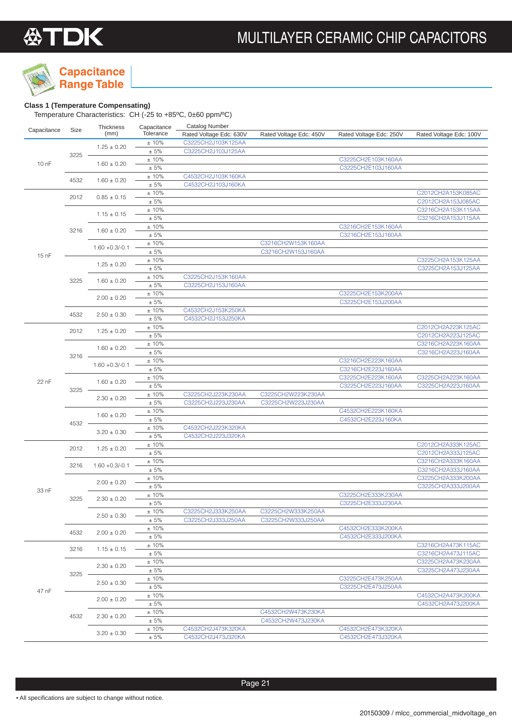**Range Table**

### **Capacitance**

### **Class 1 (Temperature Compensating)**

|             |          | Thickness         | Capacitance      | <b>Catalog Number</b>   |                         |                         |                                          |
|-------------|----------|-------------------|------------------|-------------------------|-------------------------|-------------------------|------------------------------------------|
| Capacitance | Size     | (mm)              | Tolerance        | Rated Voltage Edc: 630V | Rated Voltage Edc: 450V | Rated Voltage Edc: 250V | Rated Voltage Edc: 100V                  |
|             |          | $1.25 \pm 0.20$   | $\pm$ 10%        | C3225CH2J103K125AA      |                         |                         |                                          |
|             | 3225     |                   | $\pm 5\%$        | C3225CH2J103J125AA      |                         |                         |                                          |
| 10 nF       |          | $1.60 \pm 0.20$   | ±10%             |                         |                         | C3225CH2E103K160AA      |                                          |
|             |          |                   | ± 5%             |                         |                         | C3225CH2E103J160AA      |                                          |
|             | 4532     | $1.60 \pm 0.20$   | ±10%             | C4532CH2J103K160KA      |                         |                         |                                          |
|             |          |                   | ± 5%             | C4532CH2J103J160KA      |                         |                         |                                          |
|             | 2012     | $0.85 \pm 0.15$   | ±10%             |                         |                         |                         | C2012CH2A153K085AC                       |
|             |          |                   | ± 5%             |                         |                         |                         | C2012CH2A153J085AC                       |
|             |          | $1.15 \pm 0.15$   | ±10%             |                         |                         |                         | C3216CH2A153K115AA                       |
|             |          |                   | $\pm 5\%$        |                         |                         |                         | C3216CH2A153J115AA                       |
|             | 3216     | $1.60 \pm 0.20$   | ±10%             |                         |                         | C3216CH2E153K160AA      |                                          |
|             |          |                   | ± 5%<br>±10%     |                         | C3216CH2W153K160AA      | C3216CH2E153J160AA      |                                          |
|             |          | $1.60 + 0.3/-0.1$ | ± 5%             |                         | C3216CH2W153J160AA      |                         |                                          |
| 15 nF       |          |                   | $±10\%$          |                         |                         |                         | C3225CH2A153K125AA                       |
|             |          | $1.25 \pm 0.20$   | ± 5%             |                         |                         |                         | C3225CH2A153J125AA                       |
|             |          |                   | ±10%             | C3225CH2J153K160AA      |                         |                         |                                          |
|             | 3225     | $1.60 \pm 0.20$   | ± 5%             | C3225CH2J153J160AA      |                         |                         |                                          |
|             |          |                   | ±10%             |                         |                         | C3225CH2E153K200AA      |                                          |
|             |          | $2.00 \pm 0.20$   | ± 5%             |                         |                         | C3225CH2E153J200AA      |                                          |
|             |          |                   | ±10%             | C4532CH2J153K250KA      |                         |                         |                                          |
|             | 4532     | $2.50 \pm 0.30$   | ± 5%             | C4532CH2J153J250KA      |                         |                         |                                          |
|             |          |                   | $±10\%$          |                         |                         |                         | C2012CH2A223K125AC                       |
|             | 2012     | $1.25 \pm 0.20$   | ± 5%             |                         |                         |                         | C2012CH2A223J125AC                       |
|             |          | $1.60 \pm 0.20$   | ±10%             |                         |                         |                         | C3216CH2A223K160AA                       |
|             | $3216 -$ |                   | ± 5%             |                         |                         |                         | C3216CH2A223J160AA                       |
|             |          | $1.60 + 0.3/-0.1$ | $\pm$ 10%        |                         |                         | C3216CH2E223K160AA      |                                          |
|             |          |                   | ± 5%             |                         |                         | C3216CH2E223J160AA      |                                          |
| 22 nF       | 3225     | $1.60 \pm 0.20$   | ±10%             |                         |                         | C3225CH2E223K160AA      | C3225CH2A223K160AA                       |
|             |          |                   | ± 5%             |                         |                         | C3225CH2E223J160AA      | C3225CH2A223J160AA                       |
|             |          | $2.30 \pm 0.20$   | ±10%             | C3225CH2J223K230AA      | C3225CH2W223K230AA      |                         |                                          |
|             |          |                   | ± 5%             | C3225CH2J223J230AA      | C3225CH2W223J230AA      |                         |                                          |
|             |          | $1.60 \pm 0.20$   | ±10%             |                         |                         | C4532CH2E223K160KA      |                                          |
|             | 4532     | $3.20 \pm 0.30$   | ± 5%             |                         |                         | C4532CH2E223J160KA      |                                          |
|             |          |                   | ±10%             | C4532CH2J223K320KA      |                         |                         |                                          |
|             |          |                   | ± 5%             | C4532CH2J223J320KA      |                         |                         |                                          |
|             | 2012     | $1.25 \pm 0.20$   | ±10%             |                         |                         |                         | C2012CH2A333K125AC                       |
|             |          |                   | ± 5%             |                         |                         |                         | C2012CH2A333J125AC                       |
|             | 3216     | $1.60 + 0.3/-0.1$ | ±10%<br>$\pm$ 5% |                         |                         |                         | C3216CH2A333K160AA                       |
|             |          |                   | $±10\%$          |                         |                         |                         | C3216CH2A333J160AA<br>C3225CH2A333K200AA |
|             |          | $2.00 \pm 0.20$   | ± 5%             |                         |                         |                         | C3225CH2A333J200AA                       |
| 33 nF       |          |                   | ±10%             |                         |                         | C3225CH2E333K230AA      |                                          |
|             | 3225     | $2.30 \pm 0.20$   | ± 5%             |                         |                         | C3225CH2E333J230AA      |                                          |
|             |          |                   | ±10%             | C3225CH2J333K250AA      | C3225CH2W333K250AA      |                         |                                          |
|             |          | $2.50 \pm 0.30$   | ± 5%             | C3225CH2J333J250AA      | C3225CH2W333J250AA      |                         |                                          |
|             |          |                   | ± 10%            |                         |                         | C4532CH2E333K200KA      |                                          |
|             | 4532     | $2.00 \pm 0.20$   | ± 5%             |                         |                         | C4532CH2E333J200KA      |                                          |
|             |          |                   | ± 10%            |                         |                         |                         | C3216CH2A473K115AC                       |
|             | 3216     | $1.15 \pm 0.15$   | $\pm 5\%$        |                         |                         |                         | C3216CH2A473J115AC                       |
|             |          |                   | ± 10%            |                         |                         |                         | C3225CH2A473K230AA                       |
|             |          | $2.30 \pm 0.20$   | ± 5%             |                         |                         |                         | C3225CH2A473J230AA                       |
|             | 3225     |                   | ± 10%            |                         |                         | C3225CH2E473K250AA      |                                          |
|             |          | $2.50 \pm 0.30$   | ± 5%             |                         |                         | C3225CH2E473J250AA      |                                          |
| 47 nF       |          |                   | ± 10%            |                         |                         |                         | C4532CH2A473K200KA                       |
|             |          | $2.00 \pm 0.20$   | ± 5%             |                         |                         |                         | C4532CH2A473J200KA                       |
|             |          |                   | ± 10%            |                         | C4532CH2W473K230KA      |                         |                                          |
|             | 4532     | $2.30 \pm 0.20$   | ± 5%             |                         | C4532CH2W473J230KA      |                         |                                          |
|             |          |                   | ± 10%            | C4532CH2J473K320KA      |                         | C4532CH2E473K320KA      |                                          |
|             |          | $3.20 \pm 0.30$   | ± 5%             | C4532CH2J473J320KA      |                         | C4532CH2E473J320KA      |                                          |
|             |          |                   |                  |                         |                         |                         |                                          |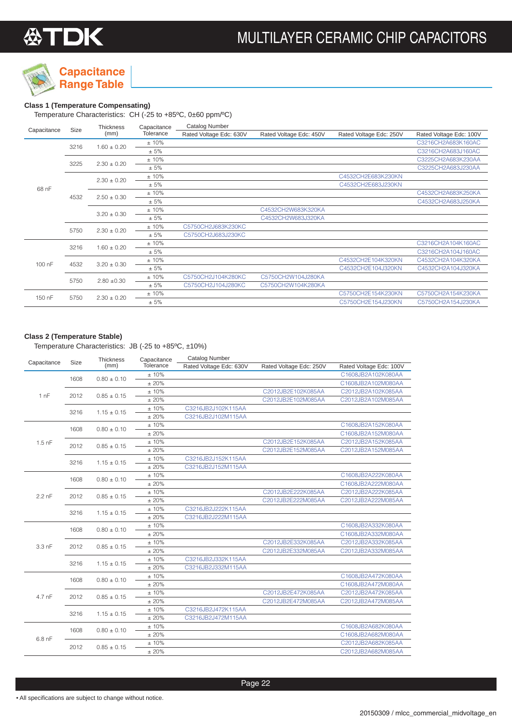

### **Class 1 (Temperature Compensating)**

Temperature Characteristics: CH (-25 to +85ºC, 0±60 ppm/ºC)

| Capacitance | Size | <b>Thickness</b> | Capacitance | Catalog Number          |                         |                         |                         |
|-------------|------|------------------|-------------|-------------------------|-------------------------|-------------------------|-------------------------|
|             |      | (mm)             | Tolerance   | Rated Voltage Edc: 630V | Rated Voltage Edc: 450V | Rated Voltage Edc: 250V | Rated Voltage Edc: 100V |
|             |      | $1.60 \pm 0.20$  | ±10%        |                         |                         |                         | C3216CH2A683K160AC      |
|             | 3216 |                  | ± 5%        |                         |                         |                         | C3216CH2A683J160AC      |
|             |      |                  | ±10%        |                         |                         |                         | C3225CH2A683K230AA      |
|             | 3225 | $2.30 \pm 0.20$  | ± 5%        |                         |                         |                         | C3225CH2A683J230AA      |
|             |      | $2.30 \pm 0.20$  | ±10%        |                         |                         | C4532CH2E683K230KN      |                         |
| 68 nF       |      |                  | ± 5%        |                         |                         | C4532CH2E683J230KN      |                         |
|             | 4532 | $2.50 \pm 0.30$  | ±10%        |                         |                         |                         | C4532CH2A683K250KA      |
|             |      |                  | ± 5%        |                         |                         |                         | C4532CH2A683J250KA      |
|             |      | $3.20 \pm 0.30$  | ±10%        |                         | C4532CH2W683K320KA      |                         |                         |
|             |      |                  | ± 5%        |                         | C4532CH2W683J320KA      |                         |                         |
|             | 5750 | $2.30 \pm 0.20$  | ±10%        | C5750CH2J683K230KC      |                         |                         |                         |
|             |      |                  | ± 5%        | C5750CH2J683J230KC      |                         |                         |                         |
|             | 3216 | $1.60 \pm 0.20$  | ±10%        |                         |                         |                         | C3216CH2A104K160AC      |
|             |      |                  | ± 5%        |                         |                         |                         | C3216CH2A104J160AC      |
| 100 nF      | 4532 | $3.20 \pm 0.30$  | ±10%        |                         |                         | C4532CH2E104K320KN      | C4532CH2A104K320KA      |
|             |      |                  | ± 5%        |                         |                         | C4532CH2E104J320KN      | C4532CH2A104J320KA      |
|             |      |                  | ±10%        | C5750CH2J104K280KC      | C5750CH2W104J280KA      |                         |                         |
|             | 5750 | $2.80 + 0.30$    | ± 5%        | C5750CH2J104J280KC      | C5750CH2W104K280KA      |                         |                         |
| 150 nF      |      |                  | ±10%        |                         |                         | C5750CH2E154K230KN      | C5750CH2A154K230KA      |
|             | 5750 | $2.30 \pm 0.20$  | ± 5%        |                         |                         | C5750CH2E154J230KN      | C5750CH2A154J230KA      |

### **Class 2 (Temperature Stable)**

Temperature Characteristics: JB (-25 to +85ºC, ±10%)

| Capacitance       | Size | Thickness       | Capacitance | <b>Catalog Number</b>   |                         |                         |
|-------------------|------|-----------------|-------------|-------------------------|-------------------------|-------------------------|
|                   |      | (mm)            | Tolerance   | Rated Voltage Edc: 630V | Rated Voltage Edc: 250V | Rated Voltage Edc: 100V |
|                   | 1608 | $0.80 \pm 0.10$ | ±10%        |                         |                         | C1608JB2A102K080AA      |
|                   |      |                 | ± 20%       |                         |                         | C1608JB2A102M080AA      |
| 1nF               | 2012 | $0.85 \pm 0.15$ | ±10%        |                         | C2012JB2E102K085AA      | C2012JB2A102K085AA      |
|                   |      |                 | ±20%        |                         | C2012JB2E102M085AA      | C2012JB2A102M085AA      |
|                   | 3216 | $1.15 \pm 0.15$ | ±10%        | C3216JB2J102K115AA      |                         |                         |
|                   |      |                 | ± 20%       | C3216JB2J102M115AA      |                         |                         |
|                   | 1608 | $0.80 \pm 0.10$ | ±10%        |                         |                         | C1608JB2A152K080AA      |
|                   |      |                 | ±20%        |                         |                         | C1608JB2A152M080AA      |
| $1.5$ nF          | 2012 | $0.85 \pm 0.15$ | ±10%        |                         | C2012JB2E152K085AA      | C2012JB2A152K085AA      |
|                   |      |                 | ± 20%       |                         | C2012JB2E152M085AA      | C2012JB2A152M085AA      |
|                   | 3216 | $1.15 \pm 0.15$ | ±10%        | C3216JB2J152K115AA      |                         |                         |
|                   |      |                 | ±20%        | C3216JB2J152M115AA      |                         |                         |
|                   | 1608 | $0.80 \pm 0.10$ | ±10%        |                         |                         | C1608JB2A222K080AA      |
|                   |      |                 | ±20%        |                         |                         | C1608JB2A222M080AA      |
| $2.2$ nF          | 2012 | $0.85 \pm 0.15$ | ±10%        |                         | C2012JB2E222K085AA      | C2012JB2A222K085AA      |
|                   |      |                 | ± 20%       |                         | C2012JB2E222M085AA      | C2012JB2A222M085AA      |
|                   | 3216 | $1.15 \pm 0.15$ | ±10%        | C3216JB2J222K115AA      |                         |                         |
|                   |      |                 | ±20%        | C3216JB2J222M115AA      |                         |                         |
|                   | 1608 | $0.80 \pm 0.10$ | ±10%        |                         |                         | C1608JB2A332K080AA      |
|                   |      |                 | ± 20%       |                         |                         | C1608JB2A332M080AA      |
| 3.3 <sub>nF</sub> | 2012 | $0.85 \pm 0.15$ | ±10%        |                         | C2012JB2E332K085AA      | C2012JB2A332K085AA      |
|                   |      |                 | ±20%        |                         | C2012JB2E332M085AA      | C2012JB2A332M085AA      |
|                   | 3216 | $1.15 \pm 0.15$ | ±10%        | C3216JB2J332K115AA      |                         |                         |
|                   |      |                 | ± 20%       | C3216JB2J332M115AA      |                         |                         |
|                   | 1608 | $0.80 \pm 0.10$ | ±10%        |                         |                         | C1608JB2A472K080AA      |
|                   |      |                 | ±20%        |                         |                         | C1608JB2A472M080AA      |
| 4.7 nF            | 2012 | $0.85 \pm 0.15$ | ±10%        |                         | C2012JB2E472K085AA      | C2012JB2A472K085AA      |
|                   |      |                 | ±20%        |                         | C2012JB2E472M085AA      | C2012JB2A472M085AA      |
|                   | 3216 | $1.15 \pm 0.15$ | ±10%        | C3216JB2J472K115AA      |                         |                         |
|                   |      |                 | ±20%        | C3216JB2J472M115AA      |                         |                         |
|                   | 1608 | $0.80 \pm 0.10$ | ±10%        |                         |                         | C1608JB2A682K080AA      |
| 6.8 nF            |      |                 | ± 20%       |                         |                         | C1608JB2A682M080AA      |
|                   | 2012 | $0.85 \pm 0.15$ | ±10%        |                         |                         | C2012JB2A682K085AA      |
|                   |      |                 | ±20%        |                         |                         | C2012JB2A682M085AA      |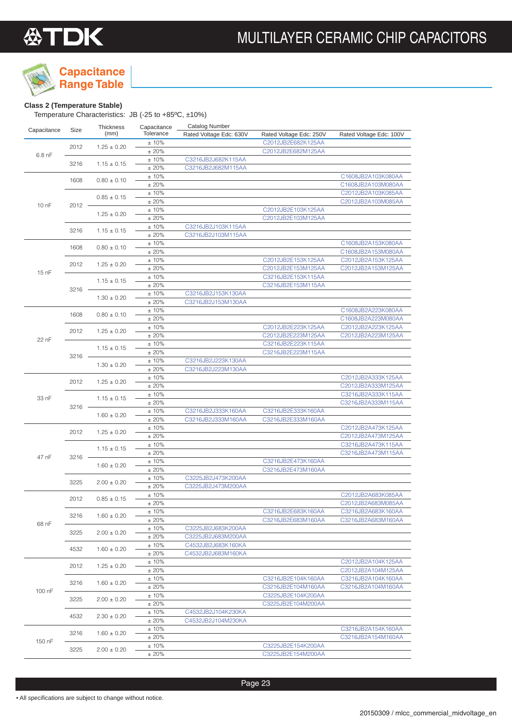



## **Capacitance**

**Range Table**

### **Class 2 (Temperature Stable)**

Temperature Characteristics: JB (-25 to +85ºC, ±10%)

| Capacitance | Size | <b>Thickness</b> | Capacitance   | <b>Catalog Number</b>   |                                          |                         |      |  |                    |
|-------------|------|------------------|---------------|-------------------------|------------------------------------------|-------------------------|------|--|--------------------|
|             |      | (mm)             | Tolerance     | Rated Voltage Edc: 630V | Rated Voltage Edc: 250V                  | Rated Voltage Edc: 100V |      |  |                    |
|             | 2012 | $1.25 \pm 0.20$  | ±10%          |                         | C2012JB2E682K125AA                       |                         |      |  |                    |
| $6.8$ nF    |      |                  | ±20%          |                         | C2012JB2E682M125AA                       |                         |      |  |                    |
|             | 3216 | $1.15 \pm 0.15$  | ±10%          | C3216JB2J682K115AA      |                                          |                         |      |  |                    |
|             |      |                  | ±20%          | C3216JB2J682M115AA      |                                          |                         |      |  |                    |
|             | 1608 | $0.80 \pm 0.10$  | ±10%          |                         |                                          | C1608JB2A103K080AA      |      |  |                    |
|             |      |                  | ±20%          |                         |                                          | C1608JB2A103M080AA      |      |  |                    |
|             |      | $0.85 \pm 0.15$  | ±10%          |                         |                                          | C2012JB2A103K085AA      |      |  |                    |
| $100$ nF    | 2012 |                  | ±20%          |                         |                                          | C2012JB2A103M085AA      |      |  |                    |
|             |      | $1.25 \pm 0.20$  | ±10%<br>±20%  |                         | C2012JB2E103K125AA<br>C2012JB2E103M125AA |                         |      |  |                    |
|             |      |                  | ± 10%         | C3216JB2J103K115AA      |                                          |                         |      |  |                    |
|             | 3216 | $1.15 \pm 0.15$  | ±20%          | C3216JB2J103M115AA      |                                          |                         |      |  |                    |
|             |      |                  | ±10%          |                         |                                          | C1608JB2A153K080AA      |      |  |                    |
|             | 1608 | $0.80 \pm 0.10$  | ±20%          |                         |                                          | C1608JB2A153M080AA      |      |  |                    |
|             |      |                  | ±10%          |                         | C2012JB2E153K125AA                       | C2012JB2A153K125AA      |      |  |                    |
|             | 2012 | $1.25 \pm 0.20$  | ±20%          |                         | C2012JB2E153M125AA                       | C2012JB2A153M125AA      |      |  |                    |
| 15 nF       |      |                  | ±10%          |                         | C3216JB2E153K115AA                       |                         |      |  |                    |
|             |      | $1.15 \pm 0.15$  | ±20%          |                         | C3216JB2E153M115AA                       |                         |      |  |                    |
|             | 3216 |                  | ±10%          | C3216JB2J153K130AA      |                                          |                         |      |  |                    |
|             |      | $1.30 \pm 0.20$  | ±20%          | C3216JB2J153M130AA      |                                          |                         |      |  |                    |
|             |      |                  | ±10%          |                         |                                          | C1608JB2A223K080AA      |      |  |                    |
|             | 1608 | $0.80 \pm 0.10$  | ±20%          |                         |                                          | C1608JB2A223M080AA      |      |  |                    |
|             | 2012 | $1.25 \pm 0.20$  | ±10%          |                         | C2012JB2E223K125AA                       | C2012JB2A223K125AA      |      |  |                    |
| 22 nF       |      |                  | ±20%          |                         | C2012JB2E223M125AA                       | C2012JB2A223M125AA      |      |  |                    |
|             |      | $1.15 \pm 0.15$  | ±10%          |                         | C3216JB2E223K115AA                       |                         |      |  |                    |
|             | 3216 |                  | ±20%          |                         | C3216JB2E223M115AA                       |                         |      |  |                    |
|             |      | $1.30 \pm 0.20$  | ±10%          | C3216JB2J223K130AA      |                                          |                         |      |  |                    |
|             |      |                  | ±20%          | C3216JB2J223M130AA      |                                          |                         |      |  |                    |
|             | 2012 | $1.25 \pm 0.20$  | ±10%          |                         |                                          | C2012JB2A333K125AA      |      |  |                    |
|             |      |                  | ±20%          |                         |                                          | C2012JB2A333M125AA      |      |  |                    |
| 33 nF       |      | $1.15 \pm 0.15$  | ±10%          |                         |                                          | C3216JB2A333K115AA      |      |  |                    |
|             | 3216 |                  | ±20%          |                         |                                          | C3216JB2A333M115AA      |      |  |                    |
|             |      | $1.60 \pm 0.20$  | ±10%<br>±20%  | C3216JB2J333K160AA      | C3216JB2E333K160AA                       |                         |      |  |                    |
|             |      |                  | ±10%          | C3216JB2J333M160AA      | C3216JB2E333M160AA                       | C2012JB2A473K125AA      |      |  |                    |
|             | 2012 | $1.25 \pm 0.20$  | ±20%          |                         |                                          | C2012JB2A473M125AA      |      |  |                    |
|             |      |                  | ±10%          |                         |                                          | C3216JB2A473K115AA      |      |  |                    |
|             |      | $1.15 \pm 0.15$  | ±20%          |                         |                                          | C3216JB2A473M115AA      |      |  |                    |
| 47 nF       | 3216 |                  | ±10%          |                         | C3216JB2E473K160AA                       |                         |      |  |                    |
|             |      | $1.60 \pm 0.20$  | ±20%          |                         | C3216JB2E473M160AA                       |                         |      |  |                    |
|             |      |                  | ±10%          | C3225JB2J473K200AA      |                                          |                         |      |  |                    |
|             | 3225 | $2.00 \pm 0.20$  | ±20%          | C3225JB2J473M200AA      |                                          |                         |      |  |                    |
|             | 2012 | $0.85 \pm 0.15$  | ±10%          |                         |                                          | C2012JB2A683K085AA      |      |  |                    |
|             |      |                  | ±20%          |                         |                                          | C2012JB2A683M085AA      |      |  |                    |
|             | 3216 | $1.60 \pm 0.20$  | ±10%          |                         | C3216JB2E683K160AA                       | C3216JB2A683K160AA      |      |  |                    |
| 68 nF       |      |                  | ±20%          |                         | C3216JB2E683M160AA                       | C3216JB2A683M160AA      |      |  |                    |
|             | 3225 | $2.00 \pm 0.20$  | ±10%          | C3225JB2J683K200AA      |                                          |                         |      |  |                    |
|             |      |                  | $\pm$ 20%     | C3225JB2J683M200AA      |                                          |                         |      |  |                    |
|             | 4532 | $1.60 \pm 0.20$  | ± 10%         | C4532JB2J683K160KA      |                                          |                         |      |  |                    |
|             |      |                  | ±20%          | C4532JB2J683M160KA      |                                          |                         |      |  |                    |
|             | 2012 | $1.25 \pm 0.20$  | ± 10%         |                         |                                          | C2012JB2A104K125AA      |      |  |                    |
|             |      |                  | ±20%          |                         |                                          | C2012JB2A104M125AA      |      |  |                    |
|             | 3216 | $1.60 \pm 0.20$  | ± 10%<br>±20% |                         | C3216JB2E104K160AA<br>C3216JB2E104M160AA | C3216JB2A104K160AA      |      |  |                    |
| 100 nF      |      |                  | ±10%          |                         | C3225JB2E104K200AA                       | C3216JB2A104M160AA      |      |  |                    |
|             | 3225 | $2.00 \pm 0.20$  | ± 20%         |                         | C3225JB2E104M200AA                       |                         |      |  |                    |
|             |      |                  | ± 10%         | C4532JB2J104K230KA      |                                          |                         |      |  |                    |
|             | 4532 | $2.30 \pm 0.20$  | ±20%          | C4532JB2J104M230KA      |                                          |                         |      |  |                    |
|             |      |                  | ± 10%         |                         |                                          | C3216JB2A154K160AA      |      |  |                    |
|             | 3216 | $1.60 \pm 0.20$  | ±20%          |                         |                                          | C3216JB2A154M160AA      |      |  |                    |
| 150 nF      | 3225 |                  | ± 10%         |                         | C3225JB2E154K200AA                       |                         |      |  |                    |
|             |      |                  |               |                         |                                          | $2.00 \pm 0.20$         | ±20% |  | C3225JB2E154M200AA |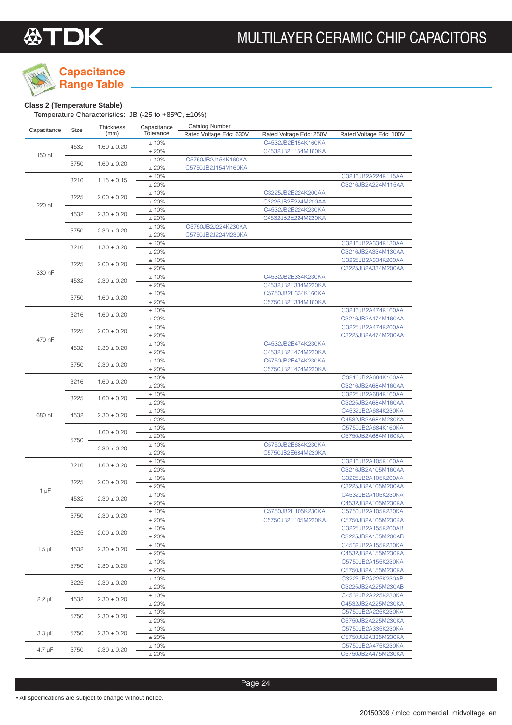

## **Capacitance**

**Range Table**

### **Class 2 (Temperature Stable)**

Temperature Characteristics: JB (-25 to +85ºC, ±10%)

| Capacitance | Size | Thickness       | Capacitance  | <b>Catalog Number</b>   |                                          |                         |
|-------------|------|-----------------|--------------|-------------------------|------------------------------------------|-------------------------|
|             |      | (mm)            | Tolerance    | Rated Voltage Edc: 630V | Rated Voltage Edc: 250V                  | Rated Voltage Edc: 100V |
|             | 4532 | $1.60 \pm 0.20$ | ±10%         |                         | C4532JB2E154K160KA                       |                         |
| 150 nF      |      |                 | ±20%         |                         | C4532JB2E154M160KA                       |                         |
|             | 5750 | $1.60 \pm 0.20$ | ±10%         | C5750JB2J154K160KA      |                                          |                         |
|             |      |                 | ±20%         | C5750JB2J154M160KA      |                                          |                         |
|             | 3216 | $1.15 \pm 0.15$ | ±10%         |                         |                                          | C3216JB2A224K115AA      |
|             |      |                 | ±20%         |                         |                                          | C3216JB2A224M115AA      |
|             | 3225 | $2.00 \pm 0.20$ | ±10%         |                         | C3225JB2E224K200AA                       |                         |
| 220 nF      |      |                 | ±20%<br>±10% |                         | C3225JB2E224M200AA<br>C4532JB2E224K230KA |                         |
|             | 4532 | $2.30 \pm 0.20$ | ±20%         |                         | C4532JB2E224M230KA                       |                         |
|             |      |                 | ±10%         | C5750JB2J224K230KA      |                                          |                         |
|             | 5750 | $2.30 \pm 0.20$ | ±20%         | C5750JB2J224M230KA      |                                          |                         |
|             |      |                 | ±10%         |                         |                                          | C3216JB2A334K130AA      |
|             | 3216 | $1.30 \pm 0.20$ | ±20%         |                         |                                          | C3216JB2A334M130AA      |
|             |      |                 | ±10%         |                         |                                          | C3225JB2A334K200AA      |
|             | 3225 | $2.00 \pm 0.20$ | ±20%         |                         |                                          | C3225JB2A334M200AA      |
| 330 nF      |      |                 | ±10%         |                         | C4532JB2E334K230KA                       |                         |
|             | 4532 | $2.30 \pm 0.20$ | ±20%         |                         | C4532JB2E334M230KA                       |                         |
|             |      |                 | ±10%         |                         | C5750JB2E334K160KA                       |                         |
|             | 5750 | $1.60 \pm 0.20$ | ± 20%        |                         | C5750JB2E334M160KA                       |                         |
|             |      |                 | ±10%         |                         |                                          | C3216JB2A474K160AA      |
|             | 3216 | $1.60 \pm 0.20$ | ±20%         |                         |                                          | C3216JB2A474M160AA      |
|             | 3225 | $2.00 \pm 0.20$ | ±10%         |                         |                                          | C3225JB2A474K200AA      |
| 470 nF      |      |                 | ±20%         |                         |                                          | C3225JB2A474M200AA      |
|             | 4532 | $2.30 \pm 0.20$ | ±10%         |                         | C4532JB2E474K230KA                       |                         |
|             |      |                 | ±20%         |                         | C4532JB2E474M230KA                       |                         |
|             | 5750 | $2.30 \pm 0.20$ | ±10%         |                         | C5750JB2E474K230KA                       |                         |
|             |      |                 | ±20%         |                         | C5750JB2E474M230KA                       |                         |
|             | 3216 | $1.60 \pm 0.20$ | ±10%         |                         |                                          | C3216JB2A684K160AA      |
|             |      |                 | ±20%         |                         |                                          | C3216JB2A684M160AA      |
|             | 3225 | $1.60 \pm 0.20$ | ±10%         |                         |                                          | C3225JB2A684K160AA      |
|             |      |                 | ±20%         |                         |                                          | C3225JB2A684M160AA      |
| 680 nF      | 4532 | $2.30 \pm 0.20$ | ±10%         |                         |                                          | C4532JB2A684K230KA      |
|             | 5750 |                 | ± 20%        |                         |                                          | C4532JB2A684M230KA      |
|             |      | $1.60 \pm 0.20$ | ±10%         |                         |                                          | C5750JB2A684K160KA      |
|             |      |                 | ±20%<br>±10% |                         | C5750JB2E684K230KA                       | C5750JB2A684M160KA      |
|             |      | $2.30 \pm 0.20$ | ±20%         |                         | C5750JB2E684M230KA                       |                         |
|             |      |                 | ±10%         |                         |                                          | C3216JB2A105K160AA      |
|             | 3216 | $1.60 \pm 0.20$ | ± 20%        |                         |                                          | C3216JB2A105M160AA      |
|             |      |                 | ±10%         |                         |                                          | C3225JB2A105K200AA      |
|             | 3225 | $2.00 \pm 0.20$ | ±20%         |                         |                                          | C3225JB2A105M200AA      |
| 1 µF        |      |                 | ±10%         |                         |                                          | C4532JB2A105K230KA      |
|             | 4532 | $2.30 \pm 0.20$ | ±20%         |                         |                                          | C4532JB2A105M230KA      |
|             |      |                 | ± 10%        |                         | C5750JB2E105K230KA                       | C5750JB2A105K230KA      |
|             | 5750 | $2.30 \pm 0.20$ | ±20%         |                         | C5750JB2E105M230KA                       | C5750JB2A105M230KA      |
|             |      |                 | ± 10%        |                         |                                          | C3225JB2A155K200AB      |
|             | 3225 | $2.00 \pm 0.20$ | ±20%         |                         |                                          | C3225JB2A155M200AB      |
| $1.5 \mu F$ | 4532 | $2.30 \pm 0.20$ | ± 10%        |                         |                                          | C4532JB2A155K230KA      |
|             |      |                 | ±20%         |                         |                                          | C4532JB2A155M230KA      |
|             | 5750 | $2.30 \pm 0.20$ | ± 10%        |                         |                                          | C5750JB2A155K230KA      |
|             |      |                 | ±20%         |                         |                                          | C5750JB2A155M230KA      |
|             | 3225 | $2.30 \pm 0.20$ | ± 10%        |                         |                                          | C3225JB2A225K230AB      |
|             |      |                 | ±20%         |                         |                                          | C3225JB2A225M230AB      |
| $2.2 \mu F$ | 4532 | $2.30 \pm 0.20$ | ±10%         |                         |                                          | C4532JB2A225K230KA      |
|             |      |                 | ±20%         |                         |                                          | C4532JB2A225M230KA      |
|             | 5750 | $2.30 \pm 0.20$ | ± 10%        |                         |                                          | C5750JB2A225K230KA      |
|             |      |                 | ±20%         |                         |                                          | C5750JB2A225M230KA      |
| $3.3 \mu F$ | 5750 | $2.30 \pm 0.20$ | ± 10%        |                         |                                          | C5750JB2A335K230KA      |
|             |      |                 | ±20%         |                         |                                          | C5750JB2A335M230KA      |
| $4.7 \mu F$ | 5750 | $2.30 \pm 0.20$ | $±10\%$      |                         |                                          | C5750JB2A475K230KA      |
|             |      |                 | ±20%         |                         |                                          | C5750JB2A475M230KA      |

Page 24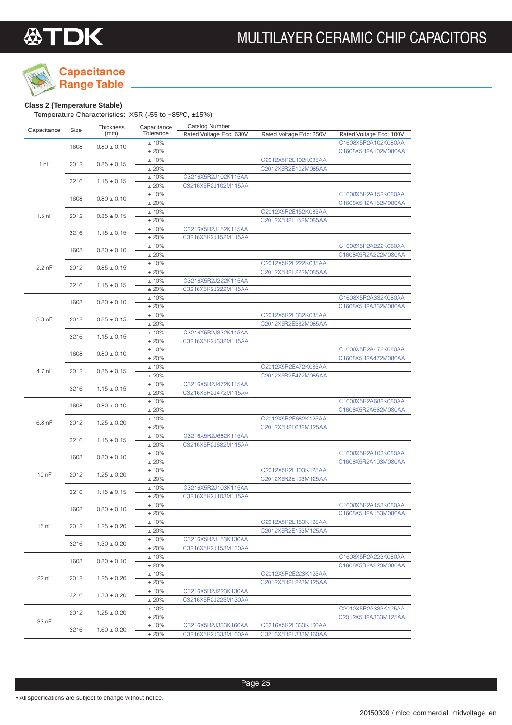

## **Capacitance**

**Range Table**

### **Class 2 (Temperature Stable)**

Temperature Characteristics: X5R (-55 to +85ºC, ±15%)

| Capacitance | Size | Thickness       | Capacitance   | <b>Catalog Number</b>   |                         |                         |
|-------------|------|-----------------|---------------|-------------------------|-------------------------|-------------------------|
|             |      | (mm)            | Tolerance     | Rated Voltage Edc: 630V | Rated Voltage Edc: 250V | Rated Voltage Edc: 100V |
|             | 1608 | $0.80 \pm 0.10$ | ±10%          |                         |                         | C1608X5R2A102K080AA     |
|             |      |                 | ±20%          |                         |                         | C1608X5R2A102M080AA     |
| 1 nF        | 2012 | $0.85 \pm 0.15$ | ±10%          |                         | C2012X5R2E102K085AA     |                         |
|             |      |                 | ±20%          |                         | C2012X5R2E102M085AA     |                         |
|             | 3216 | $1.15 \pm 0.15$ | ±10%          | C3216X5R2J102K115AA     |                         |                         |
|             |      |                 | ±20%<br>±10%  | C3216X5R2J102M115AA     |                         | C1608X5R2A152K080AA     |
|             | 1608 | $0.80 \pm 0.10$ | ±20%          |                         |                         | C1608X5R2A152M080AA     |
|             |      |                 | ±10%          |                         | C2012X5R2E152K085AA     |                         |
| $1.5$ nF    | 2012 | $0.85 \pm 0.15$ | ±20%          |                         | C2012X5R2E152M085AA     |                         |
|             |      |                 | ±10%          | C3216X5R2J152K115AA     |                         |                         |
|             | 3216 | $1.15 \pm 0.15$ | ± 20%         | C3216X5R2J152M115AA     |                         |                         |
|             |      |                 | ±10%          |                         |                         | C1608X5R2A222K080AA     |
|             | 1608 | $0.80 \pm 0.10$ | ±20%          |                         |                         | C1608X5R2A222M080AA     |
|             | 2012 |                 | ±10%          |                         | C2012X5R2E222K085AA     |                         |
| 2.2 nF      |      | $0.85 \pm 0.15$ | ±20%          |                         | C2012X5R2E222M085AA     |                         |
|             | 3216 | $1.15 \pm 0.15$ | ±10%          | C3216X5R2J222K115AA     |                         |                         |
|             |      |                 | ±20%          | C3216X5R2J222M115AA     |                         |                         |
|             | 1608 | $0.80 \pm 0.10$ | ±10%          |                         |                         | C1608X5R2A332K080AA     |
|             |      |                 | ±20%          |                         |                         | C1608X5R2A332M080AA     |
| 3.3 nF      | 2012 | $0.85 \pm 0.15$ | ±10%          |                         | C2012X5R2E332K085AA     |                         |
|             |      |                 | ±20%          |                         | C2012X5R2E332M085AA     |                         |
|             | 3216 | $1.15 \pm 0.15$ | ±10%          | C3216X5R2J332K115AA     |                         |                         |
|             |      |                 | ±20%          | C3216X5R2J332M115AA     |                         | C1608X5R2A472K080AA     |
| 4.7 nF      | 1608 | $0.80 \pm 0.10$ | ±10%<br>±20%  |                         |                         | C1608X5R2A472M080AA     |
|             |      |                 | ±10%          |                         | C2012X5R2E472K085AA     |                         |
|             | 2012 | $0.85 \pm 0.15$ | ±20%          |                         | C2012X5R2E472M085AA     |                         |
|             |      |                 | ±10%          | C3216X5R2J472K115AA     |                         |                         |
|             | 3216 | $1.15 \pm 0.15$ | ±20%          | C3216X5R2J472M115AA     |                         |                         |
|             |      |                 | ±10%          |                         |                         | C1608X5R2A682K080AA     |
|             | 1608 | $0.80 \pm 0.10$ | ±20%          |                         |                         | C1608X5R2A682M080AA     |
|             |      |                 | ±10%          |                         | C2012X5R2E682K125AA     |                         |
| $6.8$ nF    | 2012 | $1.25 \pm 0.20$ | ±20%          |                         | C2012X5R2E682M125AA     |                         |
|             | 3216 | $1.15 \pm 0.15$ | ±10%          | C3216X5R2J682K115AA     |                         |                         |
|             |      |                 | ±20%          | C3216X5R2J682M115AA     |                         |                         |
|             | 1608 | $0.80 \pm 0.10$ | ±10%          |                         |                         | C1608X5R2A103K080AA     |
|             |      |                 | ±20%          |                         |                         | C1608X5R2A103M080AA     |
| 10 nF       | 2012 | $1.25 \pm 0.20$ | ±10%          |                         | C2012X5R2E103K125AA     |                         |
|             |      |                 | ±20%          |                         | C2012X5R2E103M125AA     |                         |
|             | 3216 | $1.15 \pm 0.15$ | ±10%          | C3216X5R2J103K115AA     |                         |                         |
|             |      |                 | ±20%          | C3216X5R2J103M115AA     |                         |                         |
|             | 1608 | $0.80 \pm 0.10$ | ±10%          |                         |                         | C1608X5R2A153K080AA     |
|             |      |                 | ± 20%         |                         | C2012X5R2E153K125AA     | C1608X5R2A153M080AA     |
| 15 nF       | 2012 | $1.25 \pm 0.20$ | ± 10%<br>±20% |                         | C2012X5R2E153M125AA     |                         |
|             |      |                 | ±10%          | C3216X5R2J153K130AA     |                         |                         |
|             | 3216 | $1.30 \pm 0.20$ | ± 20%         | C3216X5R2J153M130AA     |                         |                         |
|             |      |                 | $±10\%$       |                         |                         | C1608X5R2A223K080AA     |
|             | 1608 | $0.80 \pm 0.10$ | ±20%          |                         |                         | C1608X5R2A223M080AA     |
|             |      |                 | ± 10%         |                         | C2012X5R2E223K125AA     |                         |
| 22 nF       | 2012 | $1.25 \pm 0.20$ | ±20%          |                         | C2012X5R2E223M125AA     |                         |
|             |      |                 | ±10%          | C3216X5R2J223K130AA     |                         |                         |
|             | 3216 | $1.30 \pm 0.20$ | ± 20%         | C3216X5R2J223M130AA     |                         |                         |
|             |      |                 | ±10%          |                         |                         | C2012X5R2A333K125AA     |
|             | 2012 | $1.25 \pm 0.20$ | ±20%          |                         |                         | C2012X5R2A333M125AA     |
| 33 nF       | 3216 | $1.60 \pm 0.20$ | ± 10%         | C3216X5R2J333K160AA     | C3216X5R2E333K160AA     |                         |
|             |      |                 | ±20%          | C3216X5R2J333M160AA     | C3216X5R2E333M160AA     |                         |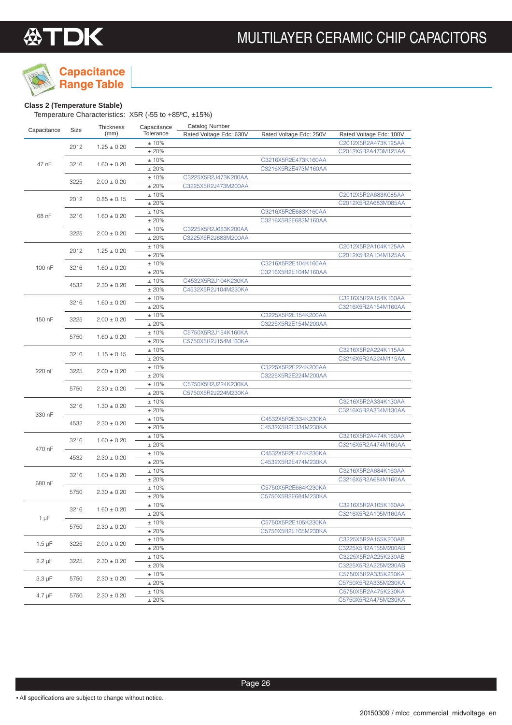

## **Capacitance**

**Range Table**

### **Class 2 (Temperature Stable)**

Temperature Characteristics: X5R (-55 to +85ºC, ±15%)

| C2012X5R2A473K125AA<br>±10%<br>2012<br>$1.25 \pm 0.20$<br>± 20%<br>C2012X5R2A473M125AA<br>±10%<br>C3216X5R2E473K160AA<br>47 nF<br>3216<br>$1.60 \pm 0.20$<br>± 20%<br>C3216X5R2E473M160AA<br>±10%<br>C3225X5R2J473K200AA<br>3225<br>$2.00 \pm 0.20$<br>±20%<br>C3225X5R2J473M200AA<br>±10%<br>C2012X5R2A683K085AA<br>2012<br>$0.85 \pm 0.15$<br>±20%<br>C2012X5R2A683M085AA<br>±10%<br>C3216X5R2E683K160AA<br>68 nF<br>3216<br>$1.60 \pm 0.20$<br>±20%<br>C3216X5R2E683M160AA<br>±10%<br>C3225X5R2J683K200AA<br>3225<br>$2.00 \pm 0.20$<br>±20%<br>C3225X5R2J683M200AA<br>±10%<br>C2012X5R2A104K125AA<br>2012<br>$1.25 \pm 0.20$<br>±20%<br>C2012X5R2A104M125AA<br>±10%<br>C3216X5R2E104K160AA<br>100 nF<br>3216<br>$1.60 \pm 0.20$<br>±20%<br>C3216X5R2E104M160AA<br>±10%<br>C4532X5R2J104K230KA<br>4532<br>$2.30 \pm 0.20$<br>±20%<br>C4532X5R2J104M230KA<br>±10%<br>C3216X5R2A154K160AA<br>3216<br>$1.60 \pm 0.20$<br>±20%<br>C3216X5R2A154M160AA<br>±10%<br>C3225X5R2E154K200AA<br>150 nF<br>3225<br>$2.00 \pm 0.20$<br>±20%<br>C3225X5R2E154M200AA<br>±10%<br>C5750X5R2J154K160KA<br>5750<br>$1.60 \pm 0.20$<br>±20%<br>C5750X5R2J154M160KA<br>±10%<br>C3216X5R2A224K115AA<br>3216<br>$1.15 \pm 0.15$<br>±20%<br>C3216X5R2A224M115AA<br>±10%<br>C3225X5R2E224K200AA<br>220 nF<br>3225<br>$2.00 \pm 0.20$<br>±20%<br>C3225X5R2E224M200AA<br>±10%<br>C5750X5R2J224K230KA<br>5750<br>$2.30 \pm 0.20$<br>C5750X5R2J224M230KA<br>±20%<br>±10%<br>C3216X5R2A334K130AA<br>3216<br>$1.30 \pm 0.20$<br>±20%<br>C3216X5R2A334M130AA<br>330 nF<br>±10%<br>C4532X5R2E334K230KA<br>4532<br>$2.30 \pm 0.20$<br>±20%<br>C4532X5R2E334M230KA<br>±10%<br>C3216X5R2A474K160AA<br>3216<br>$1.60 \pm 0.20$<br>±20%<br>C3216X5R2A474M160AA<br>470 nF<br>±10%<br>C4532X5R2E474K230KA<br>4532<br>$2.30 \pm 0.20$<br>± 20%<br>C4532X5R2E474M230KA<br>±10%<br>C3216X5R2A684K160AA<br>3216<br>$1.60 \pm 0.20$<br>±20%<br>C3216X5R2A684M160AA<br>680 nF<br>C5750X5R2E684K230KA<br>±10%<br>5750<br>$2.30 \pm 0.20$<br>±20%<br>C5750X5R2E684M230KA<br>±10%<br>C3216X5R2A105K160AA<br>3216<br>$1.60 \pm 0.20$<br>±20%<br>C3216X5R2A105M160AA<br>$1 \mu F$<br>±10%<br>C5750X5R2E105K230KA<br>5750<br>$2.30 \pm 0.20$<br>±20%<br>C5750X5R2E105M230KA<br>± 10%<br>C3225X5R2A155K200AB<br>$1.5 \mu F$<br>3225<br>$2.00 \pm 0.20$<br>±20%<br>C3225X5R2A155M200AB<br>±10%<br>C3225X5R2A225K230AB<br>$2.2 \mu F$<br>3225<br>$2.30 \pm 0.20$<br>±20%<br>C3225X5R2A225M230AB<br>±10%<br>C5750X5R2A335K230KA<br>$3.3 \mu F$<br>5750<br>$2.30 \pm 0.20$<br>±20%<br>C5750X5R2A335M230KA<br>± 10%<br>C5750X5R2A475K230KA<br>$4.7 \mu F$<br>5750<br>$2.30 \pm 0.20$<br>C5750X5R2A475M230KA | Capacitance | Size | Thickness | Capacitance | <b>Catalog Number</b>   |                         |                         |
|-----------------------------------------------------------------------------------------------------------------------------------------------------------------------------------------------------------------------------------------------------------------------------------------------------------------------------------------------------------------------------------------------------------------------------------------------------------------------------------------------------------------------------------------------------------------------------------------------------------------------------------------------------------------------------------------------------------------------------------------------------------------------------------------------------------------------------------------------------------------------------------------------------------------------------------------------------------------------------------------------------------------------------------------------------------------------------------------------------------------------------------------------------------------------------------------------------------------------------------------------------------------------------------------------------------------------------------------------------------------------------------------------------------------------------------------------------------------------------------------------------------------------------------------------------------------------------------------------------------------------------------------------------------------------------------------------------------------------------------------------------------------------------------------------------------------------------------------------------------------------------------------------------------------------------------------------------------------------------------------------------------------------------------------------------------------------------------------------------------------------------------------------------------------------------------------------------------------------------------------------------------------------------------------------------------------------------------------------------------------------------------------------------------------------------------------------------------------------------------------------------------------------------------------------------------------------------------------------------------------------------------------------------|-------------|------|-----------|-------------|-------------------------|-------------------------|-------------------------|
|                                                                                                                                                                                                                                                                                                                                                                                                                                                                                                                                                                                                                                                                                                                                                                                                                                                                                                                                                                                                                                                                                                                                                                                                                                                                                                                                                                                                                                                                                                                                                                                                                                                                                                                                                                                                                                                                                                                                                                                                                                                                                                                                                                                                                                                                                                                                                                                                                                                                                                                                                                                                                                                     |             |      | (mm)      | Tolerance   | Rated Voltage Edc: 630V | Rated Voltage Edc: 250V | Rated Voltage Edc: 100V |
|                                                                                                                                                                                                                                                                                                                                                                                                                                                                                                                                                                                                                                                                                                                                                                                                                                                                                                                                                                                                                                                                                                                                                                                                                                                                                                                                                                                                                                                                                                                                                                                                                                                                                                                                                                                                                                                                                                                                                                                                                                                                                                                                                                                                                                                                                                                                                                                                                                                                                                                                                                                                                                                     |             |      |           |             |                         |                         |                         |
|                                                                                                                                                                                                                                                                                                                                                                                                                                                                                                                                                                                                                                                                                                                                                                                                                                                                                                                                                                                                                                                                                                                                                                                                                                                                                                                                                                                                                                                                                                                                                                                                                                                                                                                                                                                                                                                                                                                                                                                                                                                                                                                                                                                                                                                                                                                                                                                                                                                                                                                                                                                                                                                     |             |      |           |             |                         |                         |                         |
|                                                                                                                                                                                                                                                                                                                                                                                                                                                                                                                                                                                                                                                                                                                                                                                                                                                                                                                                                                                                                                                                                                                                                                                                                                                                                                                                                                                                                                                                                                                                                                                                                                                                                                                                                                                                                                                                                                                                                                                                                                                                                                                                                                                                                                                                                                                                                                                                                                                                                                                                                                                                                                                     |             |      |           |             |                         |                         |                         |
|                                                                                                                                                                                                                                                                                                                                                                                                                                                                                                                                                                                                                                                                                                                                                                                                                                                                                                                                                                                                                                                                                                                                                                                                                                                                                                                                                                                                                                                                                                                                                                                                                                                                                                                                                                                                                                                                                                                                                                                                                                                                                                                                                                                                                                                                                                                                                                                                                                                                                                                                                                                                                                                     |             |      |           |             |                         |                         |                         |
|                                                                                                                                                                                                                                                                                                                                                                                                                                                                                                                                                                                                                                                                                                                                                                                                                                                                                                                                                                                                                                                                                                                                                                                                                                                                                                                                                                                                                                                                                                                                                                                                                                                                                                                                                                                                                                                                                                                                                                                                                                                                                                                                                                                                                                                                                                                                                                                                                                                                                                                                                                                                                                                     |             |      |           |             |                         |                         |                         |
|                                                                                                                                                                                                                                                                                                                                                                                                                                                                                                                                                                                                                                                                                                                                                                                                                                                                                                                                                                                                                                                                                                                                                                                                                                                                                                                                                                                                                                                                                                                                                                                                                                                                                                                                                                                                                                                                                                                                                                                                                                                                                                                                                                                                                                                                                                                                                                                                                                                                                                                                                                                                                                                     |             |      |           |             |                         |                         |                         |
|                                                                                                                                                                                                                                                                                                                                                                                                                                                                                                                                                                                                                                                                                                                                                                                                                                                                                                                                                                                                                                                                                                                                                                                                                                                                                                                                                                                                                                                                                                                                                                                                                                                                                                                                                                                                                                                                                                                                                                                                                                                                                                                                                                                                                                                                                                                                                                                                                                                                                                                                                                                                                                                     |             |      |           |             |                         |                         |                         |
|                                                                                                                                                                                                                                                                                                                                                                                                                                                                                                                                                                                                                                                                                                                                                                                                                                                                                                                                                                                                                                                                                                                                                                                                                                                                                                                                                                                                                                                                                                                                                                                                                                                                                                                                                                                                                                                                                                                                                                                                                                                                                                                                                                                                                                                                                                                                                                                                                                                                                                                                                                                                                                                     |             |      |           |             |                         |                         |                         |
|                                                                                                                                                                                                                                                                                                                                                                                                                                                                                                                                                                                                                                                                                                                                                                                                                                                                                                                                                                                                                                                                                                                                                                                                                                                                                                                                                                                                                                                                                                                                                                                                                                                                                                                                                                                                                                                                                                                                                                                                                                                                                                                                                                                                                                                                                                                                                                                                                                                                                                                                                                                                                                                     |             |      |           |             |                         |                         |                         |
|                                                                                                                                                                                                                                                                                                                                                                                                                                                                                                                                                                                                                                                                                                                                                                                                                                                                                                                                                                                                                                                                                                                                                                                                                                                                                                                                                                                                                                                                                                                                                                                                                                                                                                                                                                                                                                                                                                                                                                                                                                                                                                                                                                                                                                                                                                                                                                                                                                                                                                                                                                                                                                                     |             |      |           |             |                         |                         |                         |
|                                                                                                                                                                                                                                                                                                                                                                                                                                                                                                                                                                                                                                                                                                                                                                                                                                                                                                                                                                                                                                                                                                                                                                                                                                                                                                                                                                                                                                                                                                                                                                                                                                                                                                                                                                                                                                                                                                                                                                                                                                                                                                                                                                                                                                                                                                                                                                                                                                                                                                                                                                                                                                                     |             |      |           |             |                         |                         |                         |
|                                                                                                                                                                                                                                                                                                                                                                                                                                                                                                                                                                                                                                                                                                                                                                                                                                                                                                                                                                                                                                                                                                                                                                                                                                                                                                                                                                                                                                                                                                                                                                                                                                                                                                                                                                                                                                                                                                                                                                                                                                                                                                                                                                                                                                                                                                                                                                                                                                                                                                                                                                                                                                                     |             |      |           |             |                         |                         |                         |
|                                                                                                                                                                                                                                                                                                                                                                                                                                                                                                                                                                                                                                                                                                                                                                                                                                                                                                                                                                                                                                                                                                                                                                                                                                                                                                                                                                                                                                                                                                                                                                                                                                                                                                                                                                                                                                                                                                                                                                                                                                                                                                                                                                                                                                                                                                                                                                                                                                                                                                                                                                                                                                                     |             |      |           |             |                         |                         |                         |
|                                                                                                                                                                                                                                                                                                                                                                                                                                                                                                                                                                                                                                                                                                                                                                                                                                                                                                                                                                                                                                                                                                                                                                                                                                                                                                                                                                                                                                                                                                                                                                                                                                                                                                                                                                                                                                                                                                                                                                                                                                                                                                                                                                                                                                                                                                                                                                                                                                                                                                                                                                                                                                                     |             |      |           |             |                         |                         |                         |
|                                                                                                                                                                                                                                                                                                                                                                                                                                                                                                                                                                                                                                                                                                                                                                                                                                                                                                                                                                                                                                                                                                                                                                                                                                                                                                                                                                                                                                                                                                                                                                                                                                                                                                                                                                                                                                                                                                                                                                                                                                                                                                                                                                                                                                                                                                                                                                                                                                                                                                                                                                                                                                                     |             |      |           |             |                         |                         |                         |
|                                                                                                                                                                                                                                                                                                                                                                                                                                                                                                                                                                                                                                                                                                                                                                                                                                                                                                                                                                                                                                                                                                                                                                                                                                                                                                                                                                                                                                                                                                                                                                                                                                                                                                                                                                                                                                                                                                                                                                                                                                                                                                                                                                                                                                                                                                                                                                                                                                                                                                                                                                                                                                                     |             |      |           |             |                         |                         |                         |
|                                                                                                                                                                                                                                                                                                                                                                                                                                                                                                                                                                                                                                                                                                                                                                                                                                                                                                                                                                                                                                                                                                                                                                                                                                                                                                                                                                                                                                                                                                                                                                                                                                                                                                                                                                                                                                                                                                                                                                                                                                                                                                                                                                                                                                                                                                                                                                                                                                                                                                                                                                                                                                                     |             |      |           |             |                         |                         |                         |
|                                                                                                                                                                                                                                                                                                                                                                                                                                                                                                                                                                                                                                                                                                                                                                                                                                                                                                                                                                                                                                                                                                                                                                                                                                                                                                                                                                                                                                                                                                                                                                                                                                                                                                                                                                                                                                                                                                                                                                                                                                                                                                                                                                                                                                                                                                                                                                                                                                                                                                                                                                                                                                                     |             |      |           |             |                         |                         |                         |
|                                                                                                                                                                                                                                                                                                                                                                                                                                                                                                                                                                                                                                                                                                                                                                                                                                                                                                                                                                                                                                                                                                                                                                                                                                                                                                                                                                                                                                                                                                                                                                                                                                                                                                                                                                                                                                                                                                                                                                                                                                                                                                                                                                                                                                                                                                                                                                                                                                                                                                                                                                                                                                                     |             |      |           |             |                         |                         |                         |
|                                                                                                                                                                                                                                                                                                                                                                                                                                                                                                                                                                                                                                                                                                                                                                                                                                                                                                                                                                                                                                                                                                                                                                                                                                                                                                                                                                                                                                                                                                                                                                                                                                                                                                                                                                                                                                                                                                                                                                                                                                                                                                                                                                                                                                                                                                                                                                                                                                                                                                                                                                                                                                                     |             |      |           |             |                         |                         |                         |
|                                                                                                                                                                                                                                                                                                                                                                                                                                                                                                                                                                                                                                                                                                                                                                                                                                                                                                                                                                                                                                                                                                                                                                                                                                                                                                                                                                                                                                                                                                                                                                                                                                                                                                                                                                                                                                                                                                                                                                                                                                                                                                                                                                                                                                                                                                                                                                                                                                                                                                                                                                                                                                                     |             |      |           |             |                         |                         |                         |
|                                                                                                                                                                                                                                                                                                                                                                                                                                                                                                                                                                                                                                                                                                                                                                                                                                                                                                                                                                                                                                                                                                                                                                                                                                                                                                                                                                                                                                                                                                                                                                                                                                                                                                                                                                                                                                                                                                                                                                                                                                                                                                                                                                                                                                                                                                                                                                                                                                                                                                                                                                                                                                                     |             |      |           |             |                         |                         |                         |
|                                                                                                                                                                                                                                                                                                                                                                                                                                                                                                                                                                                                                                                                                                                                                                                                                                                                                                                                                                                                                                                                                                                                                                                                                                                                                                                                                                                                                                                                                                                                                                                                                                                                                                                                                                                                                                                                                                                                                                                                                                                                                                                                                                                                                                                                                                                                                                                                                                                                                                                                                                                                                                                     |             |      |           |             |                         |                         |                         |
|                                                                                                                                                                                                                                                                                                                                                                                                                                                                                                                                                                                                                                                                                                                                                                                                                                                                                                                                                                                                                                                                                                                                                                                                                                                                                                                                                                                                                                                                                                                                                                                                                                                                                                                                                                                                                                                                                                                                                                                                                                                                                                                                                                                                                                                                                                                                                                                                                                                                                                                                                                                                                                                     |             |      |           |             |                         |                         |                         |
|                                                                                                                                                                                                                                                                                                                                                                                                                                                                                                                                                                                                                                                                                                                                                                                                                                                                                                                                                                                                                                                                                                                                                                                                                                                                                                                                                                                                                                                                                                                                                                                                                                                                                                                                                                                                                                                                                                                                                                                                                                                                                                                                                                                                                                                                                                                                                                                                                                                                                                                                                                                                                                                     |             |      |           |             |                         |                         |                         |
|                                                                                                                                                                                                                                                                                                                                                                                                                                                                                                                                                                                                                                                                                                                                                                                                                                                                                                                                                                                                                                                                                                                                                                                                                                                                                                                                                                                                                                                                                                                                                                                                                                                                                                                                                                                                                                                                                                                                                                                                                                                                                                                                                                                                                                                                                                                                                                                                                                                                                                                                                                                                                                                     |             |      |           |             |                         |                         |                         |
|                                                                                                                                                                                                                                                                                                                                                                                                                                                                                                                                                                                                                                                                                                                                                                                                                                                                                                                                                                                                                                                                                                                                                                                                                                                                                                                                                                                                                                                                                                                                                                                                                                                                                                                                                                                                                                                                                                                                                                                                                                                                                                                                                                                                                                                                                                                                                                                                                                                                                                                                                                                                                                                     |             |      |           |             |                         |                         |                         |
|                                                                                                                                                                                                                                                                                                                                                                                                                                                                                                                                                                                                                                                                                                                                                                                                                                                                                                                                                                                                                                                                                                                                                                                                                                                                                                                                                                                                                                                                                                                                                                                                                                                                                                                                                                                                                                                                                                                                                                                                                                                                                                                                                                                                                                                                                                                                                                                                                                                                                                                                                                                                                                                     |             |      |           |             |                         |                         |                         |
|                                                                                                                                                                                                                                                                                                                                                                                                                                                                                                                                                                                                                                                                                                                                                                                                                                                                                                                                                                                                                                                                                                                                                                                                                                                                                                                                                                                                                                                                                                                                                                                                                                                                                                                                                                                                                                                                                                                                                                                                                                                                                                                                                                                                                                                                                                                                                                                                                                                                                                                                                                                                                                                     |             |      |           |             |                         |                         |                         |
|                                                                                                                                                                                                                                                                                                                                                                                                                                                                                                                                                                                                                                                                                                                                                                                                                                                                                                                                                                                                                                                                                                                                                                                                                                                                                                                                                                                                                                                                                                                                                                                                                                                                                                                                                                                                                                                                                                                                                                                                                                                                                                                                                                                                                                                                                                                                                                                                                                                                                                                                                                                                                                                     |             |      |           |             |                         |                         |                         |
|                                                                                                                                                                                                                                                                                                                                                                                                                                                                                                                                                                                                                                                                                                                                                                                                                                                                                                                                                                                                                                                                                                                                                                                                                                                                                                                                                                                                                                                                                                                                                                                                                                                                                                                                                                                                                                                                                                                                                                                                                                                                                                                                                                                                                                                                                                                                                                                                                                                                                                                                                                                                                                                     |             |      |           |             |                         |                         |                         |
|                                                                                                                                                                                                                                                                                                                                                                                                                                                                                                                                                                                                                                                                                                                                                                                                                                                                                                                                                                                                                                                                                                                                                                                                                                                                                                                                                                                                                                                                                                                                                                                                                                                                                                                                                                                                                                                                                                                                                                                                                                                                                                                                                                                                                                                                                                                                                                                                                                                                                                                                                                                                                                                     |             |      |           |             |                         |                         |                         |
|                                                                                                                                                                                                                                                                                                                                                                                                                                                                                                                                                                                                                                                                                                                                                                                                                                                                                                                                                                                                                                                                                                                                                                                                                                                                                                                                                                                                                                                                                                                                                                                                                                                                                                                                                                                                                                                                                                                                                                                                                                                                                                                                                                                                                                                                                                                                                                                                                                                                                                                                                                                                                                                     |             |      |           |             |                         |                         |                         |
|                                                                                                                                                                                                                                                                                                                                                                                                                                                                                                                                                                                                                                                                                                                                                                                                                                                                                                                                                                                                                                                                                                                                                                                                                                                                                                                                                                                                                                                                                                                                                                                                                                                                                                                                                                                                                                                                                                                                                                                                                                                                                                                                                                                                                                                                                                                                                                                                                                                                                                                                                                                                                                                     |             |      |           |             |                         |                         |                         |
|                                                                                                                                                                                                                                                                                                                                                                                                                                                                                                                                                                                                                                                                                                                                                                                                                                                                                                                                                                                                                                                                                                                                                                                                                                                                                                                                                                                                                                                                                                                                                                                                                                                                                                                                                                                                                                                                                                                                                                                                                                                                                                                                                                                                                                                                                                                                                                                                                                                                                                                                                                                                                                                     |             |      |           |             |                         |                         |                         |
|                                                                                                                                                                                                                                                                                                                                                                                                                                                                                                                                                                                                                                                                                                                                                                                                                                                                                                                                                                                                                                                                                                                                                                                                                                                                                                                                                                                                                                                                                                                                                                                                                                                                                                                                                                                                                                                                                                                                                                                                                                                                                                                                                                                                                                                                                                                                                                                                                                                                                                                                                                                                                                                     |             |      |           |             |                         |                         |                         |
|                                                                                                                                                                                                                                                                                                                                                                                                                                                                                                                                                                                                                                                                                                                                                                                                                                                                                                                                                                                                                                                                                                                                                                                                                                                                                                                                                                                                                                                                                                                                                                                                                                                                                                                                                                                                                                                                                                                                                                                                                                                                                                                                                                                                                                                                                                                                                                                                                                                                                                                                                                                                                                                     |             |      |           |             |                         |                         |                         |
|                                                                                                                                                                                                                                                                                                                                                                                                                                                                                                                                                                                                                                                                                                                                                                                                                                                                                                                                                                                                                                                                                                                                                                                                                                                                                                                                                                                                                                                                                                                                                                                                                                                                                                                                                                                                                                                                                                                                                                                                                                                                                                                                                                                                                                                                                                                                                                                                                                                                                                                                                                                                                                                     |             |      |           |             |                         |                         |                         |
|                                                                                                                                                                                                                                                                                                                                                                                                                                                                                                                                                                                                                                                                                                                                                                                                                                                                                                                                                                                                                                                                                                                                                                                                                                                                                                                                                                                                                                                                                                                                                                                                                                                                                                                                                                                                                                                                                                                                                                                                                                                                                                                                                                                                                                                                                                                                                                                                                                                                                                                                                                                                                                                     |             |      |           |             |                         |                         |                         |
|                                                                                                                                                                                                                                                                                                                                                                                                                                                                                                                                                                                                                                                                                                                                                                                                                                                                                                                                                                                                                                                                                                                                                                                                                                                                                                                                                                                                                                                                                                                                                                                                                                                                                                                                                                                                                                                                                                                                                                                                                                                                                                                                                                                                                                                                                                                                                                                                                                                                                                                                                                                                                                                     |             |      |           |             |                         |                         |                         |
|                                                                                                                                                                                                                                                                                                                                                                                                                                                                                                                                                                                                                                                                                                                                                                                                                                                                                                                                                                                                                                                                                                                                                                                                                                                                                                                                                                                                                                                                                                                                                                                                                                                                                                                                                                                                                                                                                                                                                                                                                                                                                                                                                                                                                                                                                                                                                                                                                                                                                                                                                                                                                                                     |             |      |           |             |                         |                         |                         |
|                                                                                                                                                                                                                                                                                                                                                                                                                                                                                                                                                                                                                                                                                                                                                                                                                                                                                                                                                                                                                                                                                                                                                                                                                                                                                                                                                                                                                                                                                                                                                                                                                                                                                                                                                                                                                                                                                                                                                                                                                                                                                                                                                                                                                                                                                                                                                                                                                                                                                                                                                                                                                                                     |             |      |           |             |                         |                         |                         |
|                                                                                                                                                                                                                                                                                                                                                                                                                                                                                                                                                                                                                                                                                                                                                                                                                                                                                                                                                                                                                                                                                                                                                                                                                                                                                                                                                                                                                                                                                                                                                                                                                                                                                                                                                                                                                                                                                                                                                                                                                                                                                                                                                                                                                                                                                                                                                                                                                                                                                                                                                                                                                                                     |             |      |           |             |                         |                         |                         |
|                                                                                                                                                                                                                                                                                                                                                                                                                                                                                                                                                                                                                                                                                                                                                                                                                                                                                                                                                                                                                                                                                                                                                                                                                                                                                                                                                                                                                                                                                                                                                                                                                                                                                                                                                                                                                                                                                                                                                                                                                                                                                                                                                                                                                                                                                                                                                                                                                                                                                                                                                                                                                                                     |             |      |           |             |                         |                         |                         |
|                                                                                                                                                                                                                                                                                                                                                                                                                                                                                                                                                                                                                                                                                                                                                                                                                                                                                                                                                                                                                                                                                                                                                                                                                                                                                                                                                                                                                                                                                                                                                                                                                                                                                                                                                                                                                                                                                                                                                                                                                                                                                                                                                                                                                                                                                                                                                                                                                                                                                                                                                                                                                                                     |             |      |           |             |                         |                         |                         |
|                                                                                                                                                                                                                                                                                                                                                                                                                                                                                                                                                                                                                                                                                                                                                                                                                                                                                                                                                                                                                                                                                                                                                                                                                                                                                                                                                                                                                                                                                                                                                                                                                                                                                                                                                                                                                                                                                                                                                                                                                                                                                                                                                                                                                                                                                                                                                                                                                                                                                                                                                                                                                                                     |             |      |           |             |                         |                         |                         |
|                                                                                                                                                                                                                                                                                                                                                                                                                                                                                                                                                                                                                                                                                                                                                                                                                                                                                                                                                                                                                                                                                                                                                                                                                                                                                                                                                                                                                                                                                                                                                                                                                                                                                                                                                                                                                                                                                                                                                                                                                                                                                                                                                                                                                                                                                                                                                                                                                                                                                                                                                                                                                                                     |             |      |           |             |                         |                         |                         |
|                                                                                                                                                                                                                                                                                                                                                                                                                                                                                                                                                                                                                                                                                                                                                                                                                                                                                                                                                                                                                                                                                                                                                                                                                                                                                                                                                                                                                                                                                                                                                                                                                                                                                                                                                                                                                                                                                                                                                                                                                                                                                                                                                                                                                                                                                                                                                                                                                                                                                                                                                                                                                                                     |             |      |           |             |                         |                         |                         |
|                                                                                                                                                                                                                                                                                                                                                                                                                                                                                                                                                                                                                                                                                                                                                                                                                                                                                                                                                                                                                                                                                                                                                                                                                                                                                                                                                                                                                                                                                                                                                                                                                                                                                                                                                                                                                                                                                                                                                                                                                                                                                                                                                                                                                                                                                                                                                                                                                                                                                                                                                                                                                                                     |             |      |           |             |                         |                         |                         |
|                                                                                                                                                                                                                                                                                                                                                                                                                                                                                                                                                                                                                                                                                                                                                                                                                                                                                                                                                                                                                                                                                                                                                                                                                                                                                                                                                                                                                                                                                                                                                                                                                                                                                                                                                                                                                                                                                                                                                                                                                                                                                                                                                                                                                                                                                                                                                                                                                                                                                                                                                                                                                                                     |             |      |           |             |                         |                         |                         |
|                                                                                                                                                                                                                                                                                                                                                                                                                                                                                                                                                                                                                                                                                                                                                                                                                                                                                                                                                                                                                                                                                                                                                                                                                                                                                                                                                                                                                                                                                                                                                                                                                                                                                                                                                                                                                                                                                                                                                                                                                                                                                                                                                                                                                                                                                                                                                                                                                                                                                                                                                                                                                                                     |             |      |           |             |                         |                         |                         |
|                                                                                                                                                                                                                                                                                                                                                                                                                                                                                                                                                                                                                                                                                                                                                                                                                                                                                                                                                                                                                                                                                                                                                                                                                                                                                                                                                                                                                                                                                                                                                                                                                                                                                                                                                                                                                                                                                                                                                                                                                                                                                                                                                                                                                                                                                                                                                                                                                                                                                                                                                                                                                                                     |             |      |           |             |                         |                         |                         |
|                                                                                                                                                                                                                                                                                                                                                                                                                                                                                                                                                                                                                                                                                                                                                                                                                                                                                                                                                                                                                                                                                                                                                                                                                                                                                                                                                                                                                                                                                                                                                                                                                                                                                                                                                                                                                                                                                                                                                                                                                                                                                                                                                                                                                                                                                                                                                                                                                                                                                                                                                                                                                                                     |             |      |           |             |                         |                         |                         |
|                                                                                                                                                                                                                                                                                                                                                                                                                                                                                                                                                                                                                                                                                                                                                                                                                                                                                                                                                                                                                                                                                                                                                                                                                                                                                                                                                                                                                                                                                                                                                                                                                                                                                                                                                                                                                                                                                                                                                                                                                                                                                                                                                                                                                                                                                                                                                                                                                                                                                                                                                                                                                                                     |             |      |           |             |                         |                         |                         |
|                                                                                                                                                                                                                                                                                                                                                                                                                                                                                                                                                                                                                                                                                                                                                                                                                                                                                                                                                                                                                                                                                                                                                                                                                                                                                                                                                                                                                                                                                                                                                                                                                                                                                                                                                                                                                                                                                                                                                                                                                                                                                                                                                                                                                                                                                                                                                                                                                                                                                                                                                                                                                                                     |             |      |           | ±20%        |                         |                         |                         |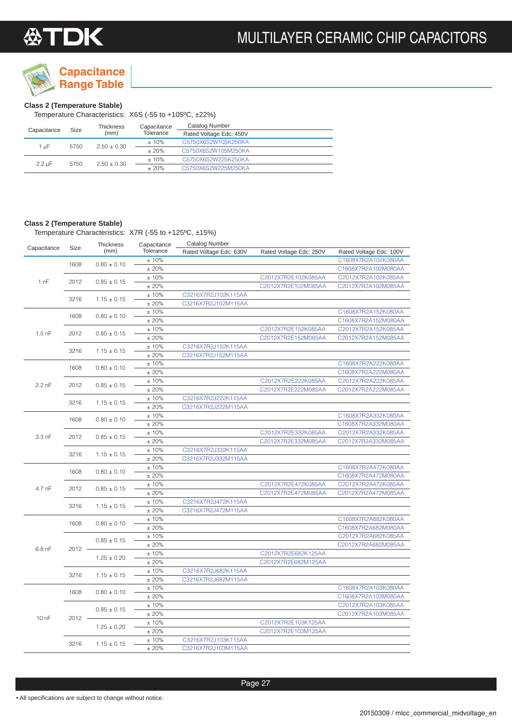

### **Class 2 (Temperature Stable)**

Temperature Characteristics: X6S (-55 to +105ºC, ±22%)

| Capacitance      | <b>Size</b> | Thickness     | Capacitance | <b>Catalog Number</b>   |  |
|------------------|-------------|---------------|-------------|-------------------------|--|
|                  |             | (mm)          | Tolerance   | Rated Voltage Edc: 450V |  |
| 1 uF             | 5750        | $2.50 + 0.30$ | $±10\%$     | C5750X6S2W105K250KA     |  |
|                  |             |               | $+20%$      | C5750X6S2W105M250KA     |  |
| $2.2 \text{ uF}$ | 5750        | $2.50 + 0.30$ | $±10\%$     | C5750X6S2W225K250KA     |  |
|                  |             |               | $+20%$      | C5750X6S2W225M250KA     |  |

### **Class 2 (Temperature Stable)**

Temperature Characteristics: X7R (-55 to +125ºC, ±15%)

| Capacitance      | Size         | Thickness       | Capacitance | <b>Catalog Number</b>   |                         |                         |
|------------------|--------------|-----------------|-------------|-------------------------|-------------------------|-------------------------|
|                  |              | (mm)            | Tolerance   | Rated Voltage Edc: 630V | Rated Voltage Edc: 250V | Rated Voltage Edc: 100V |
|                  | 1608         | $0.80 \pm 0.10$ | ±10%        |                         |                         | C1608X7R2A102K080AA     |
|                  |              |                 | ±20%        |                         |                         | C1608X7R2A102M080AA     |
| 1 nF             | 2012         | $0.85 \pm 0.15$ | ±10%        |                         | C2012X7R2E102K085AA     | C2012X7R2A102K085AA     |
|                  |              |                 | ±20%        |                         | C2012X7R2E102M085AA     | C2012X7R2A102M085AA     |
|                  | 3216         | $1.15 \pm 0.15$ | ±10%        | C3216X7R2J102K115AA     |                         |                         |
|                  |              |                 | ±20%        | C3216X7R2J102M115AA     |                         |                         |
|                  | 1608         | $0.80 \pm 0.10$ | ±10%        |                         |                         | C1608X7R2A152K080AA     |
|                  |              |                 | ±20%        |                         |                         | C1608X7R2A152M080AA     |
| $1.5$ nF         | 2012         | $0.85 \pm 0.15$ | ±10%        |                         | C2012X7R2E152K085AA     | C2012X7R2A152K085AA     |
|                  |              |                 | ±20%        |                         | C2012X7R2E152M085AA     | C2012X7R2A152M085AA     |
|                  | 3216         | $1.15 \pm 0.15$ | ±10%        | C3216X7R2J152K115AA     |                         |                         |
|                  |              |                 | ±20%        | C3216X7R2J152M115AA     |                         |                         |
|                  |              |                 | ±10%        |                         |                         | C1608X7R2A222K080AA     |
|                  | 1608         | $0.80 \pm 0.10$ | ±20%        |                         |                         | C1608X7R2A222M080AA     |
|                  |              |                 | ±10%        |                         | C2012X7R2E222K085AA     | C2012X7R2A222K085AA     |
| $2.2 \text{ nF}$ | 2012         | $0.85 \pm 0.15$ | ±20%        |                         | C2012X7R2E222M085AA     | C2012X7R2A222M085AA     |
|                  |              |                 | ±10%        | C3216X7R2J222K115AA     |                         |                         |
|                  | 3216         | $1.15 \pm 0.15$ | ±20%        | C3216X7R2J222M115AA     |                         |                         |
|                  |              |                 | ±10%        |                         |                         | C1608X7R2A332K080AA     |
|                  | 1608         | $0.80 \pm 0.10$ | ±20%        |                         |                         | C1608X7R2A332M080AA     |
|                  |              |                 | ±10%        |                         | C2012X7R2E332K085AA     | C2012X7R2A332K085AA     |
| $3.3$ nF         | 2012         | $0.85 \pm 0.15$ | ±20%        |                         | C2012X7R2E332M085AA     | C2012X7R2A332M085AA     |
|                  |              |                 | ±10%        | C3216X7R2J332K115AA     |                         |                         |
|                  | 3216         | $1.15 \pm 0.15$ | ±20%        | C3216X7R2J332M115AA     |                         |                         |
|                  | 1608<br>2012 |                 | ±10%        |                         |                         | C1608X7R2A472K080AA     |
|                  |              | $0.80 \pm 0.10$ | ±20%        |                         |                         | C1608X7R2A472M080AA     |
|                  |              |                 | ±10%        |                         | C2012X7R2E472K085AA     | C2012X7R2A472K085AA     |
| 4.7 nF           |              | $0.85 \pm 0.15$ | ±20%        |                         | C2012X7R2E472M085AA     | C2012X7R2A472M085AA     |
|                  |              | $1.15 \pm 0.15$ | ±10%        | C3216X7R2J472K115AA     |                         |                         |
|                  | 3216         |                 | ±20%        | C3216X7R2J472M115AA     |                         |                         |
|                  |              |                 | ±10%        |                         |                         | C1608X7R2A682K080AA     |
|                  | 1608         | $0.80 \pm 0.10$ | ±20%        |                         |                         | C1608X7R2A682M080AA     |
|                  |              |                 | ±10%        |                         |                         | C2012X7R2A682K085AA     |
|                  |              | $0.85 \pm 0.15$ | ±20%        |                         |                         | C2012X7R2A682M085AA     |
| $6.8$ nF         | 2012         |                 | ±10%        |                         | C2012X7R2E682K125AA     |                         |
|                  |              | $1.25 \pm 0.20$ | ±20%        |                         | C2012X7R2E682M125AA     |                         |
|                  |              |                 | ±10%        | C3216X7R2J682K115AA     |                         |                         |
|                  | 3216         | $1.15 \pm 0.15$ | ±20%        | C3216X7R2J682M115AA     |                         |                         |
|                  |              |                 | ±10%        |                         |                         | C1608X7R2A103K080AA     |
|                  | 1608         | $0.80 \pm 0.10$ | ±20%        |                         |                         | C1608X7R2A103M080AA     |
|                  |              |                 | ±10%        |                         |                         | C2012X7R2A103K085AA     |
|                  |              | $0.85 \pm 0.15$ | ±20%        |                         |                         | C2012X7R2A103M085AA     |
| $100$ nF         | 2012         |                 | ±10%        |                         | C2012X7R2E103K125AA     |                         |
|                  |              | $1.25 \pm 0.20$ | ±20%        |                         | C2012X7R2E103M125AA     |                         |
|                  | 3216         |                 | ±10%        | C3216X7R2J103K115AA     |                         |                         |
|                  |              | $1.15 \pm 0.15$ | ±20%        | C3216X7R2J103M115AA     |                         |                         |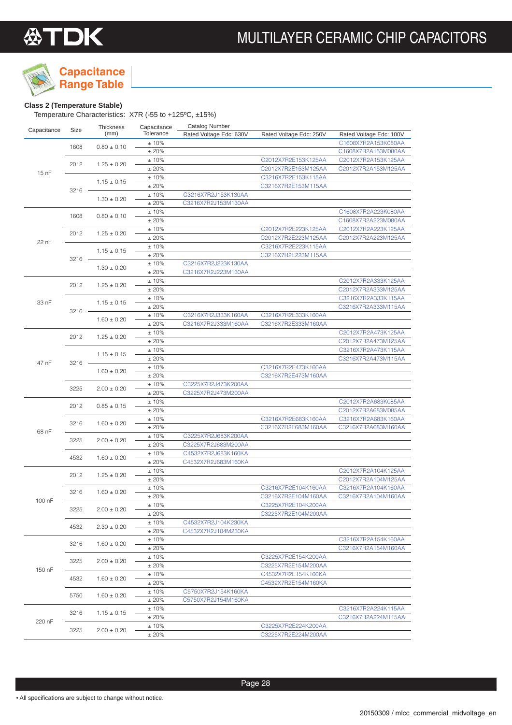

### **Capacitance**

### **Class 2 (Temperature Stable)**

Temperature Characteristics: X7R (-55 to +125ºC, ±15%)

| ±10%<br>C1608X7R2A153K080AA<br>1608<br>$0.80 \pm 0.10$<br>±20%<br>C1608X7R2A153M080AA<br>C2012X7R2E153K125AA<br>±10%<br>C2012X7R2A153K125AA<br>2012<br>$1.25 \pm 0.20$<br>±20%<br>C2012X7R2E153M125AA<br>C2012X7R2A153M125AA<br>15 nF<br>±10%<br>C3216X7R2E153K115AA<br>$1.15 \pm 0.15$<br>±20%<br>C3216X7R2E153M115AA<br>$3216 -$<br>±10%<br>C3216X7R2J153K130AA<br>$1.30 \pm 0.20$<br>±20%<br>C3216X7R2J153M130AA<br>C1608X7R2A223K080AA<br>±10%<br>1608<br>$0.80 \pm 0.10$<br>± 20%<br>C1608X7R2A223M080AA<br>C2012X7R2A223K125AA<br>±10%<br>C2012X7R2E223K125AA<br>2012<br>$1.25 \pm 0.20$<br>C2012X7R2E223M125AA<br>±20%<br>C2012X7R2A223M125AA<br>22 nF<br>C3216X7R2E223K115AA<br>±10%<br>$1.15 \pm 0.15$<br>±20%<br>C3216X7R2E223M115AA<br>3216<br>±10%<br>C3216X7R2J223K130AA<br>$1.30 \pm 0.20$<br>±20%<br>C3216X7R2J223M130AA<br>±10%<br>C2012X7R2A333K125AA<br>2012<br>$1.25 \pm 0.20$<br>±20%<br>C2012X7R2A333M125AA<br>C3216X7R2A333K115AA<br>±10%<br>33 nF<br>$1.15 \pm 0.15$<br>±20%<br>C3216X7R2A333M115AA<br>$3216 -$<br>±10%<br>C3216X7R2E333K160AA<br>C3216X7R2J333K160AA<br>$1.60 \pm 0.20$<br>±20%<br>C3216X7R2J333M160AA<br>C3216X7R2E333M160AA<br>±10%<br>C2012X7R2A473K125AA<br>2012<br>$1.25 \pm 0.20$<br>±20%<br>C2012X7R2A473M125AA<br>C3216X7R2A473K115AA<br>±10%<br>$1.15 \pm 0.15$<br>±20%<br>C3216X7R2A473M115AA<br>47 nF<br>3216<br>±10%<br>C3216X7R2E473K160AA<br>$1.60 \pm 0.20$<br>±20%<br>C3216X7R2E473M160AA<br>±10%<br>C3225X7R2J473K200AA<br>3225<br>$2.00 \pm 0.20$<br>±20%<br>C3225X7R2J473M200AA<br>C2012X7R2A683K085AA<br>±10%<br>$0.85 \pm 0.15$<br>2012<br>±20%<br>C2012X7R2A683M085AA<br>±10%<br>C3216X7R2A683K160AA<br>C3216X7R2E683K160AA<br>3216<br>$1.60 \pm 0.20$<br>±20%<br>C3216X7R2E683M160AA<br>C3216X7R2A683M160AA<br>68 nF<br>±10%<br>C3225X7R2J683K200AA<br>3225<br>$2.00 \pm 0.20$<br>±20%<br>C3225X7R2J683M200AA<br>C4532X7R2J683K160KA<br>±10%<br>4532<br>$1.60 \pm 0.20$<br>±20%<br>C4532X7R2J683M160KA<br>±10%<br>C2012X7R2A104K125AA<br>2012<br>$1.25 \pm 0.20$<br>±20%<br>C2012X7R2A104M125AA<br>C3216X7R2A104K160AA<br>±10%<br>C3216X7R2E104K160AA<br>3216<br>$1.60 \pm 0.20$<br>±20%<br>C3216X7R2E104M160AA<br>C3216X7R2A104M160AA<br>100 nF<br>$\pm$ 10%<br>C3225X7R2E104K200AA<br>3225<br>$2.00 \pm 0.20$<br>± 20%<br>C3225X7R2E104M200AA<br>±10%<br>C4532X7R2J104K230KA<br>4532<br>$2.30 \pm 0.20$<br>± 20%<br>C4532X7R2J104M230KA<br>± 10%<br>C3216X7R2A154K160AA<br>3216<br>$1.60 \pm 0.20$<br>±20%<br>C3216X7R2A154M160AA<br>C3225X7R2E154K200AA<br>± 10%<br>3225<br>$2.00 \pm 0.20$<br>± 20%<br>C3225X7R2E154M200AA<br>150 nF<br>±10%<br>C4532X7R2E154K160KA<br>4532<br>$1.60 \pm 0.20$<br>±20%<br>C4532X7R2E154M160KA<br>± 10%<br>C5750X7R2J154K160KA<br>5750<br>$1.60 \pm 0.20$<br>± 20%<br>C5750X7R2J154M160KA<br>± 10%<br>C3216X7R2A224K115AA<br>3216<br>$1.15 \pm 0.15$<br>±20%<br>C3216X7R2A224M115AA<br>220 nF<br>± 10%<br>C3225X7R2E224K200AA<br>3225<br>$2.00 \pm 0.20$<br>±20%<br>C3225X7R2E224M200AA | Capacitance | Size | Thickness<br>(mm) | Capacitance<br>Tolerance | <b>Catalog Number</b><br>Rated Voltage Edc: 630V | Rated Voltage Edc: 250V | Rated Voltage Edc: 100V |  |
|-------------------------------------------------------------------------------------------------------------------------------------------------------------------------------------------------------------------------------------------------------------------------------------------------------------------------------------------------------------------------------------------------------------------------------------------------------------------------------------------------------------------------------------------------------------------------------------------------------------------------------------------------------------------------------------------------------------------------------------------------------------------------------------------------------------------------------------------------------------------------------------------------------------------------------------------------------------------------------------------------------------------------------------------------------------------------------------------------------------------------------------------------------------------------------------------------------------------------------------------------------------------------------------------------------------------------------------------------------------------------------------------------------------------------------------------------------------------------------------------------------------------------------------------------------------------------------------------------------------------------------------------------------------------------------------------------------------------------------------------------------------------------------------------------------------------------------------------------------------------------------------------------------------------------------------------------------------------------------------------------------------------------------------------------------------------------------------------------------------------------------------------------------------------------------------------------------------------------------------------------------------------------------------------------------------------------------------------------------------------------------------------------------------------------------------------------------------------------------------------------------------------------------------------------------------------------------------------------------------------------------------------------------------------------------------------------------------------------------------------------------------------------------------------------------------------------------------------------------------------------------------------------------------------------------------------------------------------------------------------|-------------|------|-------------------|--------------------------|--------------------------------------------------|-------------------------|-------------------------|--|
|                                                                                                                                                                                                                                                                                                                                                                                                                                                                                                                                                                                                                                                                                                                                                                                                                                                                                                                                                                                                                                                                                                                                                                                                                                                                                                                                                                                                                                                                                                                                                                                                                                                                                                                                                                                                                                                                                                                                                                                                                                                                                                                                                                                                                                                                                                                                                                                                                                                                                                                                                                                                                                                                                                                                                                                                                                                                                                                                                                                           |             |      |                   |                          |                                                  |                         |                         |  |
|                                                                                                                                                                                                                                                                                                                                                                                                                                                                                                                                                                                                                                                                                                                                                                                                                                                                                                                                                                                                                                                                                                                                                                                                                                                                                                                                                                                                                                                                                                                                                                                                                                                                                                                                                                                                                                                                                                                                                                                                                                                                                                                                                                                                                                                                                                                                                                                                                                                                                                                                                                                                                                                                                                                                                                                                                                                                                                                                                                                           |             |      |                   |                          |                                                  |                         |                         |  |
|                                                                                                                                                                                                                                                                                                                                                                                                                                                                                                                                                                                                                                                                                                                                                                                                                                                                                                                                                                                                                                                                                                                                                                                                                                                                                                                                                                                                                                                                                                                                                                                                                                                                                                                                                                                                                                                                                                                                                                                                                                                                                                                                                                                                                                                                                                                                                                                                                                                                                                                                                                                                                                                                                                                                                                                                                                                                                                                                                                                           |             |      |                   |                          |                                                  |                         |                         |  |
|                                                                                                                                                                                                                                                                                                                                                                                                                                                                                                                                                                                                                                                                                                                                                                                                                                                                                                                                                                                                                                                                                                                                                                                                                                                                                                                                                                                                                                                                                                                                                                                                                                                                                                                                                                                                                                                                                                                                                                                                                                                                                                                                                                                                                                                                                                                                                                                                                                                                                                                                                                                                                                                                                                                                                                                                                                                                                                                                                                                           |             |      |                   |                          |                                                  |                         |                         |  |
|                                                                                                                                                                                                                                                                                                                                                                                                                                                                                                                                                                                                                                                                                                                                                                                                                                                                                                                                                                                                                                                                                                                                                                                                                                                                                                                                                                                                                                                                                                                                                                                                                                                                                                                                                                                                                                                                                                                                                                                                                                                                                                                                                                                                                                                                                                                                                                                                                                                                                                                                                                                                                                                                                                                                                                                                                                                                                                                                                                                           |             |      |                   |                          |                                                  |                         |                         |  |
|                                                                                                                                                                                                                                                                                                                                                                                                                                                                                                                                                                                                                                                                                                                                                                                                                                                                                                                                                                                                                                                                                                                                                                                                                                                                                                                                                                                                                                                                                                                                                                                                                                                                                                                                                                                                                                                                                                                                                                                                                                                                                                                                                                                                                                                                                                                                                                                                                                                                                                                                                                                                                                                                                                                                                                                                                                                                                                                                                                                           |             |      |                   |                          |                                                  |                         |                         |  |
|                                                                                                                                                                                                                                                                                                                                                                                                                                                                                                                                                                                                                                                                                                                                                                                                                                                                                                                                                                                                                                                                                                                                                                                                                                                                                                                                                                                                                                                                                                                                                                                                                                                                                                                                                                                                                                                                                                                                                                                                                                                                                                                                                                                                                                                                                                                                                                                                                                                                                                                                                                                                                                                                                                                                                                                                                                                                                                                                                                                           |             |      |                   |                          |                                                  |                         |                         |  |
|                                                                                                                                                                                                                                                                                                                                                                                                                                                                                                                                                                                                                                                                                                                                                                                                                                                                                                                                                                                                                                                                                                                                                                                                                                                                                                                                                                                                                                                                                                                                                                                                                                                                                                                                                                                                                                                                                                                                                                                                                                                                                                                                                                                                                                                                                                                                                                                                                                                                                                                                                                                                                                                                                                                                                                                                                                                                                                                                                                                           |             |      |                   |                          |                                                  |                         |                         |  |
|                                                                                                                                                                                                                                                                                                                                                                                                                                                                                                                                                                                                                                                                                                                                                                                                                                                                                                                                                                                                                                                                                                                                                                                                                                                                                                                                                                                                                                                                                                                                                                                                                                                                                                                                                                                                                                                                                                                                                                                                                                                                                                                                                                                                                                                                                                                                                                                                                                                                                                                                                                                                                                                                                                                                                                                                                                                                                                                                                                                           |             |      |                   |                          |                                                  |                         |                         |  |
|                                                                                                                                                                                                                                                                                                                                                                                                                                                                                                                                                                                                                                                                                                                                                                                                                                                                                                                                                                                                                                                                                                                                                                                                                                                                                                                                                                                                                                                                                                                                                                                                                                                                                                                                                                                                                                                                                                                                                                                                                                                                                                                                                                                                                                                                                                                                                                                                                                                                                                                                                                                                                                                                                                                                                                                                                                                                                                                                                                                           |             |      |                   |                          |                                                  |                         |                         |  |
|                                                                                                                                                                                                                                                                                                                                                                                                                                                                                                                                                                                                                                                                                                                                                                                                                                                                                                                                                                                                                                                                                                                                                                                                                                                                                                                                                                                                                                                                                                                                                                                                                                                                                                                                                                                                                                                                                                                                                                                                                                                                                                                                                                                                                                                                                                                                                                                                                                                                                                                                                                                                                                                                                                                                                                                                                                                                                                                                                                                           |             |      |                   |                          |                                                  |                         |                         |  |
|                                                                                                                                                                                                                                                                                                                                                                                                                                                                                                                                                                                                                                                                                                                                                                                                                                                                                                                                                                                                                                                                                                                                                                                                                                                                                                                                                                                                                                                                                                                                                                                                                                                                                                                                                                                                                                                                                                                                                                                                                                                                                                                                                                                                                                                                                                                                                                                                                                                                                                                                                                                                                                                                                                                                                                                                                                                                                                                                                                                           |             |      |                   |                          |                                                  |                         |                         |  |
|                                                                                                                                                                                                                                                                                                                                                                                                                                                                                                                                                                                                                                                                                                                                                                                                                                                                                                                                                                                                                                                                                                                                                                                                                                                                                                                                                                                                                                                                                                                                                                                                                                                                                                                                                                                                                                                                                                                                                                                                                                                                                                                                                                                                                                                                                                                                                                                                                                                                                                                                                                                                                                                                                                                                                                                                                                                                                                                                                                                           |             |      |                   |                          |                                                  |                         |                         |  |
|                                                                                                                                                                                                                                                                                                                                                                                                                                                                                                                                                                                                                                                                                                                                                                                                                                                                                                                                                                                                                                                                                                                                                                                                                                                                                                                                                                                                                                                                                                                                                                                                                                                                                                                                                                                                                                                                                                                                                                                                                                                                                                                                                                                                                                                                                                                                                                                                                                                                                                                                                                                                                                                                                                                                                                                                                                                                                                                                                                                           |             |      |                   |                          |                                                  |                         |                         |  |
|                                                                                                                                                                                                                                                                                                                                                                                                                                                                                                                                                                                                                                                                                                                                                                                                                                                                                                                                                                                                                                                                                                                                                                                                                                                                                                                                                                                                                                                                                                                                                                                                                                                                                                                                                                                                                                                                                                                                                                                                                                                                                                                                                                                                                                                                                                                                                                                                                                                                                                                                                                                                                                                                                                                                                                                                                                                                                                                                                                                           |             |      |                   |                          |                                                  |                         |                         |  |
|                                                                                                                                                                                                                                                                                                                                                                                                                                                                                                                                                                                                                                                                                                                                                                                                                                                                                                                                                                                                                                                                                                                                                                                                                                                                                                                                                                                                                                                                                                                                                                                                                                                                                                                                                                                                                                                                                                                                                                                                                                                                                                                                                                                                                                                                                                                                                                                                                                                                                                                                                                                                                                                                                                                                                                                                                                                                                                                                                                                           |             |      |                   |                          |                                                  |                         |                         |  |
|                                                                                                                                                                                                                                                                                                                                                                                                                                                                                                                                                                                                                                                                                                                                                                                                                                                                                                                                                                                                                                                                                                                                                                                                                                                                                                                                                                                                                                                                                                                                                                                                                                                                                                                                                                                                                                                                                                                                                                                                                                                                                                                                                                                                                                                                                                                                                                                                                                                                                                                                                                                                                                                                                                                                                                                                                                                                                                                                                                                           |             |      |                   |                          |                                                  |                         |                         |  |
|                                                                                                                                                                                                                                                                                                                                                                                                                                                                                                                                                                                                                                                                                                                                                                                                                                                                                                                                                                                                                                                                                                                                                                                                                                                                                                                                                                                                                                                                                                                                                                                                                                                                                                                                                                                                                                                                                                                                                                                                                                                                                                                                                                                                                                                                                                                                                                                                                                                                                                                                                                                                                                                                                                                                                                                                                                                                                                                                                                                           |             |      |                   |                          |                                                  |                         |                         |  |
|                                                                                                                                                                                                                                                                                                                                                                                                                                                                                                                                                                                                                                                                                                                                                                                                                                                                                                                                                                                                                                                                                                                                                                                                                                                                                                                                                                                                                                                                                                                                                                                                                                                                                                                                                                                                                                                                                                                                                                                                                                                                                                                                                                                                                                                                                                                                                                                                                                                                                                                                                                                                                                                                                                                                                                                                                                                                                                                                                                                           |             |      |                   |                          |                                                  |                         |                         |  |
|                                                                                                                                                                                                                                                                                                                                                                                                                                                                                                                                                                                                                                                                                                                                                                                                                                                                                                                                                                                                                                                                                                                                                                                                                                                                                                                                                                                                                                                                                                                                                                                                                                                                                                                                                                                                                                                                                                                                                                                                                                                                                                                                                                                                                                                                                                                                                                                                                                                                                                                                                                                                                                                                                                                                                                                                                                                                                                                                                                                           |             |      |                   |                          |                                                  |                         |                         |  |
|                                                                                                                                                                                                                                                                                                                                                                                                                                                                                                                                                                                                                                                                                                                                                                                                                                                                                                                                                                                                                                                                                                                                                                                                                                                                                                                                                                                                                                                                                                                                                                                                                                                                                                                                                                                                                                                                                                                                                                                                                                                                                                                                                                                                                                                                                                                                                                                                                                                                                                                                                                                                                                                                                                                                                                                                                                                                                                                                                                                           |             |      |                   |                          |                                                  |                         |                         |  |
|                                                                                                                                                                                                                                                                                                                                                                                                                                                                                                                                                                                                                                                                                                                                                                                                                                                                                                                                                                                                                                                                                                                                                                                                                                                                                                                                                                                                                                                                                                                                                                                                                                                                                                                                                                                                                                                                                                                                                                                                                                                                                                                                                                                                                                                                                                                                                                                                                                                                                                                                                                                                                                                                                                                                                                                                                                                                                                                                                                                           |             |      |                   |                          |                                                  |                         |                         |  |
|                                                                                                                                                                                                                                                                                                                                                                                                                                                                                                                                                                                                                                                                                                                                                                                                                                                                                                                                                                                                                                                                                                                                                                                                                                                                                                                                                                                                                                                                                                                                                                                                                                                                                                                                                                                                                                                                                                                                                                                                                                                                                                                                                                                                                                                                                                                                                                                                                                                                                                                                                                                                                                                                                                                                                                                                                                                                                                                                                                                           |             |      |                   |                          |                                                  |                         |                         |  |
|                                                                                                                                                                                                                                                                                                                                                                                                                                                                                                                                                                                                                                                                                                                                                                                                                                                                                                                                                                                                                                                                                                                                                                                                                                                                                                                                                                                                                                                                                                                                                                                                                                                                                                                                                                                                                                                                                                                                                                                                                                                                                                                                                                                                                                                                                                                                                                                                                                                                                                                                                                                                                                                                                                                                                                                                                                                                                                                                                                                           |             |      |                   |                          |                                                  |                         |                         |  |
|                                                                                                                                                                                                                                                                                                                                                                                                                                                                                                                                                                                                                                                                                                                                                                                                                                                                                                                                                                                                                                                                                                                                                                                                                                                                                                                                                                                                                                                                                                                                                                                                                                                                                                                                                                                                                                                                                                                                                                                                                                                                                                                                                                                                                                                                                                                                                                                                                                                                                                                                                                                                                                                                                                                                                                                                                                                                                                                                                                                           |             |      |                   |                          |                                                  |                         |                         |  |
|                                                                                                                                                                                                                                                                                                                                                                                                                                                                                                                                                                                                                                                                                                                                                                                                                                                                                                                                                                                                                                                                                                                                                                                                                                                                                                                                                                                                                                                                                                                                                                                                                                                                                                                                                                                                                                                                                                                                                                                                                                                                                                                                                                                                                                                                                                                                                                                                                                                                                                                                                                                                                                                                                                                                                                                                                                                                                                                                                                                           |             |      |                   |                          |                                                  |                         |                         |  |
|                                                                                                                                                                                                                                                                                                                                                                                                                                                                                                                                                                                                                                                                                                                                                                                                                                                                                                                                                                                                                                                                                                                                                                                                                                                                                                                                                                                                                                                                                                                                                                                                                                                                                                                                                                                                                                                                                                                                                                                                                                                                                                                                                                                                                                                                                                                                                                                                                                                                                                                                                                                                                                                                                                                                                                                                                                                                                                                                                                                           |             |      |                   |                          |                                                  |                         |                         |  |
|                                                                                                                                                                                                                                                                                                                                                                                                                                                                                                                                                                                                                                                                                                                                                                                                                                                                                                                                                                                                                                                                                                                                                                                                                                                                                                                                                                                                                                                                                                                                                                                                                                                                                                                                                                                                                                                                                                                                                                                                                                                                                                                                                                                                                                                                                                                                                                                                                                                                                                                                                                                                                                                                                                                                                                                                                                                                                                                                                                                           |             |      |                   |                          |                                                  |                         |                         |  |
|                                                                                                                                                                                                                                                                                                                                                                                                                                                                                                                                                                                                                                                                                                                                                                                                                                                                                                                                                                                                                                                                                                                                                                                                                                                                                                                                                                                                                                                                                                                                                                                                                                                                                                                                                                                                                                                                                                                                                                                                                                                                                                                                                                                                                                                                                                                                                                                                                                                                                                                                                                                                                                                                                                                                                                                                                                                                                                                                                                                           |             |      |                   |                          |                                                  |                         |                         |  |
|                                                                                                                                                                                                                                                                                                                                                                                                                                                                                                                                                                                                                                                                                                                                                                                                                                                                                                                                                                                                                                                                                                                                                                                                                                                                                                                                                                                                                                                                                                                                                                                                                                                                                                                                                                                                                                                                                                                                                                                                                                                                                                                                                                                                                                                                                                                                                                                                                                                                                                                                                                                                                                                                                                                                                                                                                                                                                                                                                                                           |             |      |                   |                          |                                                  |                         |                         |  |
|                                                                                                                                                                                                                                                                                                                                                                                                                                                                                                                                                                                                                                                                                                                                                                                                                                                                                                                                                                                                                                                                                                                                                                                                                                                                                                                                                                                                                                                                                                                                                                                                                                                                                                                                                                                                                                                                                                                                                                                                                                                                                                                                                                                                                                                                                                                                                                                                                                                                                                                                                                                                                                                                                                                                                                                                                                                                                                                                                                                           |             |      |                   |                          |                                                  |                         |                         |  |
|                                                                                                                                                                                                                                                                                                                                                                                                                                                                                                                                                                                                                                                                                                                                                                                                                                                                                                                                                                                                                                                                                                                                                                                                                                                                                                                                                                                                                                                                                                                                                                                                                                                                                                                                                                                                                                                                                                                                                                                                                                                                                                                                                                                                                                                                                                                                                                                                                                                                                                                                                                                                                                                                                                                                                                                                                                                                                                                                                                                           |             |      |                   |                          |                                                  |                         |                         |  |
|                                                                                                                                                                                                                                                                                                                                                                                                                                                                                                                                                                                                                                                                                                                                                                                                                                                                                                                                                                                                                                                                                                                                                                                                                                                                                                                                                                                                                                                                                                                                                                                                                                                                                                                                                                                                                                                                                                                                                                                                                                                                                                                                                                                                                                                                                                                                                                                                                                                                                                                                                                                                                                                                                                                                                                                                                                                                                                                                                                                           |             |      |                   |                          |                                                  |                         |                         |  |
|                                                                                                                                                                                                                                                                                                                                                                                                                                                                                                                                                                                                                                                                                                                                                                                                                                                                                                                                                                                                                                                                                                                                                                                                                                                                                                                                                                                                                                                                                                                                                                                                                                                                                                                                                                                                                                                                                                                                                                                                                                                                                                                                                                                                                                                                                                                                                                                                                                                                                                                                                                                                                                                                                                                                                                                                                                                                                                                                                                                           |             |      |                   |                          |                                                  |                         |                         |  |
|                                                                                                                                                                                                                                                                                                                                                                                                                                                                                                                                                                                                                                                                                                                                                                                                                                                                                                                                                                                                                                                                                                                                                                                                                                                                                                                                                                                                                                                                                                                                                                                                                                                                                                                                                                                                                                                                                                                                                                                                                                                                                                                                                                                                                                                                                                                                                                                                                                                                                                                                                                                                                                                                                                                                                                                                                                                                                                                                                                                           |             |      |                   |                          |                                                  |                         |                         |  |
|                                                                                                                                                                                                                                                                                                                                                                                                                                                                                                                                                                                                                                                                                                                                                                                                                                                                                                                                                                                                                                                                                                                                                                                                                                                                                                                                                                                                                                                                                                                                                                                                                                                                                                                                                                                                                                                                                                                                                                                                                                                                                                                                                                                                                                                                                                                                                                                                                                                                                                                                                                                                                                                                                                                                                                                                                                                                                                                                                                                           |             |      |                   |                          |                                                  |                         |                         |  |
|                                                                                                                                                                                                                                                                                                                                                                                                                                                                                                                                                                                                                                                                                                                                                                                                                                                                                                                                                                                                                                                                                                                                                                                                                                                                                                                                                                                                                                                                                                                                                                                                                                                                                                                                                                                                                                                                                                                                                                                                                                                                                                                                                                                                                                                                                                                                                                                                                                                                                                                                                                                                                                                                                                                                                                                                                                                                                                                                                                                           |             |      |                   |                          |                                                  |                         |                         |  |
|                                                                                                                                                                                                                                                                                                                                                                                                                                                                                                                                                                                                                                                                                                                                                                                                                                                                                                                                                                                                                                                                                                                                                                                                                                                                                                                                                                                                                                                                                                                                                                                                                                                                                                                                                                                                                                                                                                                                                                                                                                                                                                                                                                                                                                                                                                                                                                                                                                                                                                                                                                                                                                                                                                                                                                                                                                                                                                                                                                                           |             |      |                   |                          |                                                  |                         |                         |  |
|                                                                                                                                                                                                                                                                                                                                                                                                                                                                                                                                                                                                                                                                                                                                                                                                                                                                                                                                                                                                                                                                                                                                                                                                                                                                                                                                                                                                                                                                                                                                                                                                                                                                                                                                                                                                                                                                                                                                                                                                                                                                                                                                                                                                                                                                                                                                                                                                                                                                                                                                                                                                                                                                                                                                                                                                                                                                                                                                                                                           |             |      |                   |                          |                                                  |                         |                         |  |
|                                                                                                                                                                                                                                                                                                                                                                                                                                                                                                                                                                                                                                                                                                                                                                                                                                                                                                                                                                                                                                                                                                                                                                                                                                                                                                                                                                                                                                                                                                                                                                                                                                                                                                                                                                                                                                                                                                                                                                                                                                                                                                                                                                                                                                                                                                                                                                                                                                                                                                                                                                                                                                                                                                                                                                                                                                                                                                                                                                                           |             |      |                   |                          |                                                  |                         |                         |  |
|                                                                                                                                                                                                                                                                                                                                                                                                                                                                                                                                                                                                                                                                                                                                                                                                                                                                                                                                                                                                                                                                                                                                                                                                                                                                                                                                                                                                                                                                                                                                                                                                                                                                                                                                                                                                                                                                                                                                                                                                                                                                                                                                                                                                                                                                                                                                                                                                                                                                                                                                                                                                                                                                                                                                                                                                                                                                                                                                                                                           |             |      |                   |                          |                                                  |                         |                         |  |
|                                                                                                                                                                                                                                                                                                                                                                                                                                                                                                                                                                                                                                                                                                                                                                                                                                                                                                                                                                                                                                                                                                                                                                                                                                                                                                                                                                                                                                                                                                                                                                                                                                                                                                                                                                                                                                                                                                                                                                                                                                                                                                                                                                                                                                                                                                                                                                                                                                                                                                                                                                                                                                                                                                                                                                                                                                                                                                                                                                                           |             |      |                   |                          |                                                  |                         |                         |  |
|                                                                                                                                                                                                                                                                                                                                                                                                                                                                                                                                                                                                                                                                                                                                                                                                                                                                                                                                                                                                                                                                                                                                                                                                                                                                                                                                                                                                                                                                                                                                                                                                                                                                                                                                                                                                                                                                                                                                                                                                                                                                                                                                                                                                                                                                                                                                                                                                                                                                                                                                                                                                                                                                                                                                                                                                                                                                                                                                                                                           |             |      |                   |                          |                                                  |                         |                         |  |
|                                                                                                                                                                                                                                                                                                                                                                                                                                                                                                                                                                                                                                                                                                                                                                                                                                                                                                                                                                                                                                                                                                                                                                                                                                                                                                                                                                                                                                                                                                                                                                                                                                                                                                                                                                                                                                                                                                                                                                                                                                                                                                                                                                                                                                                                                                                                                                                                                                                                                                                                                                                                                                                                                                                                                                                                                                                                                                                                                                                           |             |      |                   |                          |                                                  |                         |                         |  |
|                                                                                                                                                                                                                                                                                                                                                                                                                                                                                                                                                                                                                                                                                                                                                                                                                                                                                                                                                                                                                                                                                                                                                                                                                                                                                                                                                                                                                                                                                                                                                                                                                                                                                                                                                                                                                                                                                                                                                                                                                                                                                                                                                                                                                                                                                                                                                                                                                                                                                                                                                                                                                                                                                                                                                                                                                                                                                                                                                                                           |             |      |                   |                          |                                                  |                         |                         |  |
|                                                                                                                                                                                                                                                                                                                                                                                                                                                                                                                                                                                                                                                                                                                                                                                                                                                                                                                                                                                                                                                                                                                                                                                                                                                                                                                                                                                                                                                                                                                                                                                                                                                                                                                                                                                                                                                                                                                                                                                                                                                                                                                                                                                                                                                                                                                                                                                                                                                                                                                                                                                                                                                                                                                                                                                                                                                                                                                                                                                           |             |      |                   |                          |                                                  |                         |                         |  |
|                                                                                                                                                                                                                                                                                                                                                                                                                                                                                                                                                                                                                                                                                                                                                                                                                                                                                                                                                                                                                                                                                                                                                                                                                                                                                                                                                                                                                                                                                                                                                                                                                                                                                                                                                                                                                                                                                                                                                                                                                                                                                                                                                                                                                                                                                                                                                                                                                                                                                                                                                                                                                                                                                                                                                                                                                                                                                                                                                                                           |             |      |                   |                          |                                                  |                         |                         |  |
|                                                                                                                                                                                                                                                                                                                                                                                                                                                                                                                                                                                                                                                                                                                                                                                                                                                                                                                                                                                                                                                                                                                                                                                                                                                                                                                                                                                                                                                                                                                                                                                                                                                                                                                                                                                                                                                                                                                                                                                                                                                                                                                                                                                                                                                                                                                                                                                                                                                                                                                                                                                                                                                                                                                                                                                                                                                                                                                                                                                           |             |      |                   |                          |                                                  |                         |                         |  |
|                                                                                                                                                                                                                                                                                                                                                                                                                                                                                                                                                                                                                                                                                                                                                                                                                                                                                                                                                                                                                                                                                                                                                                                                                                                                                                                                                                                                                                                                                                                                                                                                                                                                                                                                                                                                                                                                                                                                                                                                                                                                                                                                                                                                                                                                                                                                                                                                                                                                                                                                                                                                                                                                                                                                                                                                                                                                                                                                                                                           |             |      |                   |                          |                                                  |                         |                         |  |
|                                                                                                                                                                                                                                                                                                                                                                                                                                                                                                                                                                                                                                                                                                                                                                                                                                                                                                                                                                                                                                                                                                                                                                                                                                                                                                                                                                                                                                                                                                                                                                                                                                                                                                                                                                                                                                                                                                                                                                                                                                                                                                                                                                                                                                                                                                                                                                                                                                                                                                                                                                                                                                                                                                                                                                                                                                                                                                                                                                                           |             |      |                   |                          |                                                  |                         |                         |  |
|                                                                                                                                                                                                                                                                                                                                                                                                                                                                                                                                                                                                                                                                                                                                                                                                                                                                                                                                                                                                                                                                                                                                                                                                                                                                                                                                                                                                                                                                                                                                                                                                                                                                                                                                                                                                                                                                                                                                                                                                                                                                                                                                                                                                                                                                                                                                                                                                                                                                                                                                                                                                                                                                                                                                                                                                                                                                                                                                                                                           |             |      |                   |                          |                                                  |                         |                         |  |
|                                                                                                                                                                                                                                                                                                                                                                                                                                                                                                                                                                                                                                                                                                                                                                                                                                                                                                                                                                                                                                                                                                                                                                                                                                                                                                                                                                                                                                                                                                                                                                                                                                                                                                                                                                                                                                                                                                                                                                                                                                                                                                                                                                                                                                                                                                                                                                                                                                                                                                                                                                                                                                                                                                                                                                                                                                                                                                                                                                                           |             |      |                   |                          |                                                  |                         |                         |  |
|                                                                                                                                                                                                                                                                                                                                                                                                                                                                                                                                                                                                                                                                                                                                                                                                                                                                                                                                                                                                                                                                                                                                                                                                                                                                                                                                                                                                                                                                                                                                                                                                                                                                                                                                                                                                                                                                                                                                                                                                                                                                                                                                                                                                                                                                                                                                                                                                                                                                                                                                                                                                                                                                                                                                                                                                                                                                                                                                                                                           |             |      |                   |                          |                                                  |                         |                         |  |
|                                                                                                                                                                                                                                                                                                                                                                                                                                                                                                                                                                                                                                                                                                                                                                                                                                                                                                                                                                                                                                                                                                                                                                                                                                                                                                                                                                                                                                                                                                                                                                                                                                                                                                                                                                                                                                                                                                                                                                                                                                                                                                                                                                                                                                                                                                                                                                                                                                                                                                                                                                                                                                                                                                                                                                                                                                                                                                                                                                                           |             |      |                   |                          |                                                  |                         |                         |  |
|                                                                                                                                                                                                                                                                                                                                                                                                                                                                                                                                                                                                                                                                                                                                                                                                                                                                                                                                                                                                                                                                                                                                                                                                                                                                                                                                                                                                                                                                                                                                                                                                                                                                                                                                                                                                                                                                                                                                                                                                                                                                                                                                                                                                                                                                                                                                                                                                                                                                                                                                                                                                                                                                                                                                                                                                                                                                                                                                                                                           |             |      |                   |                          |                                                  |                         |                         |  |
|                                                                                                                                                                                                                                                                                                                                                                                                                                                                                                                                                                                                                                                                                                                                                                                                                                                                                                                                                                                                                                                                                                                                                                                                                                                                                                                                                                                                                                                                                                                                                                                                                                                                                                                                                                                                                                                                                                                                                                                                                                                                                                                                                                                                                                                                                                                                                                                                                                                                                                                                                                                                                                                                                                                                                                                                                                                                                                                                                                                           |             |      |                   |                          |                                                  |                         |                         |  |
|                                                                                                                                                                                                                                                                                                                                                                                                                                                                                                                                                                                                                                                                                                                                                                                                                                                                                                                                                                                                                                                                                                                                                                                                                                                                                                                                                                                                                                                                                                                                                                                                                                                                                                                                                                                                                                                                                                                                                                                                                                                                                                                                                                                                                                                                                                                                                                                                                                                                                                                                                                                                                                                                                                                                                                                                                                                                                                                                                                                           |             |      |                   |                          |                                                  |                         |                         |  |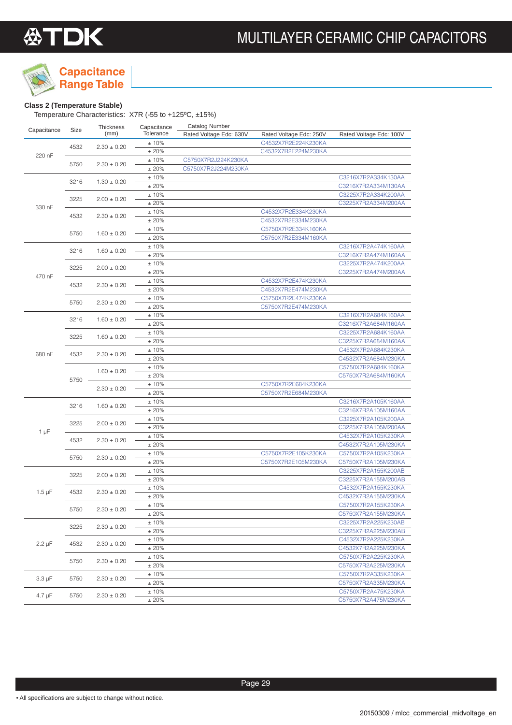

## **Capacitance**

**Range Table**

### **Class 2 (Temperature Stable)**

Temperature Characteristics: X7R (-55 to +125ºC, ±15%)

| Capacitance |      | Thickness       | Capacitance | <b>Catalog Number</b>   |                                            |                         |
|-------------|------|-----------------|-------------|-------------------------|--------------------------------------------|-------------------------|
|             | Size | (mm)            | Tolerance   | Rated Voltage Edc: 630V | Rated Voltage Edc: 250V                    | Rated Voltage Edc: 100V |
|             |      |                 | ±10%        |                         | C4532X7R2E224K230KA                        |                         |
|             | 4532 | $2.30 \pm 0.20$ | ±20%        |                         | C4532X7R2E224M230KA                        |                         |
| 220 nF      |      |                 | ±10%        | C5750X7R2J224K230KA     |                                            |                         |
|             | 5750 | $2.30 \pm 0.20$ | ± 20%       | C5750X7R2J224M230KA     |                                            |                         |
|             |      |                 | ±10%        |                         |                                            | C3216X7R2A334K130AA     |
|             | 3216 | $1.30 \pm 0.20$ | ±20%        |                         |                                            | C3216X7R2A334M130AA     |
|             |      |                 | ±10%        |                         |                                            | C3225X7R2A334K200AA     |
|             | 3225 | $2.00 \pm 0.20$ | ±20%        |                         |                                            | C3225X7R2A334M200AA     |
| 330 nF      |      |                 | ±10%        |                         | C4532X7R2E334K230KA                        |                         |
|             | 4532 | $2.30 \pm 0.20$ | ±20%        |                         | C4532X7R2E334M230KA                        |                         |
|             |      |                 | ±10%        |                         | C5750X7R2E334K160KA                        |                         |
|             | 5750 | $1.60 \pm 0.20$ | ±20%        |                         | C5750X7R2E334M160KA                        |                         |
|             |      |                 | ±10%        |                         |                                            | C3216X7R2A474K160AA     |
|             | 3216 | $1.60 \pm 0.20$ | ±20%        |                         |                                            | C3216X7R2A474M160AA     |
|             |      |                 | ±10%        |                         |                                            | C3225X7R2A474K200AA     |
|             | 3225 | $2.00 \pm 0.20$ | ±20%        |                         |                                            | C3225X7R2A474M200AA     |
| 470 nF      |      |                 | ±10%        |                         | C4532X7R2E474K230KA                        |                         |
|             | 4532 | $2.30 \pm 0.20$ | ±20%        |                         | C4532X7R2E474M230KA                        |                         |
|             |      |                 | ±10%        |                         | C5750X7R2E474K230KA                        |                         |
|             | 5750 | $2.30 \pm 0.20$ | ±20%        |                         | C5750X7R2E474M230KA                        |                         |
|             |      |                 | ±10%        |                         |                                            | C3216X7R2A684K160AA     |
| 680 nF      | 3216 | $1.60 \pm 0.20$ | ±20%        |                         |                                            | C3216X7R2A684M160AA     |
|             |      |                 | ±10%        |                         |                                            | C3225X7R2A684K160AA     |
|             | 3225 | $1.60 \pm 0.20$ | ±20%        |                         |                                            | C3225X7R2A684M160AA     |
|             |      |                 | ±10%        |                         |                                            | C4532X7R2A684K230KA     |
|             | 4532 | $2.30 \pm 0.20$ | ±20%        |                         |                                            | C4532X7R2A684M230KA     |
|             |      |                 |             |                         |                                            | C5750X7R2A684K160KA     |
|             |      | $1.60 \pm 0.20$ | ±10%        |                         |                                            |                         |
|             | 5750 |                 | ±20%        |                         |                                            | C5750X7R2A684M160KA     |
|             |      | $2.30 \pm 0.20$ | ±10%        |                         | C5750X7R2E684K230KA<br>C5750X7R2E684M230KA |                         |
|             |      |                 | ±20%        |                         |                                            |                         |
|             | 3216 | $1.60 \pm 0.20$ | ±10%        |                         |                                            | C3216X7R2A105K160AA     |
|             |      |                 | ±20%        |                         |                                            | C3216X7R2A105M160AA     |
|             | 3225 | $2.00 \pm 0.20$ | ±10%        |                         |                                            | C3225X7R2A105K200AA     |
| 1 µF        |      |                 | ±20%        |                         |                                            | C3225X7R2A105M200AA     |
|             | 4532 | $2.30 \pm 0.20$ | ±10%        |                         |                                            | C4532X7R2A105K230KA     |
|             |      |                 | ±20%        |                         |                                            | C4532X7R2A105M230KA     |
|             | 5750 | $2.30 \pm 0.20$ | ±10%        |                         | C5750X7R2E105K230KA                        | C5750X7R2A105K230KA     |
|             |      |                 | ±20%        |                         | C5750X7R2E105M230KA                        | C5750X7R2A105M230KA     |
|             | 3225 | $2.00 \pm 0.20$ | ±10%        |                         |                                            | C3225X7R2A155K200AB     |
|             |      |                 | ±20%        |                         |                                            | C3225X7R2A155M200AB     |
| $1.5 \mu F$ | 4532 | $2.30 \pm 0.20$ | ±10%        |                         |                                            | C4532X7R2A155K230KA     |
|             |      |                 | ±20%        |                         |                                            | C4532X7R2A155M230KA     |
|             | 5750 | $2.30 \pm 0.20$ | ±10%        |                         |                                            | C5750X7R2A155K230KA     |
|             |      |                 | ± 20%       |                         |                                            | C5750X7R2A155M230KA     |
|             | 3225 | $2.30 \pm 0.20$ | $±10\%$     |                         |                                            | C3225X7R2A225K230AB     |
|             |      |                 | ± 20%       |                         |                                            | C3225X7R2A225M230AB     |
| $2.2 \mu F$ | 4532 | $2.30 \pm 0.20$ | ± 10%       |                         |                                            | C4532X7R2A225K230KA     |
|             |      |                 | ± 20%       |                         |                                            | C4532X7R2A225M230KA     |
|             | 5750 | $2.30 \pm 0.20$ | ± 10%       |                         |                                            | C5750X7R2A225K230KA     |
|             |      |                 | ± 20%       |                         |                                            | C5750X7R2A225M230KA     |
|             |      |                 | $± 10\%$    |                         |                                            | C5750X7R2A335K230KA     |
| $3.3 \mu F$ | 5750 | $2.30 \pm 0.20$ | ± 20%       |                         |                                            | C5750X7R2A335M230KA     |
|             |      |                 | $± 10\%$    |                         |                                            | C5750X7R2A475K230KA     |
| $4.7 \mu F$ | 5750 | $2.30 \pm 0.20$ | ± 20%       |                         |                                            | C5750X7R2A475M230KA     |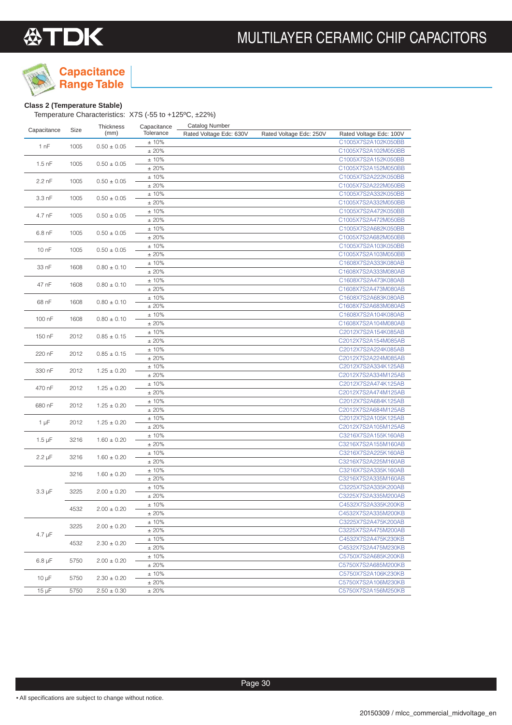

## **Capacitance**

**Range Table**

### **Class 2 (Temperature Stable)**

Temperature Characteristics: X7S (-55 to +125ºC, ±22%)

|                  |                | Thickness       | Capacitance   | <b>Catalog Number</b>   |                         |                         |
|------------------|----------------|-----------------|---------------|-------------------------|-------------------------|-------------------------|
| Capacitance      | Size           | (mm)            | Tolerance     | Rated Voltage Edc: 630V | Rated Voltage Edc: 250V | Rated Voltage Edc: 100V |
| 1 nF             | 1005           | $0.50 \pm 0.05$ | ±10%          |                         |                         | C1005X7S2A102K050BB     |
|                  |                |                 | ±20%          |                         |                         | C1005X7S2A102M050BB     |
| $1.5$ nF         | 1005           | $0.50 \pm 0.05$ | ±10%          |                         |                         | C1005X7S2A152K050BB     |
|                  |                |                 | ±20%          |                         |                         | C1005X7S2A152M050BB     |
| 2.2 nF           | 1005           | $0.50 \pm 0.05$ | ±10%          |                         |                         | C1005X7S2A222K050BB     |
|                  |                |                 | ±20%          |                         |                         | C1005X7S2A222M050BB     |
| 3.3 nF           | 1005           | $0.50 \pm 0.05$ | ±10%          |                         |                         | C1005X7S2A332K050BB     |
|                  |                |                 | ±20%          |                         |                         | C1005X7S2A332M050BB     |
|                  |                |                 | ±10%          |                         |                         | C1005X7S2A472K050BB     |
| 4.7 nF           | 1005           | $0.50 \pm 0.05$ | ±20%          |                         |                         | C1005X7S2A472M050BB     |
|                  |                |                 | ±10%          |                         |                         | C1005X7S2A682K050BB     |
| 6.8 nF           | 1005           | $0.50 \pm 0.05$ | ±20%          |                         |                         | C1005X7S2A682M050BB     |
|                  |                |                 | ±10%          |                         |                         | C1005X7S2A103K050BB     |
| 10 <sub>nF</sub> | 1005           | $0.50 \pm 0.05$ | ±20%          |                         |                         | C1005X7S2A103M050BB     |
|                  |                |                 | ±10%          |                         |                         | C1608X7S2A333K080AB     |
| 33 nF            | 1608           | $0.80 \pm 0.10$ | ±20%          |                         |                         | C1608X7S2A333M080AB     |
|                  |                |                 | ±10%          |                         |                         | C1608X7S2A473K080AB     |
| 47 nF            | 1608           | $0.80 \pm 0.10$ | ±20%          |                         |                         | C1608X7S2A473M080AB     |
|                  |                |                 | ±10%          |                         |                         | C1608X7S2A683K080AB     |
| 68 nF            | 1608           | $0.80 \pm 0.10$ | ±20%          |                         |                         | C1608X7S2A683M080AB     |
|                  |                |                 | ±10%          |                         |                         | C1608X7S2A104K080AB     |
| 100 nF           | 1608           | $0.80 \pm 0.10$ | ±20%          |                         |                         | C1608X7S2A104M080AB     |
|                  |                |                 | ±10%          |                         |                         | C2012X7S2A154K085AB     |
| 150 nF           | 2012           | $0.85 \pm 0.15$ | ±20%          |                         |                         | C2012X7S2A154M085AB     |
|                  | 220 nF<br>2012 |                 | ±10%          |                         |                         | C2012X7S2A224K085AB     |
|                  |                | $0.85 \pm 0.15$ | ±20%          |                         |                         | C2012X7S2A224M085AB     |
|                  | 330 nF<br>2012 |                 | ±10%          |                         |                         | C2012X7S2A334K125AB     |
|                  |                | $1.25 \pm 0.20$ | ±20%          |                         |                         | C2012X7S2A334M125AB     |
|                  |                |                 | ±10%          |                         |                         | C2012X7S2A474K125AB     |
| 470 nF           | 2012           | $1.25 \pm 0.20$ | ±20%          |                         |                         | C2012X7S2A474M125AB     |
|                  |                |                 | ±10%          |                         |                         | C2012X7S2A684K125AB     |
| 680 nF           | 2012           | $1.25 \pm 0.20$ | ±20%          |                         |                         | C2012X7S2A684M125AB     |
|                  |                |                 | ±10%          |                         |                         | C2012X7S2A105K125AB     |
| $1 \mu F$        | 2012           | $1.25 \pm 0.20$ | ±20%          |                         |                         | C2012X7S2A105M125AB     |
|                  |                |                 | ±10%          |                         |                         | C3216X7S2A155K160AB     |
| $1.5 \mu F$      | 3216           | $1.60 \pm 0.20$ | ±20%          |                         |                         | C3216X7S2A155M160AB     |
|                  |                |                 | ±10%          |                         |                         | C3216X7S2A225K160AB     |
| $2.2 \mu F$      | 3216           | $1.60 \pm 0.20$ | ±20%          |                         |                         | C3216X7S2A225M160AB     |
|                  |                |                 | ±10%          |                         |                         | C3216X7S2A335K160AB     |
|                  | 3216           | $1.60 \pm 0.20$ | ±20%          |                         |                         | C3216X7S2A335M160AB     |
|                  |                |                 | ±10%          |                         |                         | C3225X7S2A335K200AB     |
| $3.3 \mu F$      | 3225           | $2.00 \pm 0.20$ | ±20%          |                         |                         | C3225X7S2A335M200AB     |
|                  |                |                 | ±10%          |                         |                         | C4532X7S2A335K200KB     |
|                  | 4532           | $2.00 \pm 0.20$ |               |                         |                         | C4532X7S2A335M200KB     |
|                  |                |                 | ± 20%<br>±10% |                         |                         | C3225X7S2A475K200AB     |
|                  | 3225           | $2.00 \pm 0.20$ | ±20%          |                         |                         | C3225X7S2A475M200AB     |
| $4.7 \mu F$      |                |                 |               |                         |                         |                         |
|                  | 4532           | $2.30 \pm 0.20$ | ± 10%<br>±20% |                         |                         | C4532X7S2A475K230KB     |
|                  |                |                 |               |                         |                         | C4532X7S2A475M230KB     |
| $6.8 \mu F$      | 5750           | $2.00 \pm 0.20$ | ± 10%         |                         |                         | C5750X7S2A685K200KB     |
|                  |                |                 | ±20%          |                         |                         | C5750X7S2A685M200KB     |
| 10 $\mu$ F       | 5750           | $2.30 \pm 0.20$ | ±10%          |                         |                         | C5750X7S2A106K230KB     |
|                  |                |                 | ±20%          |                         |                         | C5750X7S2A106M230KB     |
| $15 \mu F$       | 5750           | $2.50 \pm 0.30$ | ±20%          |                         |                         | C5750X7S2A156M250KB     |

Page 30